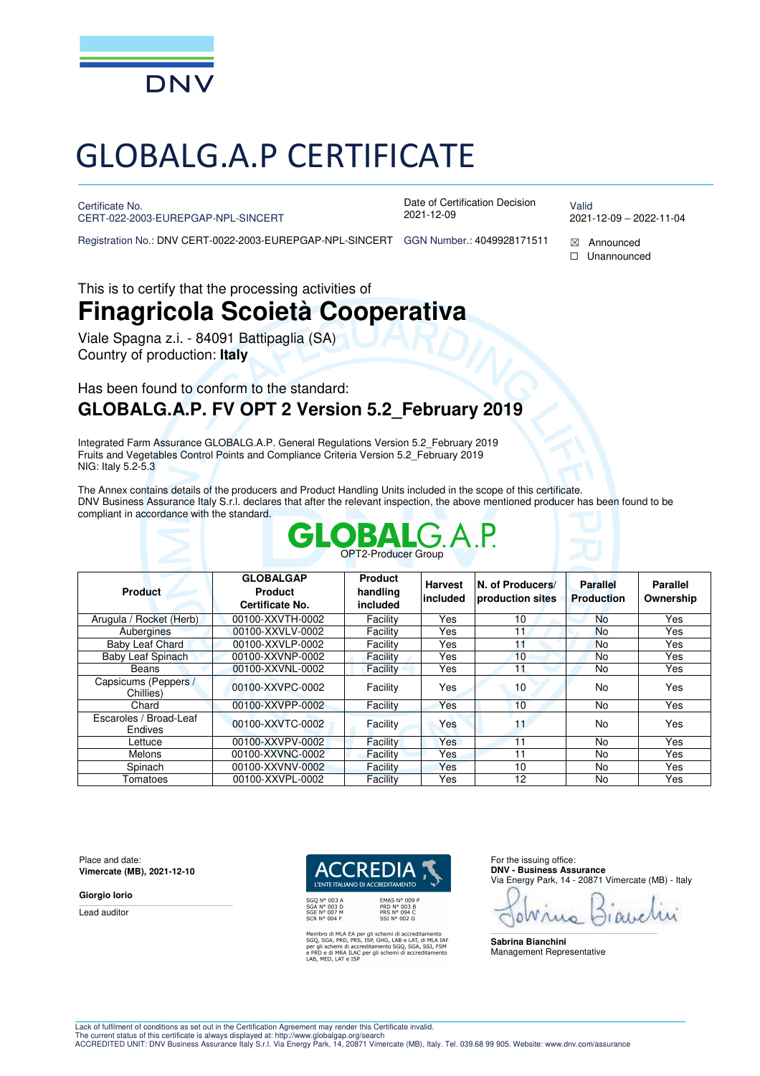

# GLOBALG.A.P CERTIFICATE

Certificate No.

CERT-022-2003-EUREPGAP-NPL-SINCERT

Date of Certification Decision 2021-12-09

Valid 2021-12-09 – 2022-11-04

Registration No.: DNV CERT-0022-2003-EUREPGAP-NPL-SINCERT GGN Number.: 4049928171511  $\boxtimes$  Announced

☐ Unannounced

This is to certify that the processing activities of

# **Finagricola Scoietà Cooperativa**

Viale Spagna z.i. - 84091 Battipaglia (SA) Country of production: **Italy**

# Has been found to conform to the standard: **GLOBALG.A.P. FV OPT 2 Version 5.2\_February 2019**

Integrated Farm Assurance GLOBALG.A.P. General Regulations Version 5.2\_February 2019 Fruits and Vegetables Control Points and Compliance Criteria Version 5.2\_February 2019 NIG: Italy 5.2-5.3

The Annex contains details of the producers and Product Handling Units included in the scope of this certificate. DNV Business Assurance Italy S.r.l. declares that after the relevant inspection, the above mentioned producer has been found to be compliant in accordance with the standard.

|                                          |                                                       | <b>GLOBAL</b> G.A.P.<br><b>OPT2-Producer Group</b> |                            |                                      |                                      |                              |
|------------------------------------------|-------------------------------------------------------|----------------------------------------------------|----------------------------|--------------------------------------|--------------------------------------|------------------------------|
| <b>Product</b>                           | <b>GLOBALGAP</b><br><b>Product</b><br>Certificate No. | <b>Product</b><br>handling<br>included             | <b>Harvest</b><br>included | N. of Producers/<br>production sites | <b>Parallel</b><br><b>Production</b> | <b>Parallel</b><br>Ownership |
| Arugula / Rocket (Herb)                  | 00100-XXVTH-0002                                      | Facility                                           | Yes                        | 10                                   | No                                   | Yes                          |
| Aubergines                               | 00100-XXVLV-0002                                      | Facility                                           | Yes                        | 11                                   | <b>No</b>                            | Yes                          |
| Baby Leaf Chard                          | 00100-XXVLP-0002                                      | Facility                                           | Yes                        | 11                                   | <b>No</b>                            | Yes                          |
| Baby Leaf Spinach                        | 00100-XXVNP-0002                                      | Facility                                           | Yes                        | 10                                   | No.                                  | Yes                          |
| Beans                                    | 00100-XXVNL-0002                                      | Facility                                           | Yes                        | 11                                   | No.                                  | Yes                          |
| Capsicums (Peppers /<br>Chillies)        | 00100-XXVPC-0002                                      | Facility                                           | Yes                        | 10                                   | <b>No</b>                            | Yes                          |
| Chard                                    | 00100-XXVPP-0002                                      | Facility                                           | Yes                        | 10                                   | No.                                  | Yes                          |
| Escaroles / Broad-Leaf<br><b>Endives</b> | 00100-XXVTC-0002                                      | Facility                                           | Yes                        | 11                                   | <b>No</b>                            | Yes                          |
| Lettuce                                  | 00100-XXVPV-0002                                      | Facility                                           | <b>Yes</b>                 | 11                                   | No.                                  | Yes                          |
| <b>Melons</b>                            | 00100-XXVNC-0002                                      | Facility                                           | Yes.                       | 11                                   | No.                                  | Yes                          |
| Spinach                                  | 00100-XXVNV-0002                                      | Facility                                           | Yes                        | 10                                   | No.                                  | Yes                          |
| Tomatoes                                 | 00100-XXVPL-0002                                      | Facility                                           | Yes                        | 12                                   | No.                                  | Yes                          |

Place and date: **Vimercate (MB), 2021-12-10** 

**Giorgio Iorio** 

Lead auditor



Membro di MLA EA per gli schemi di accreditamento<br>SGQ, SGA, PRD, PRS, ISP, GHG, LAB e LAT, di MLA IAF<br>per gli schemi di accreditamento SGQ, SGA, SSI, FSM<br>e PRD e di MRA ILAC per gli schemi di accreditamento<br>LAB, MED, LAT e

For the issuing office: **DNV - Business Assurance**  Via Energy Park, 14 - 20871 Vimercate (MB) - Italy

\_\_\_\_\_\_\_\_\_\_\_\_\_\_\_\_\_\_\_\_\_\_\_\_\_\_\_\_\_\_\_\_\_\_\_\_\_\_\_\_\_\_\_\_\_\_\_\_\_\_\_\_\_\_\_\_\_\_\_\_\_\_\_\_\_\_\_\_\_\_\_\_\_\_\_\_\_\_

**Sabrina Bianchini**  Management Representative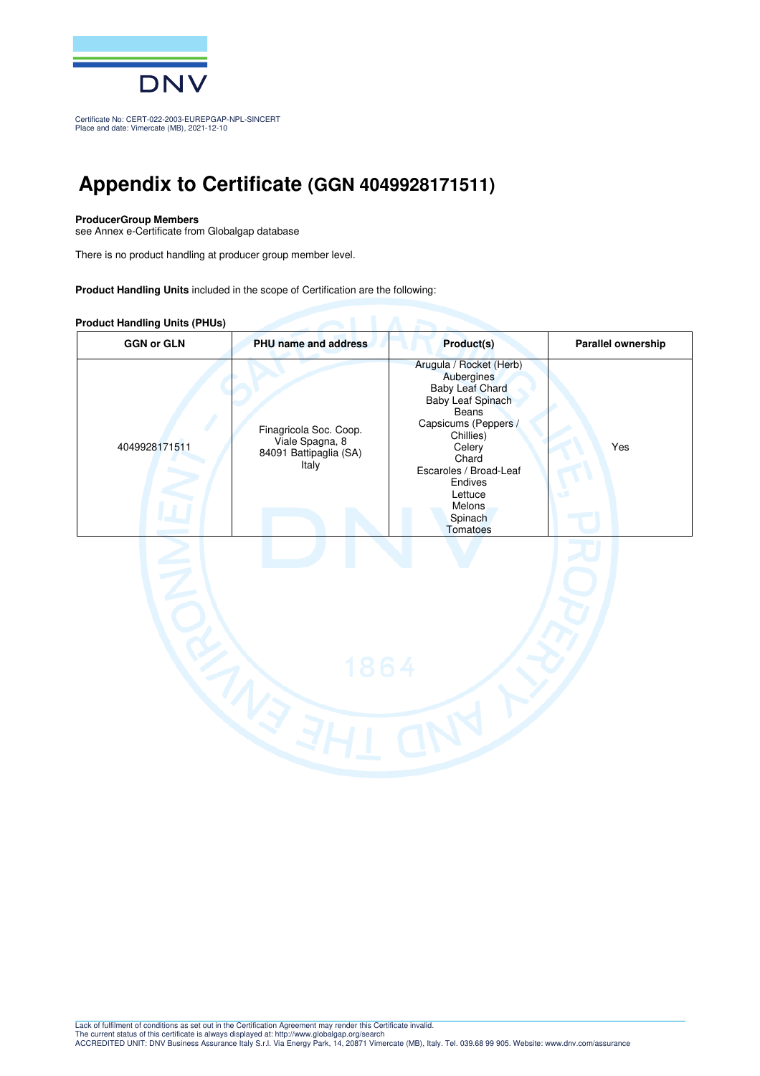

Certificate No: CERT-022-2003-EUREPGAP-NPL-SINCERT Place and date: Vimercate (MB), 2021-12-10

# **Appendix to Certificate (GGN 4049928171511)**

#### **ProducerGroup Members**

see Annex e-Certificate from Globalgap database

There is no product handling at producer group member level.

**Product Handling Units** included in the scope of Certification are the following:

#### **Product Handling Units (PHUs)**

| <b>GGN or GLN</b> | PHU name and address                                                         | Product(s)                                                                                                                                                                                                                                    | Parallel ownership |
|-------------------|------------------------------------------------------------------------------|-----------------------------------------------------------------------------------------------------------------------------------------------------------------------------------------------------------------------------------------------|--------------------|
| 4049928171511     | Finagricola Soc. Coop.<br>Viale Spagna, 8<br>84091 Battipaglia (SA)<br>Italy | Arugula / Rocket (Herb)<br>Aubergines<br><b>Baby Leaf Chard</b><br>Baby Leaf Spinach<br>Beans<br>Capsicums (Peppers /<br>Chillies)<br>Celery<br>Chard<br>Escaroles / Broad-Leaf<br>Endives<br>Lettuce<br><b>Melons</b><br>Spinach<br>Tomatoes | Yes                |
|                   | 1864                                                                         |                                                                                                                                                                                                                                               |                    |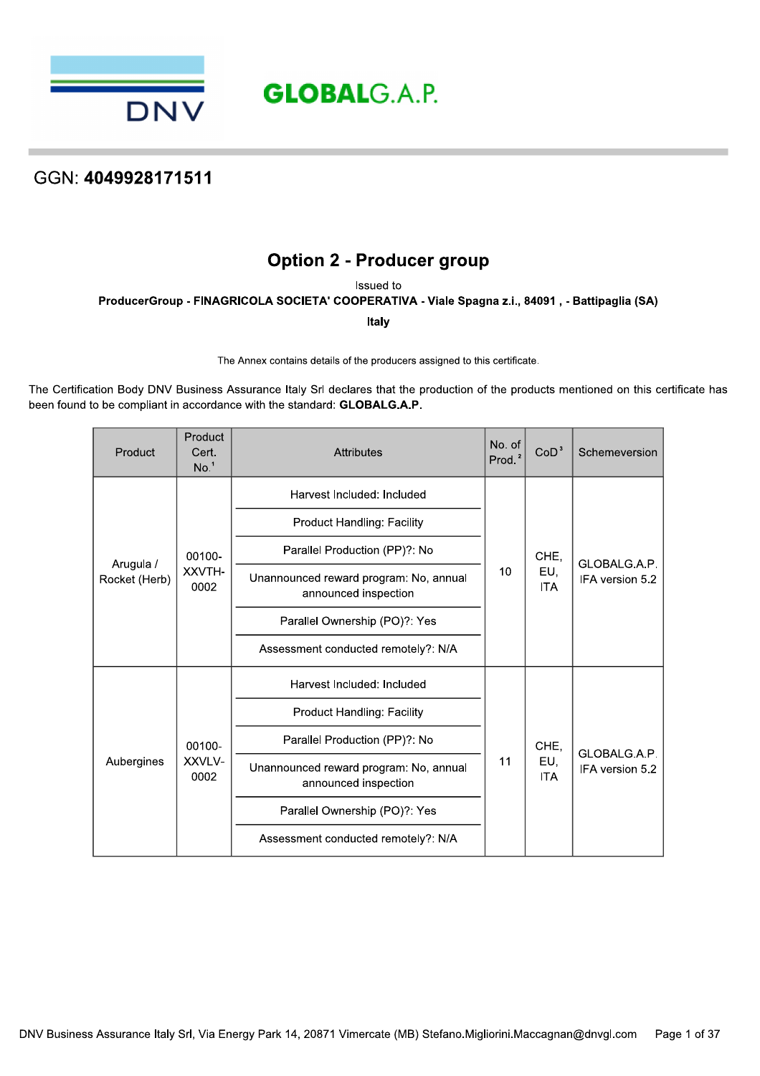

# **Option 2 - Producer group**

Issued to

ProducerGroup - FINAGRICOLA SOCIETA' COOPERATIVA - Viale Spagna z.i., 84091, - Battipaglia (SA)

Italy

The Annex contains details of the producers assigned to this certificate.

The Certification Body DNV Business Assurance Italy Srl declares that the production of the products mentioned on this certificate has been found to be compliant in accordance with the standard: GLOBALG.A.P.

| Product                    | Product<br>Cert.<br>No. <sup>1</sup> | <b>Attributes</b>                                              | No. of<br>Prod. $2$ | CoD <sup>3</sup>  | Schemeversion                   |
|----------------------------|--------------------------------------|----------------------------------------------------------------|---------------------|-------------------|---------------------------------|
|                            |                                      | Harvest Included: Included                                     |                     |                   |                                 |
|                            |                                      | <b>Product Handling: Facility</b>                              |                     |                   |                                 |
|                            | 00100-                               | Parallel Production (PP)?: No                                  |                     | CHE,              | GLOBALG.A.P.<br>IFA version 5.2 |
| Arugula /<br>Rocket (Herb) | XXVTH-<br>0002                       | Unannounced reward program: No, annual<br>announced inspection | 10                  | EU,<br><b>ITA</b> |                                 |
|                            |                                      | Parallel Ownership (PO)?: Yes                                  |                     |                   |                                 |
|                            |                                      | Assessment conducted remotely?: N/A                            |                     |                   |                                 |
|                            |                                      | Harvest Included: Included                                     |                     |                   |                                 |
|                            |                                      | <b>Product Handling: Facility</b>                              |                     | CHE,              |                                 |
| Aubergines                 | 00100-                               | Parallel Production (PP)?: No                                  |                     |                   | GLOBALG.A.P.                    |
|                            | XXVLV-<br>0002                       | Unannounced reward program: No, annual<br>announced inspection |                     | EU,<br><b>ITA</b> | IFA version 5.2                 |
|                            |                                      | Parallel Ownership (PO)?: Yes                                  |                     |                   |                                 |
|                            |                                      | Assessment conducted remotely?: N/A                            |                     |                   |                                 |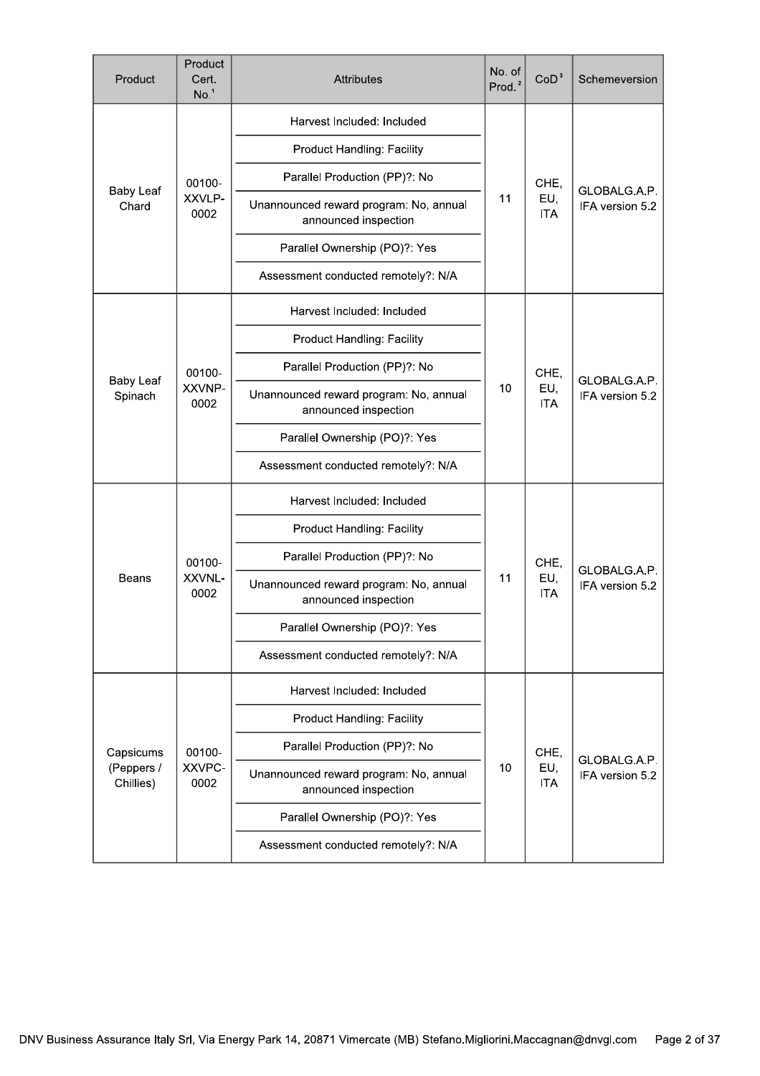| Product                              | Product<br>Cert.<br>No. <sup>1</sup> | <b>Attributes</b>                                              | No. of<br>Prod. <sup>2</sup> | CoD <sup>3</sup>          | Schemeversion                   |
|--------------------------------------|--------------------------------------|----------------------------------------------------------------|------------------------------|---------------------------|---------------------------------|
|                                      |                                      | Harvest Included: Included                                     |                              |                           |                                 |
|                                      |                                      | <b>Product Handling: Facility</b>                              |                              |                           |                                 |
|                                      | 00100-                               | Parallel Production (PP)?: No                                  |                              | CHE,                      |                                 |
| <b>Baby Leaf</b><br>Chard            | XXVLP-<br>0002                       | Unannounced reward program: No, annual<br>announced inspection | 11                           | EU,<br><b>ITA</b>         | GLOBALG.A.P.<br>IFA version 5.2 |
|                                      |                                      | Parallel Ownership (PO)?: Yes                                  |                              |                           |                                 |
|                                      |                                      | Assessment conducted remotely?: N/A                            |                              |                           |                                 |
|                                      |                                      | Harvest Included: Included                                     |                              | CHE,<br>EU,<br><b>ITA</b> | GLOBALG.A.P.                    |
|                                      |                                      | Product Handling: Facility                                     |                              |                           |                                 |
| <b>Baby Leaf</b><br>Spinach          | 00100-<br>XXVNP-<br>0002             | Parallel Production (PP)?: No                                  |                              |                           |                                 |
|                                      |                                      | Unannounced reward program: No, annual<br>announced inspection | 10                           |                           | IFA version 5.2                 |
|                                      |                                      | Parallel Ownership (PO)?: Yes                                  |                              |                           |                                 |
|                                      |                                      | Assessment conducted remotely?: N/A                            |                              |                           |                                 |
|                                      |                                      | Harvest Included: Included                                     |                              | CHE,<br>EU,<br><b>ITA</b> | GLOBALG.A.P.<br>IFA version 5.2 |
|                                      |                                      | <b>Product Handling: Facility</b>                              | 11                           |                           |                                 |
|                                      | 00100-                               | Parallel Production (PP)?: No                                  |                              |                           |                                 |
| <b>Beans</b>                         | XXVNL-<br>0002                       | Unannounced reward program: No, annual<br>announced inspection |                              |                           |                                 |
|                                      |                                      | Parallel Ownership (PO)?: Yes                                  |                              |                           |                                 |
|                                      |                                      | Assessment conducted remotely?: N/A                            |                              |                           |                                 |
|                                      |                                      | Harvest Included: Included                                     |                              |                           |                                 |
| Capsicums<br>(Peppers /<br>Chillies) |                                      | <b>Product Handling: Facility</b>                              |                              | CHE,<br>EU,<br><b>ITA</b> |                                 |
|                                      | 00100-                               | Parallel Production (PP)?: No                                  |                              |                           |                                 |
|                                      | XXVPC-<br>0002                       | Unannounced reward program: No, annual<br>announced inspection | 10                           |                           | GLOBALG.A.P.<br>IFA version 5.2 |
|                                      |                                      | Parallel Ownership (PO)?: Yes                                  |                              |                           |                                 |
|                                      |                                      | Assessment conducted remotely?: N/A                            |                              |                           |                                 |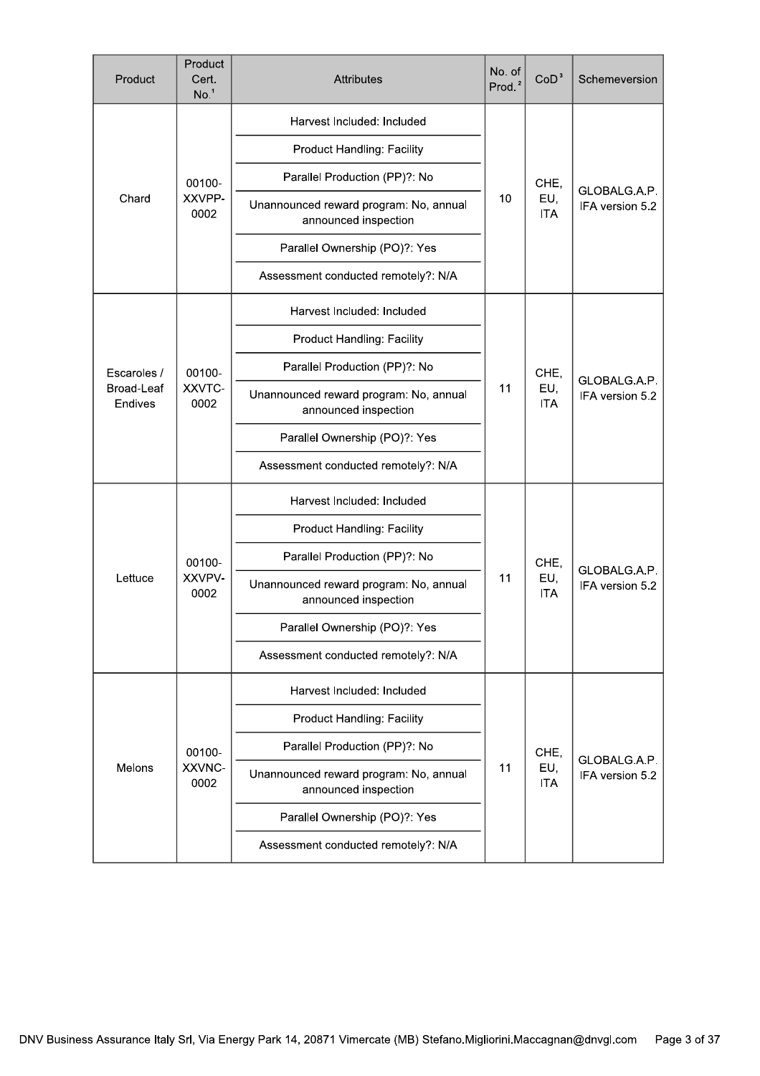| Product               | Product<br>Cert.<br>No. <sup>1</sup> | No. of<br><b>Attributes</b><br>Prod. <sup>2</sup>                    |    | CoD <sup>3</sup>          | Schemeversion                   |
|-----------------------|--------------------------------------|----------------------------------------------------------------------|----|---------------------------|---------------------------------|
|                       |                                      | Harvest Included: Included                                           |    |                           |                                 |
|                       |                                      | Product Handling: Facility                                           |    |                           |                                 |
|                       | 00100-                               | Parallel Production (PP)?: No                                        |    | CHE,                      |                                 |
| Chard                 | XXVPP-<br>0002                       | Unannounced reward program: No, annual<br>announced inspection       | 10 | EU,<br><b>ITA</b>         | GLOBALG.A.P.<br>IFA version 5.2 |
|                       |                                      | Parallel Ownership (PO)?: Yes                                        |    |                           |                                 |
|                       |                                      | Assessment conducted remotely?: N/A                                  |    |                           |                                 |
|                       |                                      | Harvest Included: Included                                           |    |                           |                                 |
|                       |                                      | Product Handling: Facility                                           |    |                           |                                 |
| Escaroles /           | 00100-                               | Parallel Production (PP)?: No                                        |    | CHE,<br>EU,<br><b>ITA</b> | GLOBALG.A.P.<br>IFA version 5.2 |
| Broad-Leaf<br>Endives | XXVTC-<br>0002                       | Unannounced reward program: No, annual<br>announced inspection       | 11 |                           |                                 |
|                       |                                      | Parallel Ownership (PO)?: Yes                                        |    |                           |                                 |
|                       |                                      | Assessment conducted remotely?: N/A                                  |    |                           |                                 |
|                       |                                      | Harvest Included: Included                                           |    |                           |                                 |
|                       |                                      | Product Handling: Facility                                           |    | CHE,                      | GLOBALG.A.P.                    |
|                       | 00100-                               | Parallel Production (PP)?: No                                        |    |                           |                                 |
| Lettuce               | XXVPV-<br>0002                       | 11<br>Unannounced reward program: No, annual<br>announced inspection |    | EU,<br><b>ITA</b>         | IFA version 5.2                 |
|                       |                                      | Parallel Ownership (PO)?: Yes                                        |    |                           |                                 |
|                       |                                      | Assessment conducted remotely?: N/A                                  |    |                           |                                 |
|                       |                                      | Harvest Included: Included                                           |    |                           |                                 |
|                       |                                      | Product Handling: Facility                                           |    |                           |                                 |
|                       | 00100-                               | Parallel Production (PP)?: No                                        |    | CHE,                      |                                 |
| Melons                | XXVNC-<br>0002                       | Unannounced reward program: No, annual<br>announced inspection       | 11 | EU,<br><b>ITA</b>         | GLOBALG.A.P.<br>IFA version 5.2 |
|                       |                                      | Parallel Ownership (PO)?: Yes                                        |    |                           |                                 |
|                       |                                      | Assessment conducted remotely?: N/A                                  |    |                           |                                 |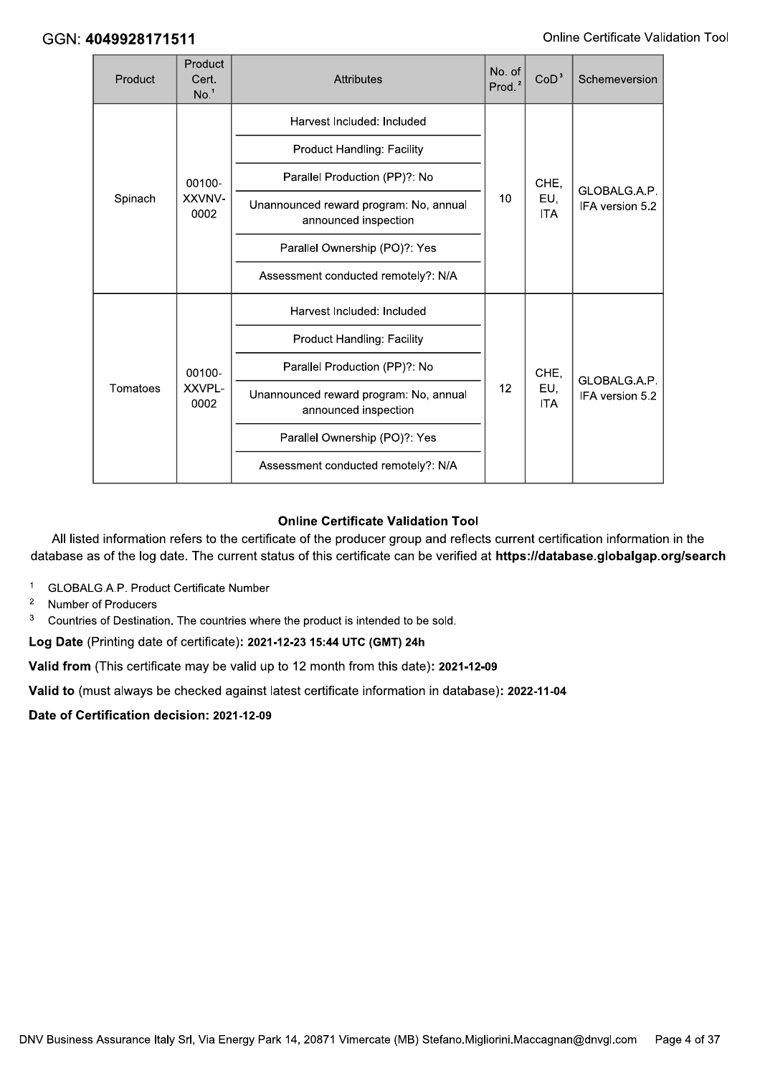|  | GGN: 4049928171511 |                                      |                                                                |                              |                   | Online Certificate Validatio    |  |
|--|--------------------|--------------------------------------|----------------------------------------------------------------|------------------------------|-------------------|---------------------------------|--|
|  | Product            | Product<br>Cert.<br>No. <sup>1</sup> | Attributes                                                     | No. of<br>Prod. <sup>2</sup> | CoD <sup>3</sup>  | Schemeversion                   |  |
|  |                    |                                      | Harvest Included: Included                                     |                              | CHE,              | GLOBALG.A.P.                    |  |
|  |                    |                                      | <b>Product Handling: Facility</b>                              |                              |                   |                                 |  |
|  |                    | 00100-                               | Parallel Production (PP)?: No                                  |                              |                   |                                 |  |
|  | Spinach            | XXVNV-<br>0002                       | Unannounced reward program: No, annual<br>announced inspection | 10                           | EU,<br><b>ITA</b> | IFA version 5.2                 |  |
|  |                    |                                      | Parallel Ownership (PO)?: Yes                                  |                              |                   |                                 |  |
|  |                    |                                      | Assessment conducted remotely?: N/A                            |                              |                   |                                 |  |
|  |                    |                                      | Harvest Included: Included                                     |                              |                   |                                 |  |
|  |                    |                                      | <b>Product Handling: Facility</b>                              |                              |                   |                                 |  |
|  |                    | 00100-                               | Parallel Production (PP)?: No                                  |                              | CHE,              |                                 |  |
|  | Tomatoes           | XXVPL-<br>0002                       | Unannounced reward program: No, annual<br>announced inspection | 12                           | EU,<br><b>ITA</b> | GLOBALG.A.P.<br>IFA version 5.2 |  |
|  |                    |                                      | Parallel Ownership (PO)?: Yes                                  |                              |                   |                                 |  |
|  |                    |                                      | Assessment conducted remotely?: N/A                            |                              |                   |                                 |  |
|  |                    |                                      |                                                                |                              |                   |                                 |  |

#### **Online Certificate Validation Tool**

All listed information refers to the certificate of the producer group and reflects current certification information in the database as of the log date. The current status of this certificate can be verified at **https://database.globalgap.org/search** 

- <sup>1</sup> GLOBALG.A.P. Product Certificate Number
- <sup>2</sup> Number of Producers
- <sup>3</sup> Countries of Destination. The countries where the product is intended to be sold.

Log Date (Printing date of certificate): 2021-12-23 15:44 UTC (GMT) 24h

Valid from (This certificate may be valid up to 12 month from this date): 2021-12-09

Valid to (must always be checked against latest certificate information in database): 2022-11-04

Date of Certification decision: 2021-12-09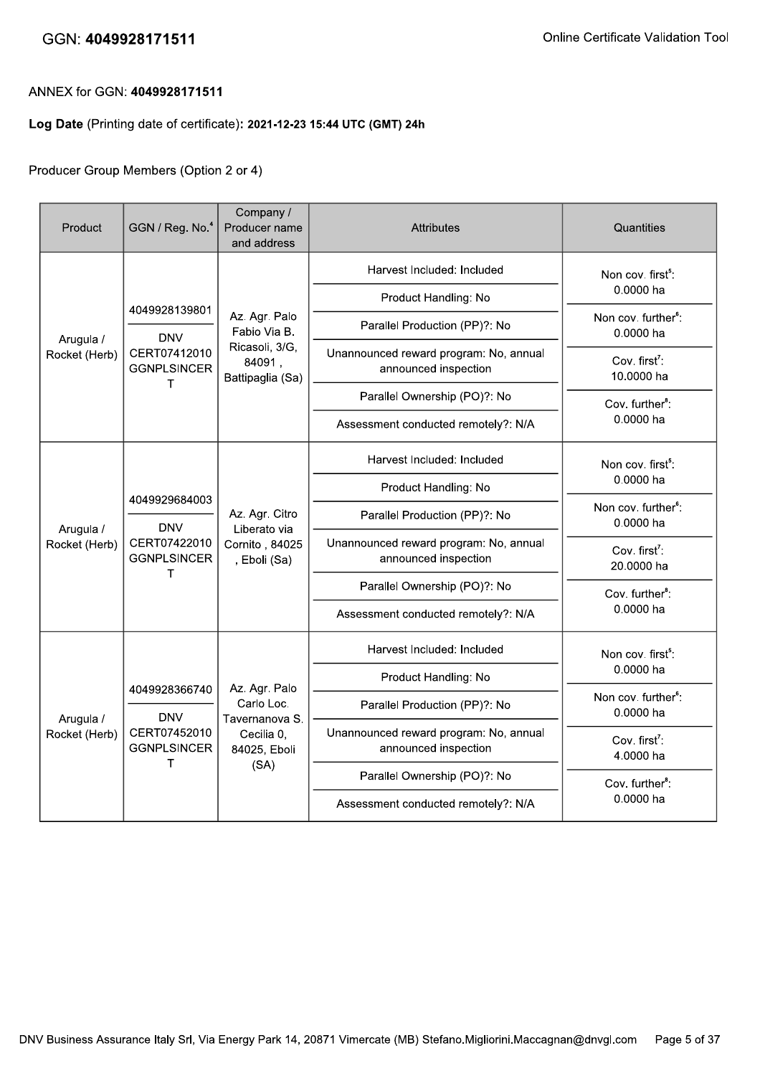#### ANNEX for GGN: 4049928171511

#### Log Date (Printing date of certificate): 2021-12-23 15:44 UTC (GMT) 24h

#### Producer Group Members (Option 2 or 4)

| Product                    | GGN / Reg. No. <sup>4</sup>                                            | Company /<br>Producer name<br>and address                        | <b>Attributes</b>                                              | Quantities                                   |
|----------------------------|------------------------------------------------------------------------|------------------------------------------------------------------|----------------------------------------------------------------|----------------------------------------------|
|                            |                                                                        |                                                                  | Harvest Included: Included                                     | Non cov. first <sup>5</sup> :                |
|                            | 4049928139801                                                          |                                                                  | Product Handling: No                                           | 0.0000 ha                                    |
| Arugula /                  | <b>DNV</b>                                                             | Az. Agr. Palo<br>Fabio Via B.                                    | Parallel Production (PP)?: No                                  | Non cov. further <sup>6</sup> :<br>0.0000 ha |
| Rocket (Herb)              | CERT07412010<br><b>GGNPLSINCER</b><br>т                                | Ricasoli, 3/G,<br>84091,<br>Battipaglia (Sa)                     | Unannounced reward program: No, annual<br>announced inspection | Cov. first <sup>7</sup> :<br>10.0000 ha      |
|                            |                                                                        |                                                                  | Parallel Ownership (PO)?: No                                   | Cov. further <sup>8</sup> :                  |
|                            |                                                                        |                                                                  | Assessment conducted remotely?: N/A                            | 0.0000 ha                                    |
|                            | 4049929684003<br><b>DNV</b><br>CERT07422010<br><b>GGNPLSINCER</b><br>т | Az. Agr. Citro<br>Liberato via<br>Cornito, 84025<br>, Eboli (Sa) | Harvest Included: Included                                     | Non cov. first <sup>5</sup> :                |
|                            |                                                                        |                                                                  | Product Handling: No                                           | 0.0000 ha                                    |
| Arugula /                  |                                                                        |                                                                  | Parallel Production (PP)?: No                                  | Non cov. further <sup>6</sup> :<br>0.0000 ha |
| Rocket (Herb)              |                                                                        |                                                                  | Unannounced reward program: No, annual<br>announced inspection | Cov. first <sup>7</sup> :<br>20.0000 ha      |
|                            |                                                                        |                                                                  | Parallel Ownership (PO)?: No                                   | Cov. further <sup>8</sup> :                  |
|                            |                                                                        |                                                                  | Assessment conducted remotely?: N/A                            | 0.0000 ha                                    |
|                            |                                                                        |                                                                  | Harvest Included: Included                                     | Non cov. first <sup>5</sup> :                |
|                            |                                                                        | Az. Agr. Palo                                                    | Product Handling: No                                           | 0.0000 ha                                    |
| Arugula /<br>Rocket (Herb) | 4049928366740<br><b>DNV</b>                                            | Carlo Loc.<br>Tavernanova S.                                     | Parallel Production (PP)?: No                                  | Non cov. further <sup>6</sup> :<br>0.0000 ha |
|                            | CERT07452010<br><b>GGNPLSINCER</b><br>т                                | Cecilia 0,<br>84025, Eboli                                       | Unannounced reward program: No, annual<br>announced inspection | Cov. first <sup>7</sup> :<br>4.0000 ha       |
|                            |                                                                        | (SA)                                                             | Parallel Ownership (PO)?: No                                   | Cov. further <sup>8</sup> :                  |
|                            |                                                                        |                                                                  | Assessment conducted remotely?: N/A                            | 0.0000 ha                                    |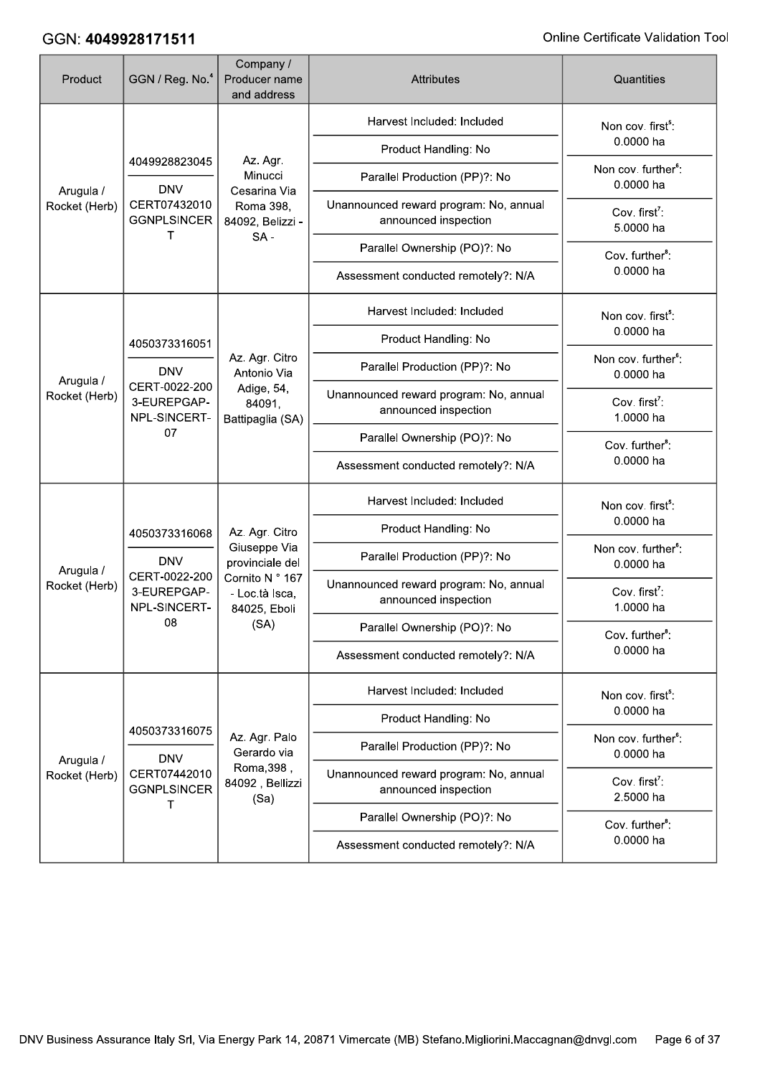| Product                    | GGN / Reg. No. <sup>4</sup>                                                 | Company /<br>Producer name<br>and address         | <b>Attributes</b>                                              | Quantities                                   |
|----------------------------|-----------------------------------------------------------------------------|---------------------------------------------------|----------------------------------------------------------------|----------------------------------------------|
|                            |                                                                             |                                                   | Harvest Included: Included                                     | Non cov. first <sup>5</sup> :                |
|                            | 4049928823045                                                               | Az. Agr.                                          | Product Handling: No                                           | 0.0000 ha                                    |
|                            | <b>DNV</b>                                                                  | Minucci<br>Cesarina Via                           | Parallel Production (PP)?: No                                  | Non cov. further <sup>6</sup> :<br>0.0000 ha |
| Arugula /<br>Rocket (Herb) | CERT07432010<br><b>GGNPLSINCER</b>                                          | Roma 398,<br>84092, Belizzi -                     | Unannounced reward program: No, annual<br>announced inspection | Cov. first <sup>7</sup> :<br>5.0000 ha       |
|                            | т                                                                           | $SA -$                                            | Parallel Ownership (PO)?: No                                   | Cov. further <sup>8</sup> :                  |
|                            |                                                                             |                                                   | Assessment conducted remotely?: N/A                            | 0.0000 ha                                    |
|                            |                                                                             |                                                   | Harvest Included: Included                                     | Non cov. first <sup>5</sup> :                |
|                            | 4050373316051                                                               |                                                   | Product Handling: No                                           | 0.0000 ha                                    |
|                            | <b>DNV</b>                                                                  | Az. Agr. Citro<br>Antonio Via                     | Parallel Production (PP)?: No                                  | Non cov. further <sup>6</sup> :<br>0.0000 ha |
| Arugula /<br>Rocket (Herb) | CERT-0022-200<br>3-EUREPGAP-<br>NPL-SINCERT-<br>07                          | Adige, 54,<br>84091,<br>Battipaglia (SA)          | Unannounced reward program: No, annual<br>announced inspection | Cov. first <sup>7</sup> :<br>1.0000 ha       |
|                            |                                                                             |                                                   | Parallel Ownership (PO)?: No                                   | Cov. further <sup>8</sup> :                  |
|                            |                                                                             |                                                   | Assessment conducted remotely?: N/A                            | 0.0000 ha                                    |
|                            |                                                                             |                                                   | Harvest Included: Included                                     | Non cov. first <sup>5</sup> :                |
|                            | 4050373316068<br><b>DNV</b><br>CERT-0022-200<br>3-EUREPGAP-<br>NPL-SINCERT- | Az. Agr. Citro                                    | Product Handling: No                                           | 0.0000 ha                                    |
| Arugula /                  |                                                                             | Giuseppe Via<br>provinciale del                   | Parallel Production (PP)?: No                                  | Non cov. further <sup>6</sup> :<br>0.0000 ha |
| Rocket (Herb)              |                                                                             | Cornito N ° 167<br>- Loc.tà Isca,<br>84025, Eboli | Unannounced reward program: No, annual<br>announced inspection | Cov. first <sup>7</sup> :<br>1.0000 ha       |
|                            | 08                                                                          | (SA)                                              | Parallel Ownership (PO)?: No                                   | Cov. further <sup>8</sup> :                  |
|                            |                                                                             |                                                   | Assessment conducted remotely?: N/A                            | 0.0000 ha                                    |
|                            |                                                                             |                                                   | Harvest Included: Included                                     | Non cov. first <sup>5</sup> :                |
|                            | 4050373316075                                                               |                                                   | Product Handling: No                                           | 0.0000 ha                                    |
| Arugula /                  | <b>DNV</b>                                                                  | Az. Agr. Palo<br>Gerardo via                      | Parallel Production (PP)?: No                                  | Non cov. further <sup>6</sup> :<br>0.0000 ha |
| Rocket (Herb)              | CERT07442010<br><b>GGNPLSINCER</b><br>T                                     | Roma, 398,<br>84092, Bellizzi<br>(Sa)             | Unannounced reward program: No, annual<br>announced inspection | Cov. first <sup>7</sup> :<br>2.5000 ha       |
|                            |                                                                             |                                                   | Parallel Ownership (PO)?: No                                   | Cov. further <sup>8</sup> :                  |
|                            |                                                                             |                                                   | Assessment conducted remotely?: N/A                            | 0.0000 ha                                    |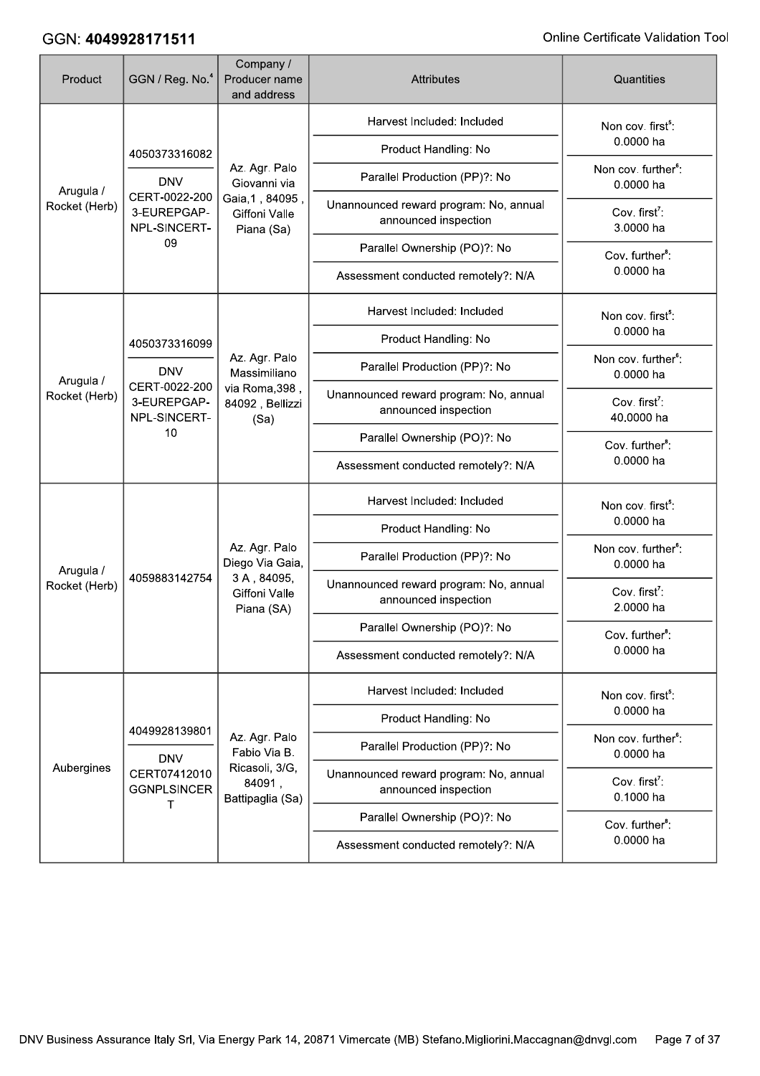| Product                    | GGN / Reg. No. <sup>4</sup>                        | Company /<br>Producer name<br>and address      | Attributes                                                     | Quantities                                   |
|----------------------------|----------------------------------------------------|------------------------------------------------|----------------------------------------------------------------|----------------------------------------------|
|                            |                                                    |                                                | Harvest Included: Included                                     | Non cov. first <sup>5</sup> :                |
|                            | 4050373316082                                      |                                                | Product Handling: No                                           | 0.0000 ha                                    |
| Arugula /                  | <b>DNV</b>                                         | Az. Agr. Palo<br>Giovanni via                  | Parallel Production (PP)?: No                                  | Non cov. further <sup>6</sup> :<br>0.0000 ha |
| Rocket (Herb)              | CERT-0022-200<br>3-EUREPGAP-<br>NPL-SINCERT-       | Gaia, 1, 84095,<br>Giffoni Valle<br>Piana (Sa) | Unannounced reward program: No, annual<br>announced inspection | Cov. first <sup>7</sup> :<br>3.0000 ha       |
|                            | 09                                                 |                                                | Parallel Ownership (PO)?: No                                   | Cov. further <sup>8</sup> :                  |
|                            |                                                    |                                                | Assessment conducted remotely?: N/A                            | 0.0000 ha                                    |
|                            |                                                    |                                                | Harvest Included: Included                                     | Non cov. first <sup>5</sup> :                |
|                            | 4050373316099                                      |                                                | Product Handling: No                                           | 0.0000 ha                                    |
|                            | <b>DNV</b>                                         | Az. Agr. Palo<br>Massimiliano                  | Parallel Production (PP)?: No                                  | Non cov. further <sup>6</sup> :<br>0.0000 ha |
| Arugula /<br>Rocket (Herb) | CERT-0022-200<br>3-EUREPGAP-<br>NPL-SINCERT-<br>10 | via Roma, 398,<br>84092, Bellizzi<br>(Sa)      | Unannounced reward program: No, annual<br>announced inspection | Cov. first <sup>7</sup> :<br>40.0000 ha      |
|                            |                                                    |                                                | Parallel Ownership (PO)?: No                                   | Cov. further <sup>8</sup> :                  |
|                            |                                                    |                                                | Assessment conducted remotely?: N/A                            | 0.0000 ha                                    |
|                            |                                                    |                                                | Harvest Included: Included                                     | Non cov. first <sup>5</sup> :                |
|                            |                                                    |                                                | Product Handling: No                                           | 0.0000 ha                                    |
| Arugula /                  |                                                    | Az. Agr. Palo<br>Diego Via Gaia,               | Parallel Production (PP)?: No                                  | Non cov. further <sup>6</sup> :<br>0.0000 ha |
| Rocket (Herb)              | 4059883142754                                      | 3A, 84095,<br>Giffoni Valle<br>Piana (SA)      | Unannounced reward program: No, annual<br>announced inspection | Cov. first <sup>7</sup> :<br>2.0000 ha       |
|                            |                                                    |                                                | Parallel Ownership (PO)?: No                                   | Cov. further <sup>8</sup> :                  |
|                            |                                                    |                                                | Assessment conducted remotely?: N/A                            | 0.0000 ha                                    |
|                            |                                                    |                                                | Harvest Included: Included                                     | Non cov. first <sup>5</sup> :                |
|                            | 4049928139801                                      |                                                | Product Handling: No                                           | 0.0000 ha                                    |
|                            | <b>DNV</b>                                         | Az. Agr. Palo<br>Fabio Via B.                  | Parallel Production (PP)?: No                                  | Non cov. further <sup>6</sup> :<br>0.0000 ha |
| Aubergines                 | CERT07412010<br><b>GGNPLSINCER</b><br>т            | Ricasoli, 3/G,<br>84091,<br>Battipaglia (Sa)   | Unannounced reward program: No, annual<br>announced inspection | Cov. first <sup>7</sup> :<br>0.1000 ha       |
|                            |                                                    |                                                | Parallel Ownership (PO)?: No                                   | Cov. further <sup>8</sup> :                  |
|                            |                                                    |                                                | Assessment conducted remotely?: N/A                            | 0.0000 ha                                    |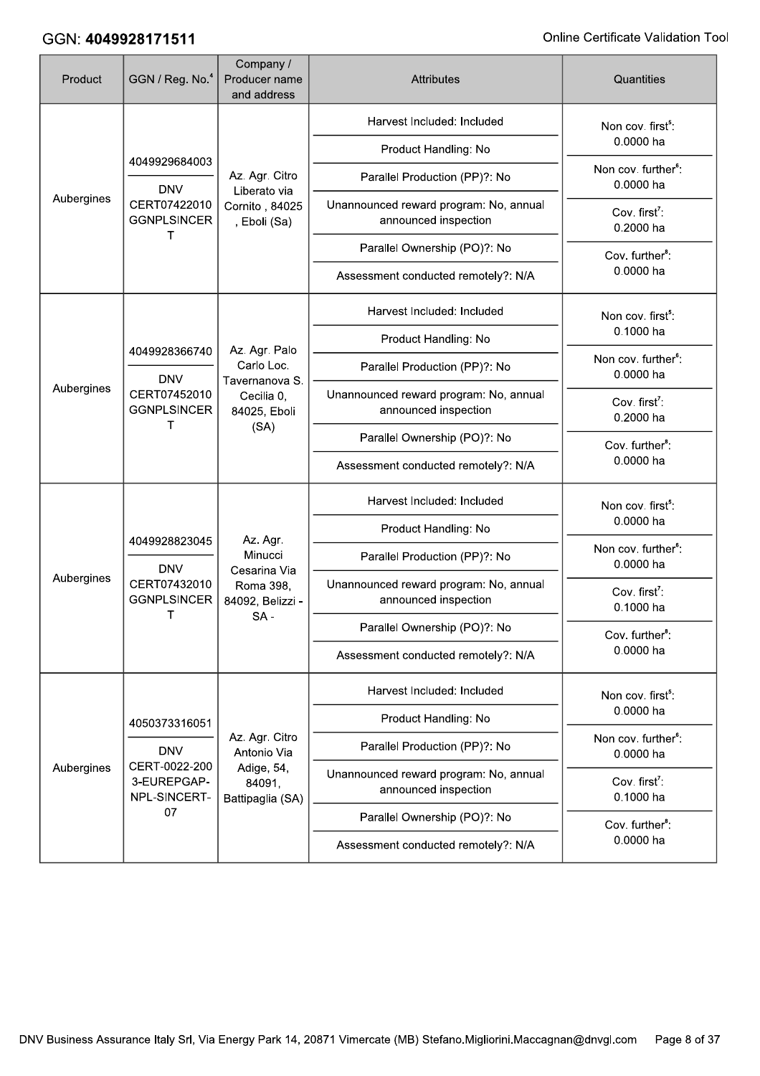| Product    | GGN / Reg. No. <sup>4</sup>                                       | Company /<br>Producer name<br>and address     | <b>Attributes</b>                                              | Quantities                                   |
|------------|-------------------------------------------------------------------|-----------------------------------------------|----------------------------------------------------------------|----------------------------------------------|
|            |                                                                   |                                               | Harvest Included: Included                                     | Non cov. first <sup>5</sup> :                |
|            | 4049929684003                                                     |                                               | Product Handling: No                                           | 0.0000 ha                                    |
|            | <b>DNV</b>                                                        | Az. Agr. Citro<br>Liberato via                | Parallel Production (PP)?: No                                  | Non cov. further <sup>6</sup> :<br>0.0000 ha |
| Aubergines | CERT07422010<br><b>GGNPLSINCER</b><br>т                           | Cornito, 84025<br>, Eboli (Sa)                | Unannounced reward program: No, annual<br>announced inspection | Cov. first <sup>7</sup> :<br>0.2000 ha       |
|            |                                                                   |                                               | Parallel Ownership (PO)?: No                                   | Cov. further <sup>8</sup> :                  |
|            |                                                                   |                                               | Assessment conducted remotely?: N/A                            | 0.0000 ha                                    |
|            |                                                                   |                                               | Harvest Included: Included                                     | Non cov. first <sup>5</sup> :                |
|            | 4049928366740                                                     | Az. Agr. Palo                                 | Product Handling: No                                           | 0.1000 ha                                    |
|            | <b>DNV</b>                                                        | Carlo Loc.<br>Tavernanova S.                  | Parallel Production (PP)?: No                                  | Non cov. further <sup>6</sup> :<br>0.0000 ha |
| Aubergines | CERT07452010<br><b>GGNPLSINCER</b><br>т                           | Cecilia 0,<br>84025, Eboli                    | Unannounced reward program: No, annual<br>announced inspection | Cov. first <sup>7</sup> :<br>0.2000 ha       |
|            |                                                                   | (SA)                                          | Parallel Ownership (PO)?: No                                   | Cov. further <sup>8</sup> :                  |
|            |                                                                   |                                               | Assessment conducted remotely?: N/A                            | 0.0000 ha                                    |
|            |                                                                   |                                               | Harvest Included: Included                                     | Non cov. first <sup>5</sup> :                |
|            | 4049928823045<br><b>DNV</b><br>CERT07432010<br><b>GGNPLSINCER</b> | Az. Agr.                                      | Product Handling: No                                           | 0.0000 ha                                    |
|            |                                                                   | Minucci                                       | Parallel Production (PP)?: No                                  | Non cov. further <sup>6</sup> :<br>0.0000 ha |
| Aubergines |                                                                   | Cesarina Via<br>Roma 398,<br>84092, Belizzi - | Unannounced reward program: No, annual<br>announced inspection | Cov. first <sup>7</sup> :<br>0.1000 ha       |
|            | Τ                                                                 | $SA -$                                        | Parallel Ownership (PO)?: No                                   | Cov. further <sup>8</sup> :                  |
|            |                                                                   |                                               | Assessment conducted remotely?: N/A                            | 0.0000 ha                                    |
|            |                                                                   |                                               | Harvest Included: Included                                     | Non cov. first <sup>5</sup> :                |
|            | 4050373316051                                                     |                                               | Product Handling: No                                           | 0.0000 ha                                    |
|            | <b>DNV</b>                                                        | Az. Agr. Citro<br>Antonio Via                 | Parallel Production (PP)?: No                                  | Non cov. further <sup>6</sup> :<br>0.0000 ha |
| Aubergines | CERT-0022-200<br>3-EUREPGAP-<br>NPL-SINCERT-                      | Adige, 54,<br>84091,<br>Battipaglia (SA)      | Unannounced reward program: No, annual<br>announced inspection | Cov. first <sup>7</sup> :<br>0.1000 ha       |
|            | 07                                                                |                                               | Parallel Ownership (PO)?: No                                   | Cov. further <sup>8</sup> :                  |
|            |                                                                   |                                               | Assessment conducted remotely?: N/A                            | 0.0000 ha                                    |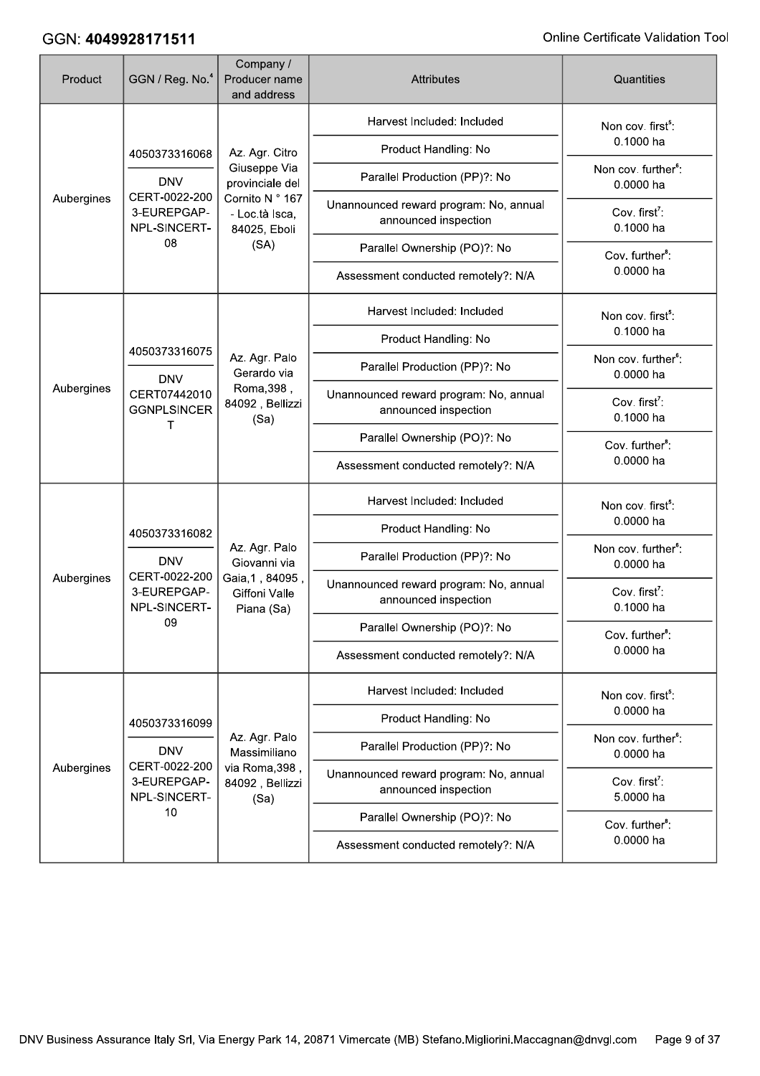| Product    | GGN / Reg. No. <sup>4</sup>                                                 | Company /<br>Producer name<br>and address                  | <b>Attributes</b>                                              | Quantities                                   |           |  |
|------------|-----------------------------------------------------------------------------|------------------------------------------------------------|----------------------------------------------------------------|----------------------------------------------|-----------|--|
|            |                                                                             | Harvest Included: Included                                 | Non cov. first <sup>5</sup> :                                  |                                              |           |  |
|            | 4050373316068                                                               | Az. Agr. Citro                                             | Product Handling: No                                           | 0.1000 ha                                    |           |  |
|            | <b>DNV</b>                                                                  | Giuseppe Via<br>provinciale del                            | Parallel Production (PP)?: No                                  | Non cov. further <sup>6</sup> :<br>0.0000 ha |           |  |
| Aubergines | CERT-0022-200<br>3-EUREPGAP-<br>NPL-SINCERT-                                | Cornito N ° 167<br>- Loc.tà Isca,<br>84025, Eboli          | Unannounced reward program: No, annual<br>announced inspection | Cov. first <sup>7</sup> :<br>0.1000 ha       |           |  |
|            | 08                                                                          | (SA)                                                       | Parallel Ownership (PO)?: No                                   | Cov. further <sup>8</sup> :                  |           |  |
|            |                                                                             |                                                            | Assessment conducted remotely?: N/A                            | 0.0000 ha                                    |           |  |
|            |                                                                             |                                                            | Harvest Included: Included                                     | Non cov. first <sup>5</sup> :                |           |  |
|            | 4050373316075                                                               |                                                            | Product Handling: No                                           | 0.1000 ha                                    |           |  |
|            | <b>DNV</b>                                                                  | Az. Agr. Palo<br>Gerardo via                               | Parallel Production (PP)?: No                                  | Non cov. further <sup>6</sup> :<br>0.0000 ha |           |  |
| Aubergines | CERT07442010<br><b>GGNPLSINCER</b><br>т                                     | Roma, 398,<br>84092, Bellizzi<br>(Sa)                      | Unannounced reward program: No, annual<br>announced inspection | Cov. first <sup>7</sup> :<br>0.1000 ha       |           |  |
|            |                                                                             |                                                            | Parallel Ownership (PO)?: No                                   | Cov. further <sup>8</sup> :                  |           |  |
|            |                                                                             |                                                            | Assessment conducted remotely?: N/A                            | 0.0000 ha                                    |           |  |
|            |                                                                             |                                                            | Harvest Included: Included                                     | Non cov. first <sup>5</sup> :                |           |  |
|            | 4050373316082<br><b>DNV</b><br>CERT-0022-200<br>3-EUREPGAP-<br>NPL-SINCERT- |                                                            | Product Handling: No                                           | 0.0000 ha                                    |           |  |
|            |                                                                             | Az. Agr. Palo<br>Giovanni via                              | Parallel Production (PP)?: No                                  | Non cov. further <sup>6</sup> :<br>0.0000 ha |           |  |
| Aubergines |                                                                             | Gaia, 1, 84095,<br>Giffoni Valle<br>Piana (Sa)             | Unannounced reward program: No, annual<br>announced inspection | Cov. first <sup>7</sup> :<br>0.1000 ha       |           |  |
|            | 09                                                                          |                                                            | Parallel Ownership (PO)?: No                                   | Cov. further <sup>8</sup> :                  |           |  |
|            |                                                                             |                                                            | Assessment conducted remotely?: N/A                            | 0.0000 ha                                    |           |  |
|            |                                                                             |                                                            | Harvest Included: Included                                     | Non cov. first <sup>5</sup> :                |           |  |
|            | 4050373316099                                                               |                                                            | Product Handling: No                                           | 0.0000 ha                                    |           |  |
|            | <b>DNV</b>                                                                  | Az. Agr. Palo<br>Massimiliano                              | Parallel Production (PP)?: No                                  | Non cov. further <sup>6</sup> :<br>0.0000 ha |           |  |
| Aubergines | 3-EUREPGAP-<br>NPL-SINCERT-                                                 | CERT-0022-200<br>via Roma, 398,<br>84092, Bellizzi<br>(Sa) | Unannounced reward program: No, annual<br>announced inspection | Cov. first <sup>7</sup> :<br>5.0000 ha       |           |  |
|            | 10                                                                          |                                                            | Parallel Ownership (PO)?: No                                   | Cov. further <sup>8</sup> :                  |           |  |
|            |                                                                             |                                                            |                                                                | Assessment conducted remotely?: N/A          | 0.0000 ha |  |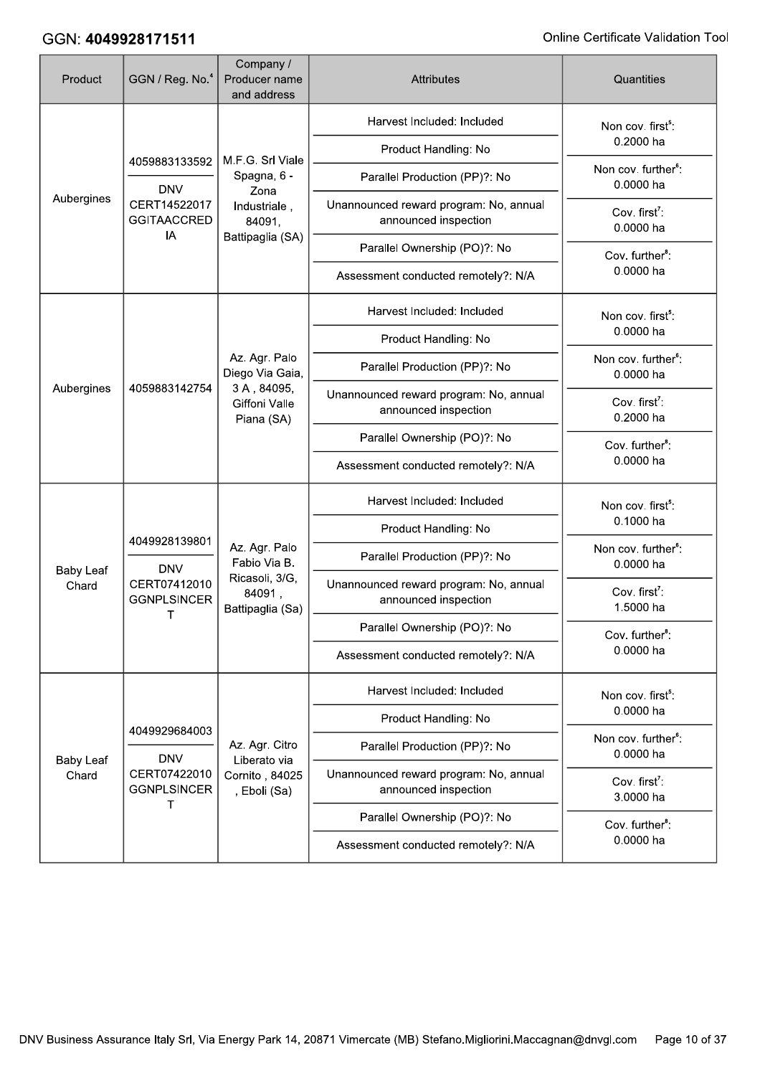| Product          | GGN / Reg. No. <sup>4</sup>                                       | Company /<br>Producer name<br>and address                                     | <b>Attributes</b>                                              | Quantities                                   |
|------------------|-------------------------------------------------------------------|-------------------------------------------------------------------------------|----------------------------------------------------------------|----------------------------------------------|
|                  |                                                                   |                                                                               | Harvest Included: Included                                     | Non cov. first <sup>5</sup> :                |
|                  | 4059883133592                                                     | M.F.G. Srl Viale                                                              | Product Handling: No                                           | 0.2000 ha                                    |
|                  | <b>DNV</b>                                                        | Spagna, 6 -<br>Zona                                                           | Parallel Production (PP)?: No                                  | Non cov. further <sup>6</sup> :<br>0.0000 ha |
| Aubergines       | CERT14522017<br><b>GGITAACCRED</b><br>IA                          | Industriale,<br>84091,                                                        | Unannounced reward program: No, annual<br>announced inspection | Cov. first <sup>7</sup> :<br>0.0000 ha       |
|                  |                                                                   | Battipaglia (SA)                                                              | Parallel Ownership (PO)?: No                                   | Cov. further <sup>8</sup> :                  |
|                  |                                                                   |                                                                               | Assessment conducted remotely?: N/A                            | 0.0000 ha                                    |
|                  |                                                                   |                                                                               | Harvest Included: Included                                     | Non cov. first <sup>5</sup> :                |
|                  |                                                                   |                                                                               | Product Handling: No                                           | 0.0000 ha                                    |
|                  |                                                                   | Az. Agr. Palo<br>Diego Via Gaia,                                              | Parallel Production (PP)?: No                                  | Non cov. further <sup>6</sup> :<br>0.0000 ha |
| Aubergines       | 4059883142754                                                     | 3A, 84095,<br>Giffoni Valle<br>Piana (SA)                                     | Unannounced reward program: No, annual<br>announced inspection | Cov. first <sup>7</sup> :<br>0.2000 ha       |
|                  |                                                                   |                                                                               | Parallel Ownership (PO)?: No                                   | Cov. further <sup>8</sup> :                  |
|                  |                                                                   |                                                                               | Assessment conducted remotely?: N/A                            | 0.0000 ha                                    |
|                  |                                                                   |                                                                               | Harvest Included: Included                                     | Non cov. first <sup>5</sup> :                |
|                  | 4049928139801<br><b>DNV</b><br>CERT07412010<br><b>GGNPLSINCER</b> | Az. Agr. Palo<br>Fabio Via B.<br>Ricasoli, 3/G,<br>84091,<br>Battipaglia (Sa) | Product Handling: No                                           | 0.1000 ha                                    |
| <b>Baby Leaf</b> |                                                                   |                                                                               | Parallel Production (PP)?: No                                  | Non cov. further <sup>6</sup> :<br>0.0000 ha |
| Chard            |                                                                   |                                                                               | Unannounced reward program: No, annual<br>announced inspection | Cov. first <sup>7</sup> :<br>1.5000 ha       |
|                  | Τ                                                                 |                                                                               | Parallel Ownership (PO)?: No                                   | Cov. further <sup>8</sup> :                  |
|                  |                                                                   |                                                                               | Assessment conducted remotely?: N/A                            | 0.0000 ha                                    |
|                  |                                                                   |                                                                               | Harvest Included: Included                                     | Non cov. first <sup>5</sup> :                |
|                  | 4049929684003                                                     |                                                                               | Product Handling: No                                           | 0.0000 ha                                    |
| <b>Baby Leaf</b> | <b>DNV</b>                                                        | Az. Agr. Citro<br>Liberato via                                                | Parallel Production (PP)?: No                                  | Non cov. further <sup>6</sup> :<br>0.0000 ha |
| Chard            | CERT07422010<br><b>GGNPLSINCER</b>                                | Cornito, 84025<br>, Eboli (Sa)                                                | Unannounced reward program: No, annual<br>announced inspection | Cov. first <sup>7</sup> :<br>3.0000 ha       |
|                  | т                                                                 |                                                                               | Parallel Ownership (PO)?: No                                   | Cov. further <sup>8</sup> :                  |
|                  |                                                                   |                                                                               | Assessment conducted remotely?: N/A                            | 0.0000 ha                                    |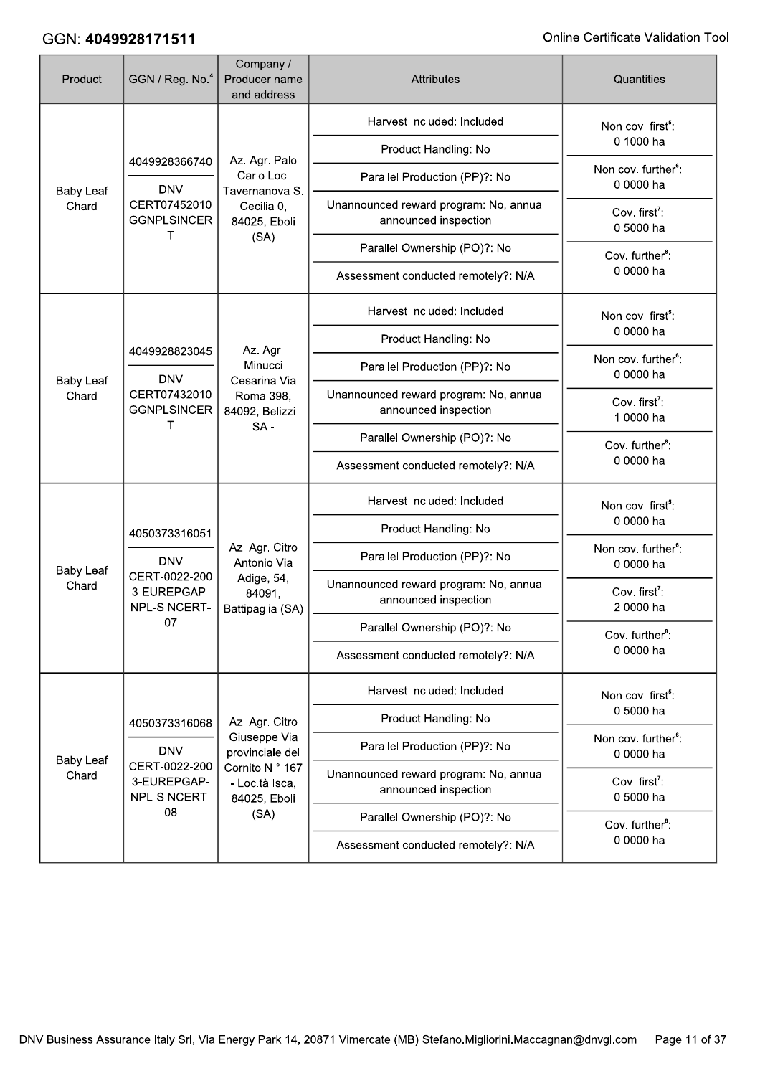| Product                   | GGN / Reg. No. <sup>4</sup>                                                                         | Company /<br>Producer name<br>and address                                 | <b>Attributes</b>                                              | Quantities                                   |
|---------------------------|-----------------------------------------------------------------------------------------------------|---------------------------------------------------------------------------|----------------------------------------------------------------|----------------------------------------------|
| <b>Baby Leaf</b><br>Chard | 4049928366740                                                                                       |                                                                           | Harvest Included: Included                                     | Non cov. first <sup>5</sup> :                |
|                           |                                                                                                     | Az. Agr. Palo                                                             | Product Handling: No                                           | 0.1000 ha                                    |
|                           | <b>DNV</b>                                                                                          | Carlo Loc.<br>Tavernanova S.                                              | Parallel Production (PP)?: No                                  | Non cov. further <sup>6</sup> :<br>0.0000 ha |
|                           | CERT07452010<br><b>GGNPLSINCER</b><br>т                                                             | Cecilia 0,<br>84025, Eboli                                                | Unannounced reward program: No, annual<br>announced inspection | Cov. first <sup>7</sup> :<br>0.5000 ha       |
|                           |                                                                                                     | (SA)                                                                      | Parallel Ownership (PO)?: No                                   | Cov. further <sup>8</sup> :                  |
|                           |                                                                                                     |                                                                           | Assessment conducted remotely?: N/A                            | 0.0000 ha                                    |
|                           |                                                                                                     |                                                                           | Harvest Included: Included                                     | Non cov. first <sup>5</sup> :                |
|                           |                                                                                                     | Az. Agr.                                                                  | Product Handling: No                                           | 0.0000 ha                                    |
|                           | 4049928823045<br><b>DNV</b><br><b>Baby Leaf</b><br>CERT07432010<br>Chard<br><b>GGNPLSINCER</b><br>т | Minucci                                                                   | Parallel Production (PP)?: No                                  | Non cov. further <sup>6</sup> :<br>0.0000 ha |
|                           |                                                                                                     | Cesarina Via<br>Roma 398,<br>84092, Belizzi -<br>$SA -$                   | Unannounced reward program: No, annual<br>announced inspection | Cov. first <sup>7</sup> :<br>1.0000 ha       |
|                           |                                                                                                     |                                                                           | Parallel Ownership (PO)?: No                                   | Cov. further <sup>8</sup> :                  |
|                           |                                                                                                     |                                                                           | Assessment conducted remotely?: N/A                            | 0.0000 ha                                    |
|                           | 4050373316051<br><b>DNV</b>                                                                         |                                                                           | Harvest Included: Included                                     | Non cov. first <sup>5</sup> :                |
|                           |                                                                                                     |                                                                           | Product Handling: No                                           | 0.0000 ha                                    |
| <b>Baby Leaf</b>          |                                                                                                     | Az. Agr. Citro<br>Antonio Via<br>Adige, 54,<br>84091,<br>Battipaglia (SA) | Parallel Production (PP)?: No                                  | Non cov. further <sup>6</sup> :<br>0.0000 ha |
| Chard                     | CERT-0022-200<br>3-EUREPGAP-<br>NPL-SINCERT-                                                        |                                                                           | Unannounced reward program: No, annual<br>announced inspection | Cov. first <sup>7</sup> :<br>2.0000 ha       |
|                           | 07                                                                                                  |                                                                           | Parallel Ownership (PO)?: No                                   | Cov. further <sup>8</sup> :                  |
|                           |                                                                                                     |                                                                           | Assessment conducted remotely?: N/A                            | 0.0000 ha                                    |
|                           |                                                                                                     |                                                                           | Harvest Included: Included                                     | Non cov. first <sup>5</sup> :                |
|                           | 4050373316068                                                                                       | Az. Agr. Citro                                                            | Product Handling: No                                           | 0.5000 ha                                    |
| <b>Baby Leaf</b>          | <b>DNV</b>                                                                                          | Giuseppe Via<br>provinciale del                                           | Parallel Production (PP)?: No                                  | Non cov. further <sup>6</sup> :<br>0.0000 ha |
| Chard                     | CERT-0022-200<br>3-EUREPGAP-<br>NPL-SINCERT-                                                        | Cornito N ° 167<br>- Loc.tà Isca,<br>84025, Eboli                         | Unannounced reward program: No, annual<br>announced inspection | Cov. first <sup>7</sup> :<br>0.5000 ha       |
|                           | 08                                                                                                  | (SA)                                                                      | Parallel Ownership (PO)?: No                                   | Cov. further <sup>8</sup> :                  |
|                           |                                                                                                     |                                                                           | Assessment conducted remotely?: N/A                            | 0.0000 ha                                    |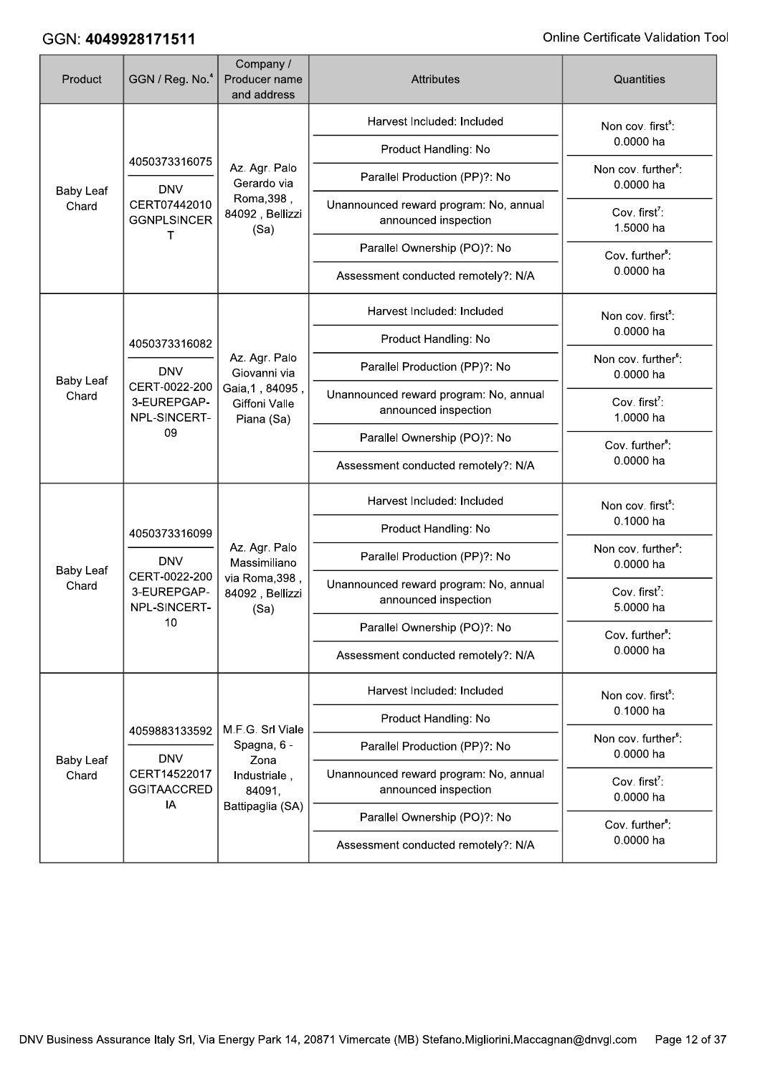| Product                   | GGN / Reg. No. <sup>4</sup>                                                 | Company /<br>Producer name<br>and address                                  | <b>Attributes</b>                                              | Quantities                                   |
|---------------------------|-----------------------------------------------------------------------------|----------------------------------------------------------------------------|----------------------------------------------------------------|----------------------------------------------|
|                           |                                                                             |                                                                            | Harvest Included: Included                                     | Non cov. first <sup>5</sup> :                |
| <b>Baby Leaf</b><br>Chard | 4050373316075                                                               |                                                                            | Product Handling: No                                           | 0.0000 ha                                    |
|                           | <b>DNV</b>                                                                  | Az. Agr. Palo<br>Gerardo via                                               | Parallel Production (PP)?: No                                  | Non cov. further <sup>6</sup> :<br>0.0000 ha |
|                           | CERT07442010<br><b>GGNPLSINCER</b>                                          | Roma, 398,<br>84092, Bellizzi<br>(Sa)                                      | Unannounced reward program: No, annual<br>announced inspection | Cov. first <sup>7</sup> :<br>1.5000 ha       |
|                           | т                                                                           |                                                                            | Parallel Ownership (PO)?: No                                   | Cov. further <sup>8</sup> :                  |
|                           |                                                                             |                                                                            | Assessment conducted remotely?: N/A                            | 0.0000 ha                                    |
|                           |                                                                             |                                                                            | Harvest Included: Included                                     | Non cov. first <sup>5</sup> :                |
|                           | 4050373316082                                                               |                                                                            | Product Handling: No                                           | 0.0000 ha                                    |
| <b>Baby Leaf</b><br>Chard | <b>DNV</b>                                                                  | Az. Agr. Palo<br>Giovanni via                                              | Parallel Production (PP)?: No                                  | Non cov. further <sup>6</sup> :<br>0.0000 ha |
|                           | CERT-0022-200<br>3-EUREPGAP-<br>NPL-SINCERT-<br>09                          | Gaia, 1, 84095,<br>Giffoni Valle<br>Piana (Sa)                             | Unannounced reward program: No, annual<br>announced inspection | Cov. first <sup>7</sup> :<br>1.0000 ha       |
|                           |                                                                             |                                                                            | Parallel Ownership (PO)?: No                                   | Cov. further <sup>8</sup> :                  |
|                           |                                                                             |                                                                            | Assessment conducted remotely?: N/A                            | 0.0000 ha                                    |
|                           |                                                                             |                                                                            | Harvest Included: Included                                     | Non cov. first <sup>5</sup> :                |
|                           | 4050373316099<br><b>DNV</b><br>CERT-0022-200<br>3-EUREPGAP-<br>NPL-SINCERT- | Az. Agr. Palo<br>Massimiliano<br>via Roma, 398,<br>84092, Bellizzi<br>(Sa) | Product Handling: No                                           | 0.1000 ha                                    |
| <b>Baby Leaf</b>          |                                                                             |                                                                            | Parallel Production (PP)?: No                                  | Non cov. further <sup>6</sup> :<br>0.0000 ha |
| Chard                     |                                                                             |                                                                            | Unannounced reward program: No, annual<br>announced inspection | Cov. first <sup>7</sup> :<br>5.0000 ha       |
|                           | 10                                                                          |                                                                            | Parallel Ownership (PO)?: No                                   | Cov. further <sup>8</sup> :                  |
|                           |                                                                             |                                                                            | Assessment conducted remotely?: N/A                            | 0.0000 ha                                    |
|                           |                                                                             |                                                                            | Harvest Included: Included                                     | Non cov. first <sup>5</sup> :                |
|                           | 4059883133592                                                               | M.F.G. Srl Viale                                                           | Product Handling: No                                           | 0.1000 ha                                    |
| <b>Baby Leaf</b>          | <b>DNV</b>                                                                  | Spagna, 6 -<br>Zona                                                        | Parallel Production (PP)?: No                                  | Non cov. further <sup>6</sup> :<br>0.0000 ha |
| Chard                     | CERT14522017<br><b>GGITAACCRED</b>                                          | Industriale,<br>84091,                                                     | Unannounced reward program: No, annual<br>announced inspection | Cov. first <sup>7</sup> :<br>0.0000 ha       |
|                           | IA                                                                          | Battipaglia (SA)                                                           | Parallel Ownership (PO)?: No                                   | Cov. further <sup>8</sup> :                  |
|                           |                                                                             |                                                                            | Assessment conducted remotely?: N/A                            | 0.0000 ha                                    |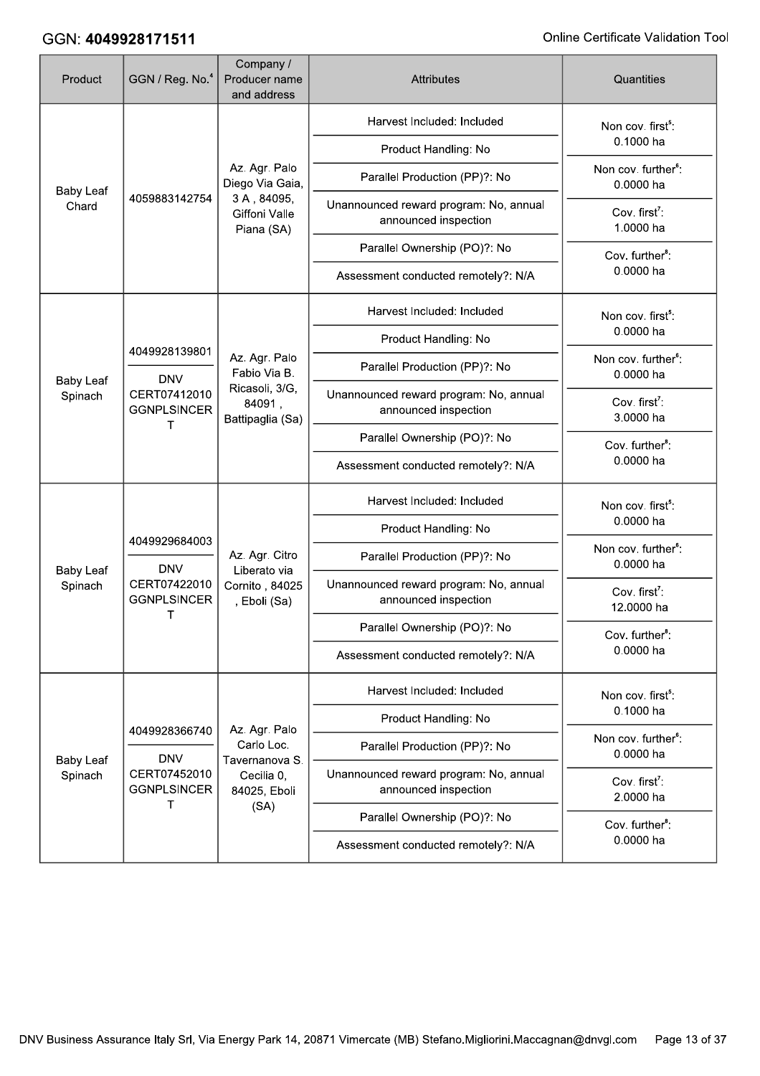| Product                     | GGN / Reg. No. <sup>4</sup>             | Company /<br>Producer name<br>and address                        | <b>Attributes</b>                                              | Quantities                                   |
|-----------------------------|-----------------------------------------|------------------------------------------------------------------|----------------------------------------------------------------|----------------------------------------------|
|                             |                                         |                                                                  | Harvest Included: Included                                     | Non cov. first <sup>5</sup> :                |
|                             |                                         |                                                                  | Product Handling: No                                           | 0.1000 ha                                    |
| <b>Baby Leaf</b><br>Chard   |                                         | Az. Agr. Palo<br>Diego Via Gaia,                                 | Parallel Production (PP)?: No                                  | Non cov. further <sup>6</sup> :<br>0.0000 ha |
|                             | 4059883142754                           | 3A, 84095,<br>Giffoni Valle<br>Piana (SA)                        | Unannounced reward program: No, annual<br>announced inspection | Cov. first <sup>7</sup> :<br>1.0000 ha       |
|                             |                                         |                                                                  | Parallel Ownership (PO)?: No                                   | Cov. further <sup>8</sup> :                  |
|                             |                                         |                                                                  | Assessment conducted remotely?: N/A                            | 0.0000 ha                                    |
|                             |                                         |                                                                  | Harvest Included: Included                                     | Non cov. first <sup>5</sup> :                |
|                             | 4049928139801                           |                                                                  | Product Handling: No                                           | 0.0000 ha                                    |
|                             | <b>DNV</b>                              | Az. Agr. Palo<br>Fabio Via B.                                    | Parallel Production (PP)?: No                                  | Non cov. further <sup>6</sup> :<br>0.0000 ha |
| <b>Baby Leaf</b><br>Spinach | CERT07412010<br><b>GGNPLSINCER</b><br>т | Ricasoli, 3/G,<br>84091,<br>Battipaglia (Sa)                     | Unannounced reward program: No, annual<br>announced inspection | Cov. first <sup>7</sup> :<br>3.0000 ha       |
|                             |                                         |                                                                  | Parallel Ownership (PO)?: No                                   | Cov. further <sup>8</sup> :                  |
|                             |                                         |                                                                  | Assessment conducted remotely?: N/A                            | 0.0000 ha                                    |
|                             |                                         |                                                                  | Harvest Included: Included                                     | Non cov. first <sup>5</sup> :                |
|                             | 4049929684003<br><b>DNV</b>             | Az. Agr. Citro<br>Liberato via<br>Cornito, 84025<br>, Eboli (Sa) | Product Handling: No                                           | 0.0000 ha                                    |
| <b>Baby Leaf</b>            |                                         |                                                                  | Parallel Production (PP)?: No                                  | Non cov. further <sup>6</sup> :<br>0.0000 ha |
| Spinach                     | CERT07422010<br><b>GGNPLSINCER</b><br>т |                                                                  | Unannounced reward program: No, annual<br>announced inspection | Cov. first <sup>7</sup> :<br>12.0000 ha      |
|                             |                                         |                                                                  | Parallel Ownership (PO)?: No                                   | Cov. further <sup>8</sup> :                  |
|                             |                                         |                                                                  | Assessment conducted remotely?: N/A                            | 0.0000 ha                                    |
|                             |                                         |                                                                  | Harvest Included: Included                                     | Non cov. first <sup>5</sup> :                |
|                             | 4049928366740                           | Az. Agr. Palo                                                    | Product Handling: No                                           | 0.1000 ha                                    |
| <b>Baby Leaf</b>            | <b>DNV</b>                              | Carlo Loc.<br>Tavernanova S.                                     | Parallel Production (PP)?: No                                  | Non cov. further <sup>6</sup> :<br>0.0000 ha |
| Spinach                     | CERT07452010<br><b>GGNPLSINCER</b><br>T | Cecilia 0,<br>84025, Eboli                                       | Unannounced reward program: No, annual<br>announced inspection | Cov. first <sup>7</sup> :<br>2.0000 ha       |
|                             |                                         | (SA)                                                             | Parallel Ownership (PO)?: No                                   | Cov. further <sup>8</sup> :                  |
|                             |                                         |                                                                  | Assessment conducted remotely?: N/A                            | 0.0000 ha                                    |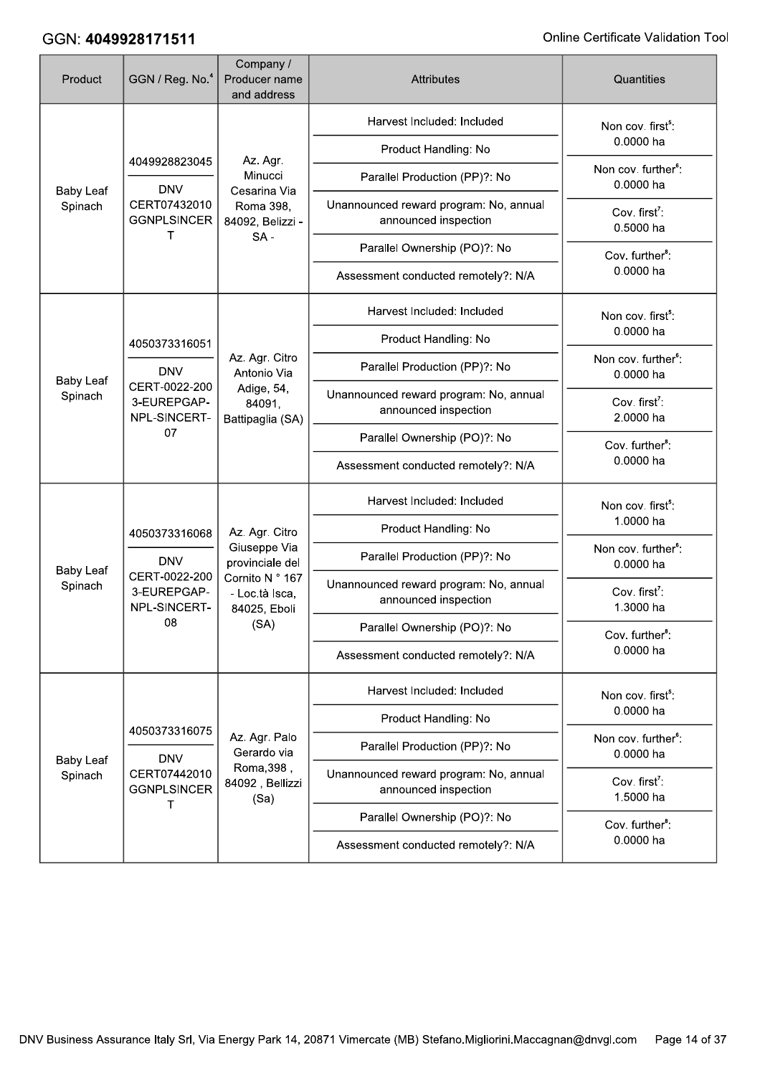| Product                                                                   | GGN / Reg. No. <sup>4</sup>                                                 | Company /<br>Producer name<br>and address         | <b>Attributes</b>                                              | Quantities                                   |
|---------------------------------------------------------------------------|-----------------------------------------------------------------------------|---------------------------------------------------|----------------------------------------------------------------|----------------------------------------------|
|                                                                           |                                                                             |                                                   | Harvest Included: Included                                     | Non cov. first <sup>5</sup> :                |
| <b>Baby Leaf</b><br>Spinach                                               | 4049928823045                                                               | Az. Agr.                                          | Product Handling: No                                           | 0.0000 ha                                    |
|                                                                           | <b>DNV</b>                                                                  | Minucci<br>Cesarina Via                           | Parallel Production (PP)?: No                                  | Non cov. further <sup>6</sup> :<br>0.0000 ha |
|                                                                           | CERT07432010<br><b>GGNPLSINCER</b><br>т                                     | Roma 398,<br>84092, Belizzi -                     | Unannounced reward program: No, annual<br>announced inspection | Cov. first <sup>7</sup> :<br>0.5000 ha       |
|                                                                           |                                                                             | $SA -$                                            | Parallel Ownership (PO)?: No                                   | Cov. further <sup>8</sup> :                  |
|                                                                           |                                                                             |                                                   | Assessment conducted remotely?: N/A                            | 0.0000 ha                                    |
|                                                                           |                                                                             |                                                   | Harvest Included: Included                                     | Non cov. first <sup>5</sup> :                |
|                                                                           | 4050373316051                                                               |                                                   | Product Handling: No                                           | 0.0000 ha                                    |
| <b>DNV</b><br><b>Baby Leaf</b><br>CERT-0022-200<br>Spinach<br>3-EUREPGAP- | Az. Agr. Citro<br>Antonio Via                                               | Parallel Production (PP)?: No                     | Non cov. further <sup>6</sup> :<br>0.0000 ha                   |                                              |
|                                                                           | NPL-SINCERT-<br>07                                                          | Adige, 54,<br>84091,<br>Battipaglia (SA)          | Unannounced reward program: No, annual<br>announced inspection | Cov. first <sup>7</sup> :<br>2.0000 ha       |
|                                                                           |                                                                             |                                                   | Parallel Ownership (PO)?: No                                   | Cov. further <sup>8</sup> :                  |
|                                                                           |                                                                             |                                                   | Assessment conducted remotely?: N/A                            | 0.0000 ha                                    |
|                                                                           |                                                                             |                                                   | Harvest Included: Included                                     | Non cov. first <sup>5</sup> :                |
|                                                                           | 4050373316068<br><b>DNV</b><br>CERT-0022-200<br>3-EUREPGAP-<br>NPL-SINCERT- | Az. Agr. Citro                                    | Product Handling: No                                           | 1.0000 ha                                    |
| <b>Baby Leaf</b>                                                          |                                                                             | <b>Giuseppe Via</b><br>provinciale del            | Parallel Production (PP)?: No                                  | Non cov. further <sup>6</sup> :<br>0.0000 ha |
| Spinach                                                                   |                                                                             | Cornito N ° 167<br>- Loc.tà Isca,<br>84025, Eboli | Unannounced reward program: No, annual<br>announced inspection | Cov. first <sup>7</sup> :<br>1.3000 ha       |
|                                                                           | 08                                                                          | (SA)                                              | Parallel Ownership (PO)?: No                                   | Cov. further <sup>8</sup> :                  |
|                                                                           |                                                                             |                                                   | Assessment conducted remotely?: N/A                            | 0.0000 ha                                    |
|                                                                           |                                                                             |                                                   | Harvest Included: Included                                     | Non cov. first <sup>5</sup> :                |
|                                                                           | 4050373316075                                                               |                                                   | Product Handling: No                                           | 0.0000 ha                                    |
| <b>Baby Leaf</b>                                                          | <b>DNV</b>                                                                  | Az. Agr. Palo<br>Gerardo via                      | Parallel Production (PP)?: No                                  | Non cov. further <sup>6</sup> :<br>0.0000 ha |
| Spinach                                                                   | CERT07442010<br><b>GGNPLSINCER</b>                                          | Roma, 398,<br>84092, Bellizzi<br>(Sa)             | Unannounced reward program: No, annual<br>announced inspection | Cov. first <sup>7</sup> :<br>1.5000 ha       |
|                                                                           | т                                                                           |                                                   | Parallel Ownership (PO)?: No                                   | Cov. further <sup>8</sup> :                  |
|                                                                           |                                                                             |                                                   | Assessment conducted remotely?: N/A                            | 0.0000 ha                                    |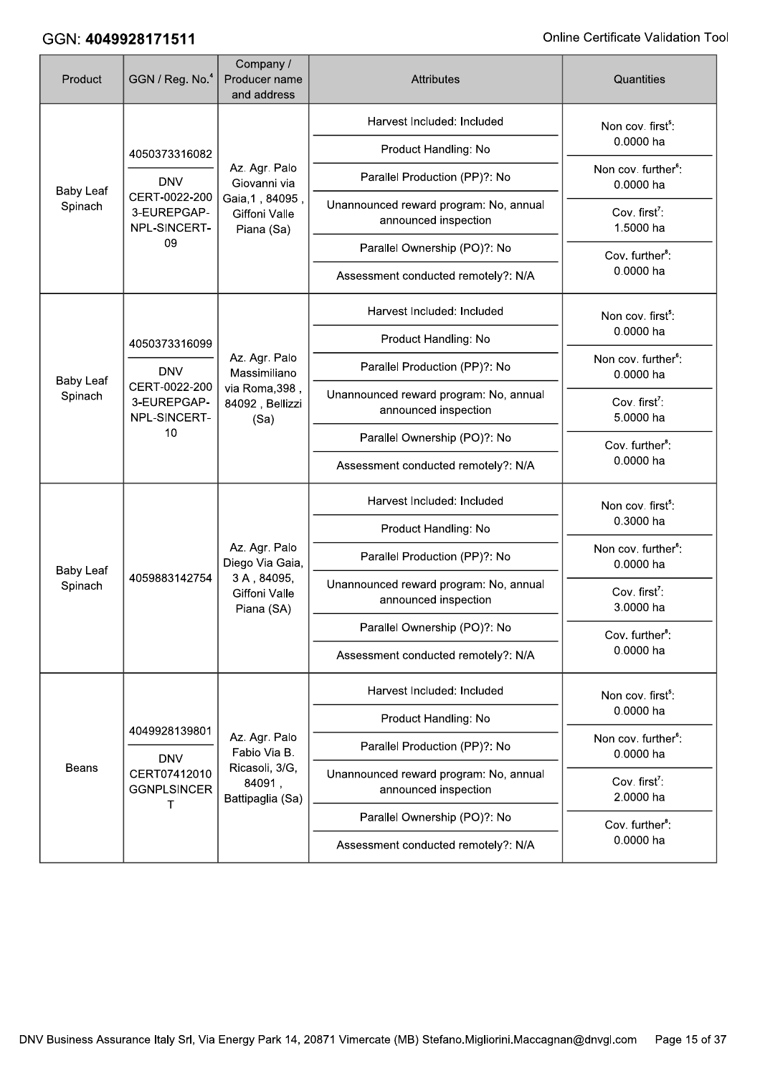| Product                     | GGN / Reg. No. <sup>4</sup>                        | Company /<br>Producer name<br>and address      | <b>Attributes</b>                                              | Quantities                                   |
|-----------------------------|----------------------------------------------------|------------------------------------------------|----------------------------------------------------------------|----------------------------------------------|
|                             |                                                    |                                                | Harvest Included: Included                                     | Non cov. first <sup>5</sup> :                |
| <b>Baby Leaf</b><br>Spinach | 4050373316082                                      |                                                | Product Handling: No                                           | 0.0000 ha                                    |
|                             | <b>DNV</b>                                         | Az. Agr. Palo<br>Giovanni via                  | Parallel Production (PP)?: No                                  | Non cov. further <sup>6</sup> :<br>0.0000 ha |
|                             | CERT-0022-200<br>3-EUREPGAP-<br>NPL-SINCERT-       | Gaia, 1, 84095,<br>Giffoni Valle<br>Piana (Sa) | Unannounced reward program: No, annual<br>announced inspection | Cov. first <sup>7</sup> :<br>1.5000 ha       |
|                             | 09                                                 |                                                | Parallel Ownership (PO)?: No                                   | Cov. further <sup>8</sup> :                  |
|                             |                                                    |                                                | Assessment conducted remotely?: N/A                            | 0.0000 ha                                    |
|                             |                                                    |                                                | Harvest Included: Included                                     | Non cov. first <sup>5</sup> :                |
|                             | 4050373316099                                      |                                                | Product Handling: No                                           | 0.0000 ha                                    |
|                             | <b>DNV</b>                                         | Az. Agr. Palo<br>Massimiliano                  | Parallel Production (PP)?: No                                  | Non cov. further <sup>6</sup> :<br>0.0000 ha |
| <b>Baby Leaf</b><br>Spinach | CERT-0022-200<br>3-EUREPGAP-<br>NPL-SINCERT-<br>10 | via Roma, 398,<br>84092, Bellizzi<br>(Sa)      | Unannounced reward program: No, annual<br>announced inspection | Cov. first <sup>7</sup> :<br>5.0000 ha       |
|                             |                                                    |                                                | Parallel Ownership (PO)?: No                                   | Cov. further <sup>8</sup> :<br>0.0000 ha     |
|                             |                                                    |                                                | Assessment conducted remotely?: N/A                            |                                              |
|                             | 4059883142754                                      |                                                | Harvest Included: Included                                     | Non cov. first <sup>5</sup> :                |
|                             |                                                    |                                                | Product Handling: No                                           | 0.3000 ha                                    |
| <b>Baby Leaf</b>            |                                                    | Az. Agr. Palo<br>Diego Via Gaia,               | Parallel Production (PP)?: No                                  | Non cov. further <sup>6</sup> :<br>0.0000 ha |
| Spinach                     |                                                    | 3A, 84095,<br>Giffoni Valle<br>Piana (SA)      | Unannounced reward program: No, annual<br>announced inspection | Cov. first <sup>7</sup> :<br>3.0000 ha       |
|                             |                                                    |                                                | Parallel Ownership (PO)?: No                                   | Cov. further <sup>8</sup> :                  |
|                             |                                                    |                                                | Assessment conducted remotely?: N/A                            | 0.0000 ha                                    |
|                             |                                                    |                                                | Harvest Included: Included                                     | Non cov. first <sup>5</sup> :                |
|                             | 4049928139801                                      |                                                | Product Handling: No                                           | 0.0000 ha                                    |
|                             | <b>DNV</b>                                         | Az. Agr. Palo<br>Fabio Via B.                  | Parallel Production (PP)?: No                                  | Non cov. further <sup>6</sup> :<br>0.0000 ha |
| Beans                       | CERT07412010<br><b>GGNPLSINCER</b><br>т            | Ricasoli, 3/G,<br>84091,<br>Battipaglia (Sa)   | Unannounced reward program: No, annual<br>announced inspection | Cov. first <sup>7</sup> :<br>2.0000 ha       |
|                             |                                                    |                                                | Parallel Ownership (PO)?: No                                   | Cov. further <sup>8</sup> :                  |
|                             |                                                    |                                                | Assessment conducted remotely?: N/A                            | 0.0000 ha                                    |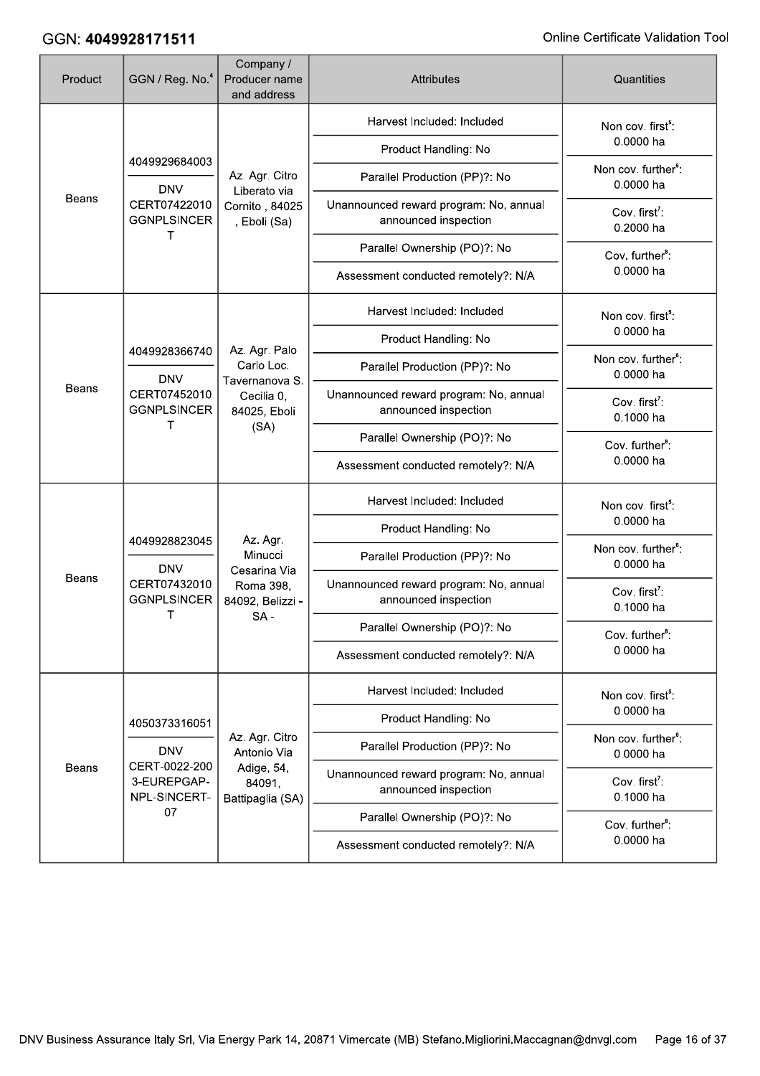| Product      | GGN / Reg. No. <sup>4</sup>                                                     | Company /<br>Producer name<br>and address                            | <b>Attributes</b>                                              | Quantities                                   |
|--------------|---------------------------------------------------------------------------------|----------------------------------------------------------------------|----------------------------------------------------------------|----------------------------------------------|
| Beans        | 4049929684003                                                                   |                                                                      | Harvest Included: Included                                     | Non cov. first <sup>5</sup> :                |
|              |                                                                                 |                                                                      | Product Handling: No                                           | 0.0000 ha                                    |
|              | <b>DNV</b>                                                                      | Az. Agr. Citro<br>Liberato via                                       | Parallel Production (PP)?: No                                  | Non cov. further <sup>6</sup> :<br>0.0000 ha |
|              | CERT07422010<br><b>GGNPLSINCER</b><br>т                                         | Cornito, 84025<br>, Eboli (Sa)                                       | Unannounced reward program: No, annual<br>announced inspection | Cov. first <sup>7</sup> :<br>0.2000 ha       |
|              |                                                                                 |                                                                      | Parallel Ownership (PO)?: No                                   | Cov. further <sup>8</sup> :                  |
|              |                                                                                 |                                                                      | Assessment conducted remotely?: N/A                            | 0.0000 ha                                    |
|              |                                                                                 |                                                                      | Harvest Included: Included                                     | Non cov. first <sup>5</sup> :                |
|              |                                                                                 | Az. Agr. Palo                                                        | Product Handling: No                                           | 0.0000 ha                                    |
|              | 4049928366740<br><b>DNV</b><br>Beans<br>CERT07452010<br><b>GGNPLSINCER</b><br>т | Carlo Loc.                                                           | Parallel Production (PP)?: No                                  | Non cov. further <sup>6</sup> :<br>0.0000 ha |
|              |                                                                                 | Tavernanova S.<br>Cecilia 0,<br>84025, Eboli<br>(SA)                 | Unannounced reward program: No, annual<br>announced inspection | Cov. first <sup>7</sup> :<br>0.1000 ha       |
|              |                                                                                 |                                                                      | Parallel Ownership (PO)?: No                                   | Cov. further <sup>8</sup> :                  |
|              |                                                                                 |                                                                      | Assessment conducted remotely?: N/A                            | 0.0000 ha                                    |
|              |                                                                                 |                                                                      | Harvest Included: Included                                     | Non cov. first <sup>5</sup> :                |
|              | 4049928823045<br><b>DNV</b><br>CERT07432010<br><b>GGNPLSINCER</b>               |                                                                      | Product Handling: No                                           | 0.0000 ha                                    |
|              |                                                                                 | Az. Agr.<br>Minucci<br>Cesarina Via<br>Roma 398,<br>84092, Belizzi - | Parallel Production (PP)?: No                                  | Non cov. further <sup>6</sup> :<br>0.0000 ha |
| <b>Beans</b> |                                                                                 |                                                                      | Unannounced reward program: No, annual<br>announced inspection | Cov. first <sup>7</sup> :<br>0.1000 ha       |
|              | Τ                                                                               | $SA -$                                                               | Parallel Ownership (PO)?: No                                   | Cov. further <sup>8</sup> :                  |
|              |                                                                                 |                                                                      | Assessment conducted remotely?: N/A                            | 0.0000 ha                                    |
|              |                                                                                 |                                                                      | Harvest Included: Included                                     | Non cov. first <sup>5</sup> :                |
|              | 4050373316051                                                                   |                                                                      | Product Handling: No                                           | 0.0000 ha                                    |
|              | <b>DNV</b>                                                                      | Az. Agr. Citro<br>Antonio Via                                        | Parallel Production (PP)?: No                                  | Non cov. further <sup>6</sup> :<br>0.0000 ha |
| Beans        | CERT-0022-200<br>3-EUREPGAP-<br>NPL-SINCERT-                                    | Adige, 54,<br>84091,<br>Battipaglia (SA)                             | Unannounced reward program: No, annual<br>announced inspection | Cov. first <sup>7</sup> :<br>0.1000 ha       |
|              | 07                                                                              |                                                                      | Parallel Ownership (PO)?: No                                   | Cov. further <sup>8</sup> :                  |
|              |                                                                                 |                                                                      | Assessment conducted remotely?: N/A                            | 0.0000 ha                                    |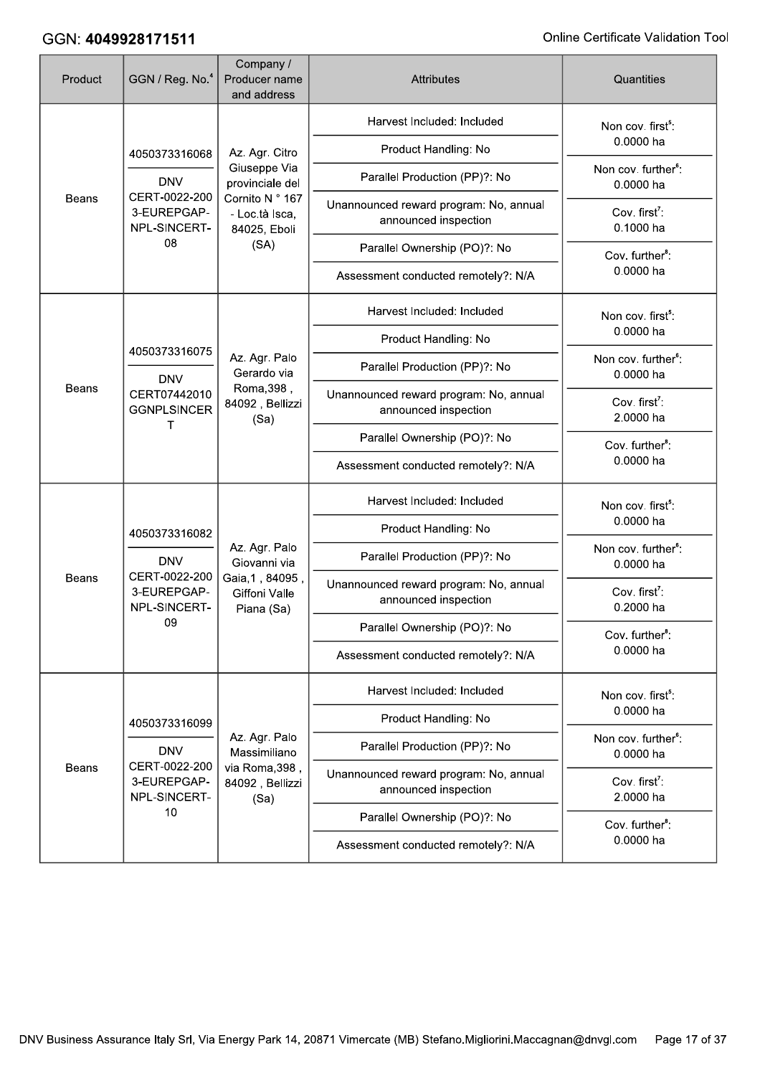| Product      | GGN / Reg. No. <sup>4</sup>                                                 | Company /<br>Producer name<br>and address                                       | <b>Attributes</b>                                              | Quantities                                   |
|--------------|-----------------------------------------------------------------------------|---------------------------------------------------------------------------------|----------------------------------------------------------------|----------------------------------------------|
|              |                                                                             |                                                                                 | Harvest Included: Included                                     | Non cov. first <sup>5</sup> :                |
|              | 4050373316068                                                               | Az. Agr. Citro                                                                  | Product Handling: No                                           | 0.0000 ha                                    |
|              | <b>DNV</b>                                                                  | Giuseppe Via<br>provinciale del                                                 | Parallel Production (PP)?: No                                  | Non cov. further <sup>6</sup> :<br>0.0000 ha |
| <b>Beans</b> | CERT-0022-200<br>3-EUREPGAP-<br>NPL-SINCERT-                                | Cornito N ° 167<br>- Loc.tà Isca,<br>84025, Eboli                               | Unannounced reward program: No, annual<br>announced inspection | Cov. first <sup>7</sup> :<br>0.1000 ha       |
|              | 08                                                                          | (SA)                                                                            | Parallel Ownership (PO)?: No                                   | Cov. further <sup>8</sup> :                  |
|              |                                                                             |                                                                                 | Assessment conducted remotely?: N/A                            | 0.0000 ha                                    |
|              |                                                                             |                                                                                 | Harvest Included: Included                                     | Non cov. first <sup>5</sup> :                |
|              | 4050373316075                                                               |                                                                                 | Product Handling: No                                           | 0.0000 ha                                    |
|              | <b>DNV</b>                                                                  | Az. Agr. Palo<br>Gerardo via                                                    | Parallel Production (PP)?: No                                  | Non cov. further <sup>6</sup> :<br>0.0000 ha |
| Beans        | CERT07442010<br><b>GGNPLSINCER</b><br>т                                     | Roma, 398,<br>84092, Bellizzi<br>(Sa)                                           | Unannounced reward program: No, annual<br>announced inspection | Cov. first <sup>7</sup> :<br>2.0000 ha       |
|              |                                                                             |                                                                                 | Parallel Ownership (PO)?: No                                   | Cov. further <sup>8</sup> :                  |
|              |                                                                             |                                                                                 | Assessment conducted remotely?: N/A                            | 0.0000 ha                                    |
|              |                                                                             | Az. Agr. Palo<br>Giovanni via<br>Gaia, 1, 84095,<br>Giffoni Valle<br>Piana (Sa) | Harvest Included: Included                                     | Non cov. first <sup>5</sup> :                |
|              | 4050373316082<br><b>DNV</b><br>CERT-0022-200<br>3-EUREPGAP-<br>NPL-SINCERT- |                                                                                 | Product Handling: No                                           | 0.0000 ha                                    |
|              |                                                                             |                                                                                 | Parallel Production (PP)?: No                                  | Non cov. further <sup>6</sup> :<br>0.0000 ha |
| <b>Beans</b> |                                                                             |                                                                                 | Unannounced reward program: No, annual<br>announced inspection | Cov. first <sup>7</sup> :<br>0.2000 ha       |
|              | 09                                                                          |                                                                                 | Parallel Ownership (PO)?: No                                   | Cov. further <sup>8</sup> :                  |
|              |                                                                             |                                                                                 | Assessment conducted remotely?: N/A                            | 0.0000 ha                                    |
|              |                                                                             |                                                                                 | Harvest Included: Included                                     | Non cov. first <sup>5</sup> :                |
|              | 4050373316099                                                               |                                                                                 | Product Handling: No                                           | 0.0000 ha                                    |
|              | <b>DNV</b>                                                                  | Az. Agr. Palo<br>Massimiliano                                                   | Parallel Production (PP)?: No                                  | Non cov. further <sup>6</sup> :<br>0.0000 ha |
| Beans        | CERT-0022-200<br>3-EUREPGAP-<br>NPL-SINCERT-                                | via Roma, 398,<br>84092, Bellizzi<br>(Sa)                                       | Unannounced reward program: No, annual<br>announced inspection | Cov. first <sup>7</sup> :<br>2.0000 ha       |
|              | 10                                                                          |                                                                                 | Parallel Ownership (PO)?: No                                   | Cov. further <sup>8</sup> :                  |
|              |                                                                             |                                                                                 | Assessment conducted remotely?: N/A                            | 0.0000 ha                                    |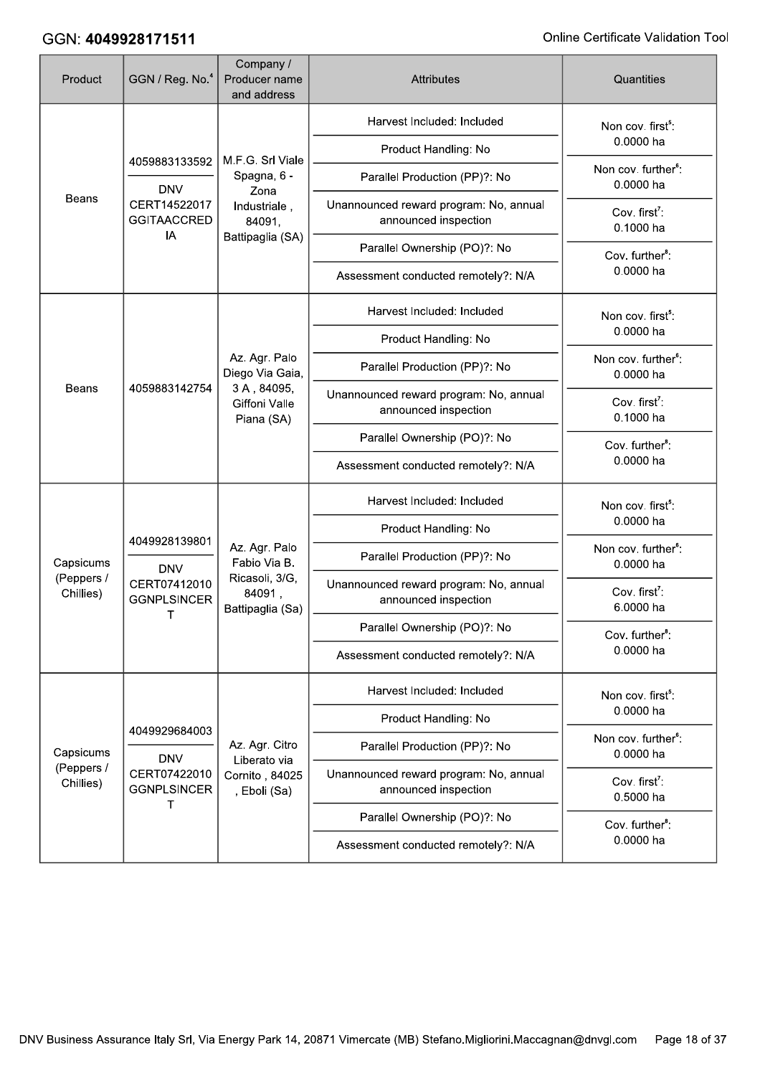| Product                 | GGN / Reg. No. <sup>4</sup>                                       | Company /<br>Producer name<br>and address                                     | <b>Attributes</b>                                              | Quantities                                   |
|-------------------------|-------------------------------------------------------------------|-------------------------------------------------------------------------------|----------------------------------------------------------------|----------------------------------------------|
| <b>Beans</b>            | 4059883133592                                                     |                                                                               | Harvest Included: Included                                     | Non cov. first <sup>5</sup> :                |
|                         |                                                                   | M.F.G. Srl Viale                                                              | Product Handling: No                                           | 0.0000 ha                                    |
|                         | <b>DNV</b>                                                        | Spagna, 6 -<br>Zona                                                           | Parallel Production (PP)?: No                                  | Non cov. further <sup>6</sup> :<br>0.0000 ha |
|                         | CERT14522017<br><b>GGITAACCRED</b><br>IA                          | Industriale,<br>84091,                                                        | Unannounced reward program: No, annual<br>announced inspection | Cov. first <sup>7</sup> :<br>0.1000 ha       |
|                         |                                                                   | Battipaglia (SA)                                                              | Parallel Ownership (PO)?: No                                   | Cov. further <sup>8</sup> :                  |
|                         |                                                                   |                                                                               | Assessment conducted remotely?: N/A                            | 0.0000 ha                                    |
|                         |                                                                   |                                                                               | Harvest Included: Included                                     | Non cov. first <sup>5</sup> :                |
|                         |                                                                   |                                                                               | Product Handling: No                                           | 0.0000 ha                                    |
|                         |                                                                   | Az. Agr. Palo<br>Diego Via Gaia,                                              | Parallel Production (PP)?: No                                  | Non cov. further <sup>6</sup> :<br>0.0000 ha |
| <b>Beans</b>            | 4059883142754                                                     | 3A, 84095,<br>Giffoni Valle<br>Piana (SA)                                     | Unannounced reward program: No, annual<br>announced inspection | Cov. first <sup>7</sup> :<br>0.1000 ha       |
|                         |                                                                   |                                                                               | Parallel Ownership (PO)?: No                                   | Cov. further <sup>8</sup> :                  |
|                         |                                                                   |                                                                               | Assessment conducted remotely?: N/A                            | 0.0000 ha                                    |
|                         |                                                                   |                                                                               | Harvest Included: Included                                     | Non cov. first <sup>5</sup> :                |
|                         | 4049928139801<br><b>DNV</b><br>CERT07412010<br><b>GGNPLSINCER</b> | Az. Agr. Palo<br>Fabio Via B.<br>Ricasoli, 3/G,<br>84091,<br>Battipaglia (Sa) | Product Handling: No                                           | 0.0000 ha                                    |
| Capsicums               |                                                                   |                                                                               | Parallel Production (PP)?: No                                  | Non cov. further <sup>6</sup> :<br>0.0000 ha |
| (Peppers /<br>Chillies) |                                                                   |                                                                               | Unannounced reward program: No, annual<br>announced inspection | Cov. first <sup>7</sup> :<br>6.0000 ha       |
|                         | Τ                                                                 |                                                                               | Parallel Ownership (PO)?: No                                   | Cov. further <sup>8</sup> :                  |
|                         |                                                                   |                                                                               | Assessment conducted remotely?: N/A                            | 0.0000 ha                                    |
|                         |                                                                   |                                                                               | Harvest Included: Included                                     | Non cov. first <sup>5</sup> :                |
|                         | 4049929684003                                                     |                                                                               | Product Handling: No                                           | 0.0000 ha                                    |
| Capsicums               | <b>DNV</b>                                                        | Az. Agr. Citro<br>Liberato via                                                | Parallel Production (PP)?: No                                  | Non cov. further <sup>6</sup> :<br>0.0000 ha |
| (Peppers /<br>Chillies) | CERT07422010<br><b>GGNPLSINCER</b>                                | Cornito, 84025<br>, Eboli (Sa)                                                | Unannounced reward program: No, annual<br>announced inspection | Cov. first <sup>7</sup> :<br>0.5000 ha       |
|                         | т                                                                 |                                                                               | Parallel Ownership (PO)?: No                                   | Cov. further <sup>8</sup> :                  |
|                         |                                                                   |                                                                               | Assessment conducted remotely?: N/A                            | 0.0000 ha                                    |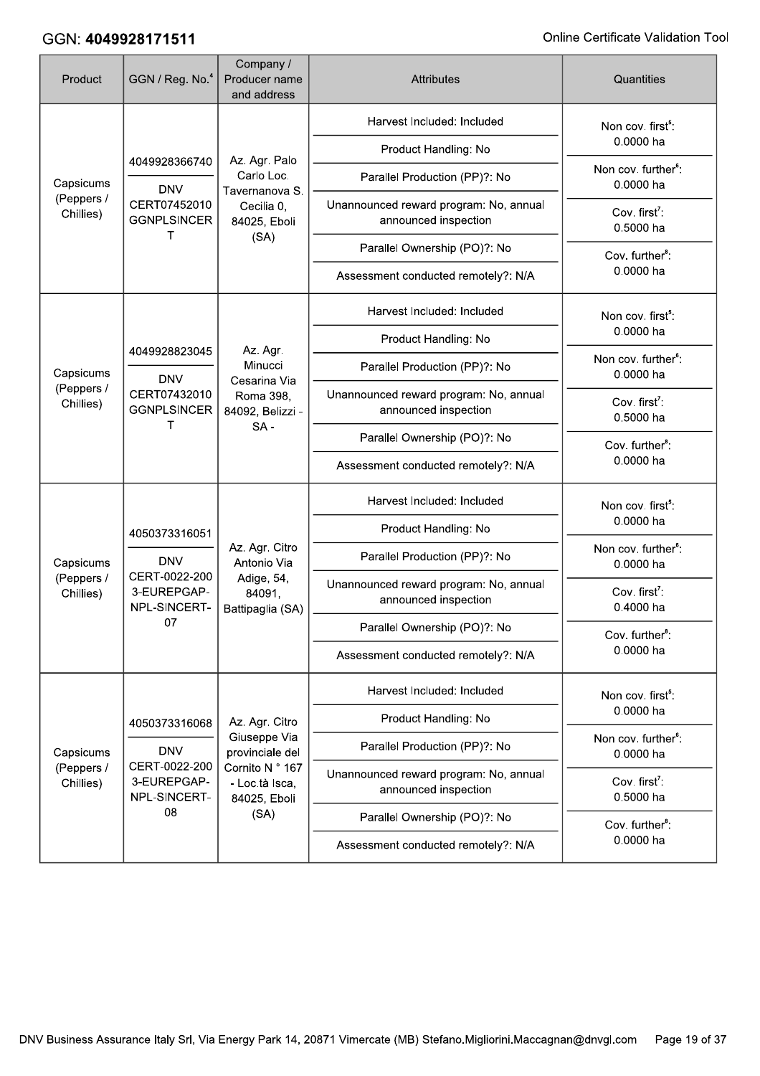| Product                              | GGN / Reg. No. <sup>4</sup>                  | Company /<br>Producer name<br>and address               | <b>Attributes</b>                                              | Quantities                                   |
|--------------------------------------|----------------------------------------------|---------------------------------------------------------|----------------------------------------------------------------|----------------------------------------------|
|                                      |                                              |                                                         | Harvest Included: Included                                     | Non cov. first <sup>5</sup> :                |
| Capsicums<br>(Peppers /<br>Chillies) | 4049928366740                                | Az. Agr. Palo                                           | Product Handling: No                                           | 0.0000 ha                                    |
|                                      | <b>DNV</b>                                   | Carlo Loc.<br>Tavernanova S.                            | Parallel Production (PP)?: No                                  | Non cov. further <sup>6</sup> :<br>0.0000 ha |
|                                      | CERT07452010<br><b>GGNPLSINCER</b><br>т      | Cecilia 0,<br>84025, Eboli                              | Unannounced reward program: No, annual<br>announced inspection | Cov. first <sup>7</sup> :<br>0.5000 ha       |
|                                      |                                              | (SA)                                                    | Parallel Ownership (PO)?: No                                   | Cov. further <sup>8</sup> :                  |
|                                      |                                              |                                                         | Assessment conducted remotely?: N/A                            | 0.0000 ha                                    |
|                                      |                                              |                                                         | Harvest Included: Included                                     | Non cov. first <sup>5</sup> :                |
|                                      | 4049928823045                                | Az. Agr.                                                | Product Handling: No                                           | 0.0000 ha                                    |
| Capsicums                            | <b>DNV</b>                                   | Minucci                                                 | Parallel Production (PP)?: No                                  | Non cov. further <sup>6</sup> :<br>0.0000 ha |
| (Peppers /<br>Chillies)              | CERT07432010<br><b>GGNPLSINCER</b><br>т      | Cesarina Via<br>Roma 398,<br>84092, Belizzi -<br>$SA -$ | Unannounced reward program: No, annual<br>announced inspection | Cov. first <sup>7</sup> :<br>0.5000 ha       |
|                                      |                                              |                                                         | Parallel Ownership (PO)?: No                                   | Cov. further <sup>8</sup> :                  |
|                                      |                                              |                                                         | Assessment conducted remotely?: N/A                            | 0.0000 ha                                    |
|                                      |                                              |                                                         | Harvest Included: Included                                     | Non cov. first <sup>5</sup> :                |
|                                      | 4050373316051<br><b>DNV</b>                  | Az. Agr. Citro<br>Antonio Via                           | Product Handling: No                                           | 0.0000 ha                                    |
| Capsicums                            |                                              |                                                         | Parallel Production (PP)?: No                                  | Non cov. further <sup>6</sup> :<br>0.0000 ha |
| (Peppers /<br>Chillies)              | CERT-0022-200<br>3-EUREPGAP-<br>NPL-SINCERT- | Adige, 54,<br>84091,<br>Battipaglia (SA)                | Unannounced reward program: No, annual<br>announced inspection | Cov. first <sup>7</sup> :<br>0.4000 ha       |
|                                      | 07                                           |                                                         | Parallel Ownership (PO)?: No                                   | Cov. further <sup>8</sup> :                  |
|                                      |                                              |                                                         | Assessment conducted remotely?: N/A                            | 0.0000 ha                                    |
|                                      |                                              |                                                         | Harvest Included: Included                                     | Non cov. first <sup>5</sup> :                |
|                                      | 4050373316068                                | Az. Agr. Citro                                          | Product Handling: No                                           | 0.0000 ha                                    |
| Capsicums                            | <b>DNV</b>                                   | Giuseppe Via<br>provinciale del                         | Parallel Production (PP)?: No                                  | Non cov. further <sup>6</sup> :<br>0.0000 ha |
| (Peppers /<br>Chillies)              | CERT-0022-200<br>3-EUREPGAP-<br>NPL-SINCERT- | Cornito N ° 167<br>- Loc.tà Isca,<br>84025, Eboli       | Unannounced reward program: No, annual<br>announced inspection | Cov. first <sup>7</sup> :<br>0.5000 ha       |
|                                      | 08                                           | (SA)                                                    | Parallel Ownership (PO)?: No                                   | Cov. further <sup>8</sup> :                  |
|                                      |                                              |                                                         | Assessment conducted remotely?: N/A                            | 0.0000 ha                                    |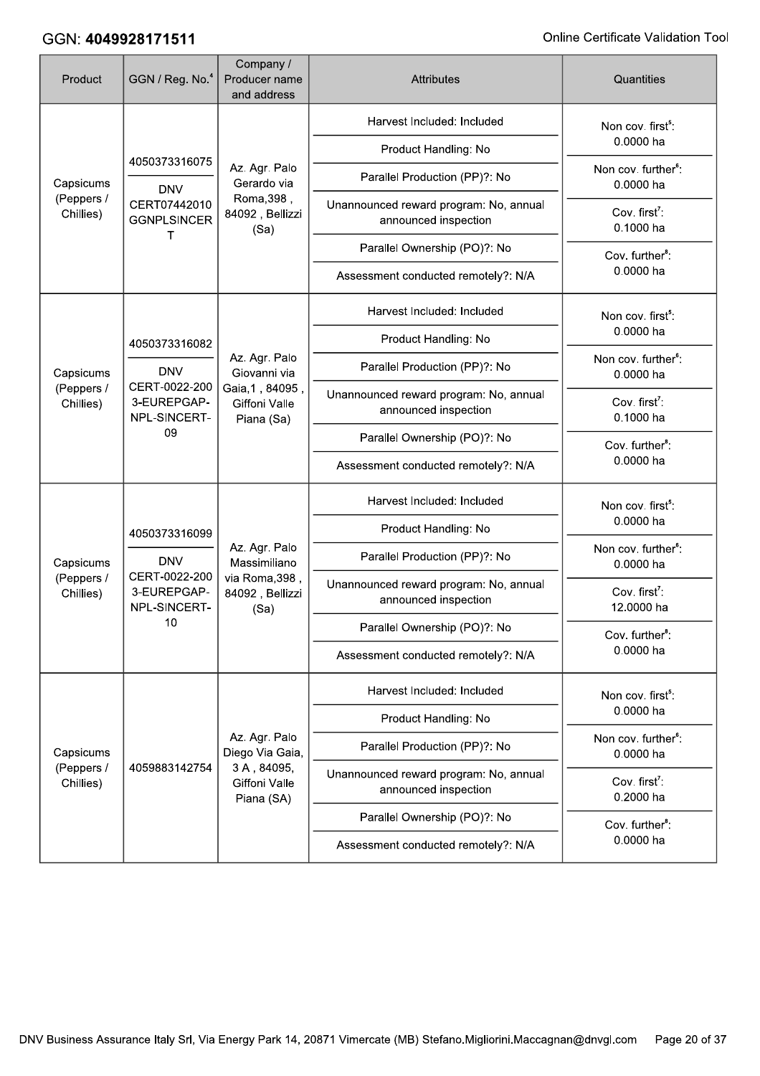| Product                                                                            | GGN / Reg. No. <sup>4</sup>                                                 | Company /<br>Producer name<br>and address                                  | <b>Attributes</b>                                              | Quantities                                                                                                             |
|------------------------------------------------------------------------------------|-----------------------------------------------------------------------------|----------------------------------------------------------------------------|----------------------------------------------------------------|------------------------------------------------------------------------------------------------------------------------|
|                                                                                    |                                                                             |                                                                            | Harvest Included: Included                                     | Non cov. first <sup>5</sup> :                                                                                          |
| Capsicums<br>(Peppers /<br>Chillies)                                               | 4050373316075                                                               |                                                                            | Product Handling: No                                           | 0.0000 ha                                                                                                              |
|                                                                                    | <b>DNV</b>                                                                  | Az. Agr. Palo<br>Gerardo via                                               | Parallel Production (PP)?: No                                  | Non cov. further <sup>6</sup> :<br>0.0000 ha                                                                           |
|                                                                                    | CERT07442010<br><b>GGNPLSINCER</b><br>т                                     | Roma, 398,<br>84092, Bellizzi<br>(Sa)                                      | Unannounced reward program: No, annual<br>announced inspection | Cov. first <sup>7</sup> :<br>0.1000 ha                                                                                 |
|                                                                                    |                                                                             |                                                                            | Parallel Ownership (PO)?: No                                   | Cov. further <sup>8</sup> :                                                                                            |
|                                                                                    |                                                                             |                                                                            | Assessment conducted remotely?: N/A                            | 0.0000 ha                                                                                                              |
|                                                                                    |                                                                             |                                                                            | Harvest Included: Included                                     | Non cov. first <sup>5</sup> :                                                                                          |
|                                                                                    | 4050373316082                                                               |                                                                            | Product Handling: No                                           | 0.0000 ha                                                                                                              |
| <b>DNV</b><br>Capsicums<br>CERT-0022-200<br>(Peppers /<br>3-EUREPGAP-<br>Chillies) | Az. Agr. Palo<br>Giovanni via                                               | Parallel Production (PP)?: No                                              | Non cov. further <sup>6</sup> :<br>0.0000 ha                   |                                                                                                                        |
|                                                                                    | NPL-SINCERT-<br>09                                                          | Gaia, 1, 84095,<br>Giffoni Valle<br>Piana (Sa)                             | Unannounced reward program: No, annual<br>announced inspection | Cov. first <sup>7</sup> :<br>0.1000 ha                                                                                 |
|                                                                                    |                                                                             |                                                                            | Parallel Ownership (PO)?: No                                   | Cov. further <sup>8</sup> :                                                                                            |
|                                                                                    |                                                                             |                                                                            | Assessment conducted remotely?: N/A                            | 0.0000 ha                                                                                                              |
|                                                                                    |                                                                             |                                                                            | Harvest Included: Included                                     | Non cov. first <sup>5</sup> :                                                                                          |
|                                                                                    | 4050373316099<br><b>DNV</b><br>CERT-0022-200<br>3-EUREPGAP-<br>NPL-SINCERT- |                                                                            | Product Handling: No                                           | 0.0000 ha                                                                                                              |
| Capsicums                                                                          |                                                                             | Az. Agr. Palo<br>Massimiliano<br>via Roma, 398,<br>84092, Bellizzi<br>(Sa) | Parallel Production (PP)?: No                                  | Non cov. further <sup>6</sup> :<br>0.0000 ha<br>Cov. first <sup>7</sup> :<br>12.0000 ha<br>Cov. further <sup>8</sup> : |
| (Peppers /<br>Chillies)                                                            |                                                                             |                                                                            | Unannounced reward program: No, annual<br>announced inspection |                                                                                                                        |
|                                                                                    | 10                                                                          |                                                                            | Parallel Ownership (PO)?: No                                   |                                                                                                                        |
|                                                                                    |                                                                             |                                                                            | Assessment conducted remotely?: N/A                            | 0.0000 ha                                                                                                              |
|                                                                                    |                                                                             |                                                                            | Harvest Included: Included                                     | Non cov. first <sup>5</sup> :                                                                                          |
|                                                                                    |                                                                             |                                                                            | Product Handling: No                                           | 0.0000 ha                                                                                                              |
| Capsicums                                                                          |                                                                             | Az. Agr. Palo<br>Diego Via Gaia,                                           | Parallel Production (PP)?: No                                  | Non cov. further <sup>6</sup> :<br>0.0000 ha                                                                           |
| (Peppers /<br>Chillies)                                                            | 4059883142754                                                               | 3A, 84095,<br>Giffoni Valle<br>Piana (SA)                                  | Unannounced reward program: No, annual<br>announced inspection | Cov. first <sup>7</sup> :<br>0.2000 ha                                                                                 |
|                                                                                    |                                                                             |                                                                            | Parallel Ownership (PO)?: No                                   | Cov. further <sup>8</sup> :                                                                                            |
|                                                                                    |                                                                             |                                                                            | Assessment conducted remotely?: N/A                            | 0.0000 ha                                                                                                              |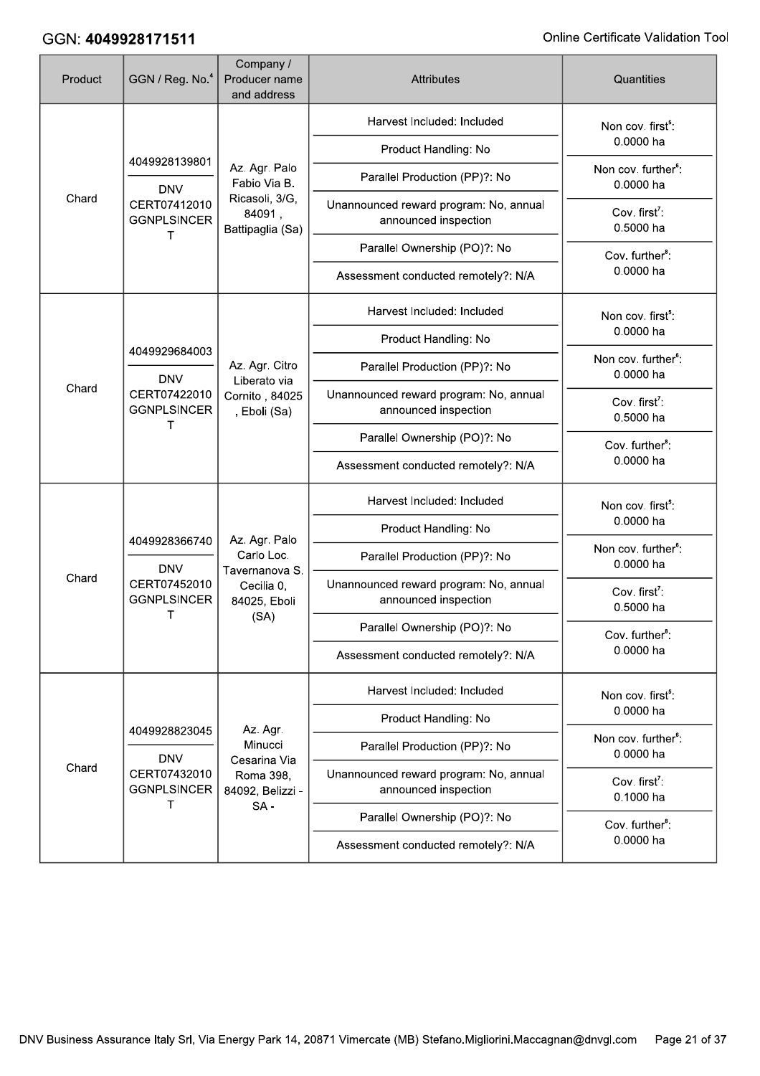| Product | GGN / Reg. No. <sup>4</sup>                                                     | Company /<br>Producer name<br>and address                                   | <b>Attributes</b>                                              | Quantities                                   |
|---------|---------------------------------------------------------------------------------|-----------------------------------------------------------------------------|----------------------------------------------------------------|----------------------------------------------|
|         |                                                                                 |                                                                             | Harvest Included: Included                                     | Non cov. first <sup>5</sup> :                |
| Chard   | 4049928139801                                                                   |                                                                             | Product Handling: No                                           | 0.0000 ha                                    |
|         | <b>DNV</b>                                                                      | Az. Agr. Palo<br>Fabio Via B.                                               | Parallel Production (PP)?: No                                  | Non cov. further <sup>6</sup> :<br>0.0000 ha |
|         | CERT07412010<br><b>GGNPLSINCER</b>                                              | Ricasoli, 3/G,<br>84091,<br>Battipaglia (Sa)                                | Unannounced reward program: No, annual<br>announced inspection | Cov. first <sup>7</sup> :<br>0.5000 ha       |
|         | т                                                                               |                                                                             | Parallel Ownership (PO)?: No                                   | Cov. further <sup>8</sup> :                  |
|         |                                                                                 |                                                                             | Assessment conducted remotely?: N/A                            | 0.0000 ha                                    |
|         |                                                                                 |                                                                             | Harvest Included: Included                                     | Non cov. first <sup>5</sup> :                |
|         |                                                                                 |                                                                             | Product Handling: No                                           | 0.0000 ha                                    |
|         | 4049929684003<br><b>DNV</b><br>Chard<br>CERT07422010<br><b>GGNPLSINCER</b><br>т | Az. Agr. Citro                                                              | Parallel Production (PP)?: No                                  | Non cov. further <sup>6</sup> :<br>0.0000 ha |
|         |                                                                                 | Liberato via<br>Cornito, 84025<br>, Eboli (Sa)                              | Unannounced reward program: No, annual<br>announced inspection | Cov. first <sup>7</sup> :<br>0.5000 ha       |
|         |                                                                                 |                                                                             | Parallel Ownership (PO)?: No                                   | Cov. further <sup>8</sup> :                  |
|         |                                                                                 |                                                                             | Assessment conducted remotely?: N/A                            | 0.0000 ha                                    |
|         |                                                                                 |                                                                             | Harvest Included: Included                                     | Non cov. first <sup>5</sup> :                |
|         | 4049928366740<br><b>DNV</b><br>CERT07452010<br><b>GGNPLSINCER</b>               | Az. Agr. Palo<br>Carlo Loc.<br>Tavernanova S.<br>Cecilia 0,<br>84025, Eboli | Product Handling: No                                           | 0.0000 ha                                    |
|         |                                                                                 |                                                                             | Parallel Production (PP)?: No                                  | Non cov. further <sup>6</sup> :<br>0.0000 ha |
| Chard   |                                                                                 |                                                                             | Unannounced reward program: No, annual<br>announced inspection | Cov. first <sup>7</sup> :<br>0.5000 ha       |
|         | т                                                                               | (SA)                                                                        | Parallel Ownership (PO)?: No                                   | Cov. further <sup>8</sup> :                  |
|         |                                                                                 |                                                                             | Assessment conducted remotely?: N/A                            | 0.0000 ha                                    |
|         |                                                                                 |                                                                             | Harvest Included: Included                                     | Non cov. first <sup>5</sup> :                |
|         | 4049928823045                                                                   | Az. Agr.                                                                    | Product Handling: No                                           | 0.0000 ha                                    |
|         | <b>DNV</b>                                                                      | Minucci<br>Cesarina Via                                                     | Parallel Production (PP)?: No                                  | Non cov. further <sup>6</sup> :<br>0.0000 ha |
| Chard   | CERT07432010<br><b>GGNPLSINCER</b>                                              | Roma 398,<br>84092, Belizzi -                                               | Unannounced reward program: No, annual<br>announced inspection | Cov. first <sup>7</sup> :<br>0.1000 ha       |
|         | т                                                                               | $SA -$                                                                      | Parallel Ownership (PO)?: No                                   | Cov. further <sup>8</sup> :                  |
|         |                                                                                 |                                                                             | Assessment conducted remotely?: N/A                            | 0.0000 ha                                    |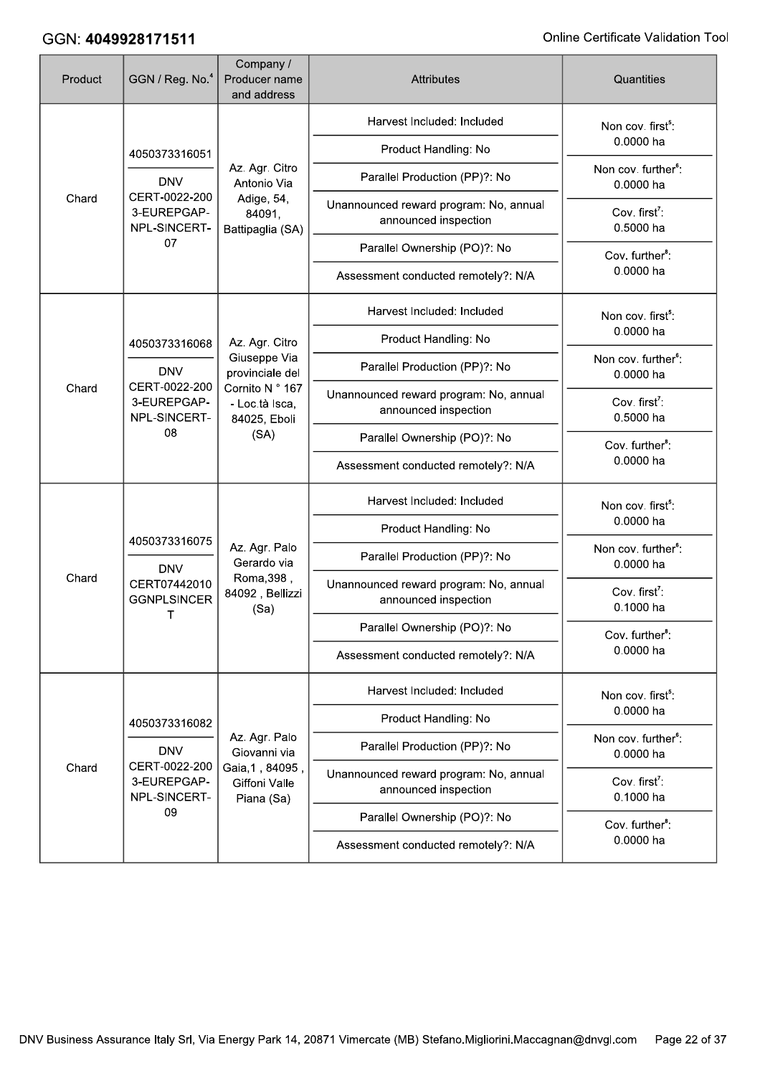| Product | GGN / Reg. No. <sup>4</sup>                                               | Company /<br>Producer name<br>and address                             | <b>Attributes</b>                                              | Quantities                                   |
|---------|---------------------------------------------------------------------------|-----------------------------------------------------------------------|----------------------------------------------------------------|----------------------------------------------|
|         |                                                                           |                                                                       | Harvest Included: Included                                     | Non cov. first <sup>5</sup> :                |
| Chard   | 4050373316051                                                             |                                                                       | Product Handling: No                                           | 0.0000 ha                                    |
|         | <b>DNV</b>                                                                | Az. Agr. Citro<br>Antonio Via                                         | Parallel Production (PP)?: No                                  | Non cov. further <sup>6</sup> :<br>0.0000 ha |
|         | CERT-0022-200<br>3-EUREPGAP-<br>NPL-SINCERT-                              | Adige, 54,<br>84091,<br>Battipaglia (SA)                              | Unannounced reward program: No, annual<br>announced inspection | Cov. first <sup>7</sup> :<br>0.5000 ha       |
|         | 07                                                                        |                                                                       | Parallel Ownership (PO)?: No                                   | Cov. further <sup>8</sup> :                  |
|         |                                                                           |                                                                       | Assessment conducted remotely?: N/A                            | 0.0000 ha                                    |
|         |                                                                           |                                                                       | Harvest Included: Included                                     | Non cov. first <sup>5</sup> :                |
|         | 4050373316068                                                             | Az. Agr. Citro                                                        | Product Handling: No                                           | 0.0000 ha                                    |
|         | <b>DNV</b><br>CERT-0022-200<br>Chard<br>3-EUREPGAP-<br>NPL-SINCERT-<br>08 | Giuseppe Via<br>provinciale del                                       | Parallel Production (PP)?: No                                  | Non cov. further <sup>6</sup> :<br>0.0000 ha |
|         |                                                                           | Cornito N ° 167<br>- Loc.tà Isca,<br>84025, Eboli<br>(SA)             | Unannounced reward program: No, annual<br>announced inspection | Cov. first <sup>7</sup> :<br>0.5000 ha       |
|         |                                                                           |                                                                       | Parallel Ownership (PO)?: No                                   | Cov. further <sup>8</sup> :<br>0.0000 ha     |
|         |                                                                           |                                                                       | Assessment conducted remotely?: N/A                            |                                              |
|         |                                                                           |                                                                       | Harvest Included: Included                                     | Non cov. first <sup>5</sup> :                |
|         | 4050373316075<br><b>DNV</b>                                               |                                                                       | Product Handling: No                                           | 0.0000 ha                                    |
|         |                                                                           | Az. Agr. Palo<br>Gerardo via<br>Roma, 398,<br>84092, Bellizzi<br>(Sa) | Parallel Production (PP)?: No                                  | Non cov. further <sup>6</sup> :<br>0.0000 ha |
| Chard   | CERT07442010<br><b>GGNPLSINCER</b><br>Τ                                   |                                                                       | Unannounced reward program: No, annual<br>announced inspection | Cov. first <sup>7</sup> :<br>0.1000 ha       |
|         |                                                                           |                                                                       | Parallel Ownership (PO)?: No                                   | Cov. further <sup>8</sup> :                  |
|         |                                                                           |                                                                       | Assessment conducted remotely?: N/A                            | 0.0000 ha                                    |
|         |                                                                           |                                                                       | Harvest Included: Included                                     | Non cov. first <sup>5</sup> :                |
|         | 4050373316082                                                             |                                                                       | Product Handling: No                                           | 0.0000 ha                                    |
|         | <b>DNV</b>                                                                | Az. Agr. Palo<br>Giovanni via                                         | Parallel Production (PP)?: No                                  | Non cov. further <sup>6</sup> :<br>0.0000 ha |
| Chard   | CERT-0022-200<br>3-EUREPGAP-<br>NPL-SINCERT-                              | Gaia, 1, 84095,<br>Giffoni Valle<br>Piana (Sa)                        | Unannounced reward program: No, annual<br>announced inspection | Cov. first <sup>7</sup> :<br>0.1000 ha       |
|         | 09                                                                        |                                                                       | Parallel Ownership (PO)?: No                                   | Cov. further <sup>8</sup> :                  |
|         |                                                                           |                                                                       | Assessment conducted remotely?: N/A                            | 0.0000 ha                                    |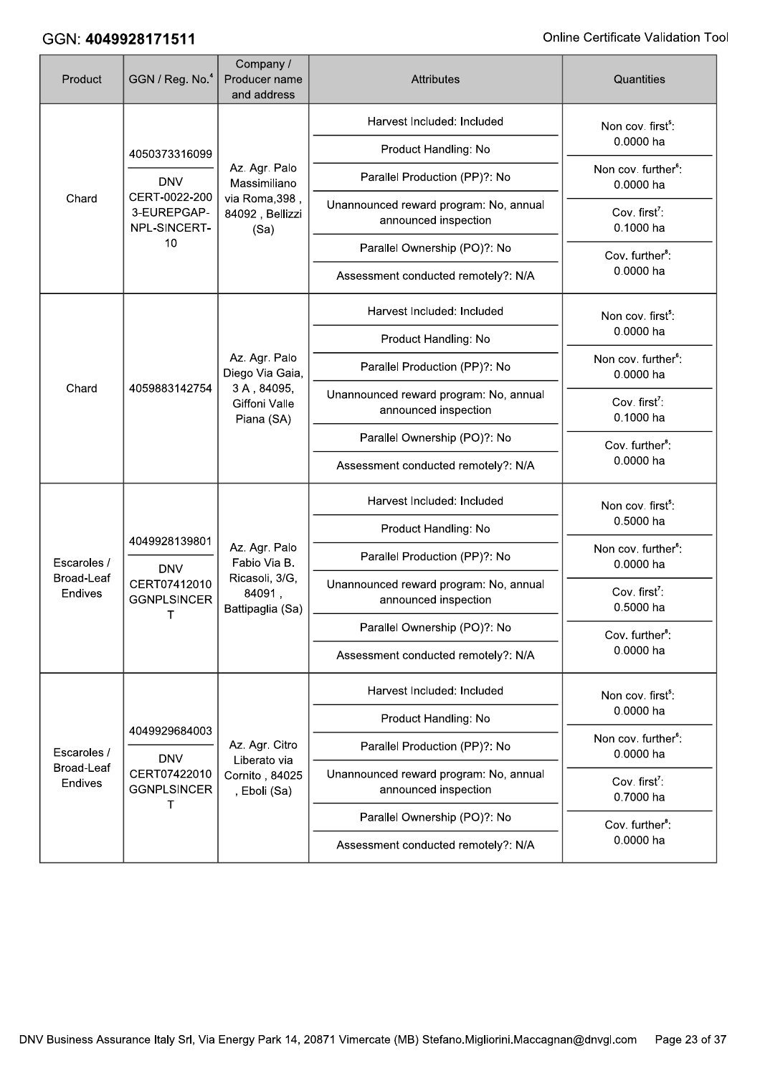| Product               | GGN / Reg. No. <sup>4</sup>                                       | Company /<br>Producer name<br>and address                                     | <b>Attributes</b>                                              | Quantities                                   |
|-----------------------|-------------------------------------------------------------------|-------------------------------------------------------------------------------|----------------------------------------------------------------|----------------------------------------------|
| Chard                 | 4050373316099                                                     |                                                                               | Harvest Included: Included                                     | Non cov. first <sup>5</sup> :                |
|                       |                                                                   |                                                                               | Product Handling: No                                           | 0.0000 ha                                    |
|                       | <b>DNV</b>                                                        | Az. Agr. Palo<br>Massimiliano                                                 | Parallel Production (PP)?: No                                  | Non cov. further <sup>6</sup> :<br>0.0000 ha |
|                       | CERT-0022-200<br>3-EUREPGAP-<br>NPL-SINCERT-                      | via Roma, 398,<br>84092, Bellizzi<br>(Sa)                                     | Unannounced reward program: No, annual<br>announced inspection | Cov. first <sup>7</sup> :<br>0.1000 ha       |
|                       | 10                                                                |                                                                               | Parallel Ownership (PO)?: No                                   | Cov. further <sup>8</sup> :                  |
|                       |                                                                   |                                                                               | Assessment conducted remotely?: N/A                            | 0.0000 ha                                    |
|                       |                                                                   |                                                                               | Harvest Included: Included                                     | Non cov. first <sup>5</sup> :                |
|                       |                                                                   |                                                                               | Product Handling: No                                           | 0.0000 ha                                    |
|                       |                                                                   | Az. Agr. Palo<br>Diego Via Gaia,                                              | Parallel Production (PP)?: No                                  | Non cov. further <sup>6</sup> :<br>0.0000 ha |
| Chard                 | 4059883142754                                                     | 3A, 84095,<br>Giffoni Valle<br>Piana (SA)                                     | Unannounced reward program: No, annual<br>announced inspection | Cov. first <sup>7</sup> :<br>0.1000 ha       |
|                       |                                                                   |                                                                               | Parallel Ownership (PO)?: No                                   | Cov. further <sup>8</sup> :                  |
|                       |                                                                   |                                                                               | Assessment conducted remotely?: N/A                            | 0.0000 ha                                    |
|                       |                                                                   |                                                                               | Harvest Included: Included                                     | Non cov. first <sup>5</sup> :                |
|                       | 4049928139801<br><b>DNV</b><br>CERT07412010<br><b>GGNPLSINCER</b> | Az. Agr. Palo<br>Fabio Via B.<br>Ricasoli, 3/G,<br>84091,<br>Battipaglia (Sa) | Product Handling: No                                           | 0.5000 ha                                    |
| Escaroles /           |                                                                   |                                                                               | Parallel Production (PP)?: No                                  | Non cov. further <sup>6</sup> :<br>0.0000 ha |
| Broad-Leaf<br>Endives |                                                                   |                                                                               | Unannounced reward program: No, annual<br>announced inspection | Cov. first <sup>7</sup> :<br>0.5000 ha       |
|                       | Τ                                                                 |                                                                               | Parallel Ownership (PO)?: No                                   | Cov. further <sup>8</sup> :                  |
|                       |                                                                   |                                                                               | Assessment conducted remotely?: N/A                            | 0.0000 ha                                    |
|                       |                                                                   |                                                                               | Harvest Included: Included                                     | Non cov. first <sup>5</sup> :                |
|                       |                                                                   |                                                                               | Product Handling: No                                           | 0.0000 ha                                    |
| Escaroles /           | 4049929684003<br><b>DNV</b>                                       | Az. Agr. Citro<br>Liberato via                                                | Parallel Production (PP)?: No                                  | Non cov. further <sup>6</sup> :<br>0.0000 ha |
| Broad-Leaf<br>Endives | CERT07422010<br><b>GGNPLSINCER</b><br>т                           | Cornito, 84025<br>, Eboli (Sa)                                                | Unannounced reward program: No, annual<br>announced inspection | Cov. first <sup>7</sup> :<br>0.7000 ha       |
|                       |                                                                   |                                                                               | Parallel Ownership (PO)?: No                                   | Cov. further <sup>8</sup> :                  |
|                       |                                                                   |                                                                               | Assessment conducted remotely?: N/A                            | 0.0000 ha                                    |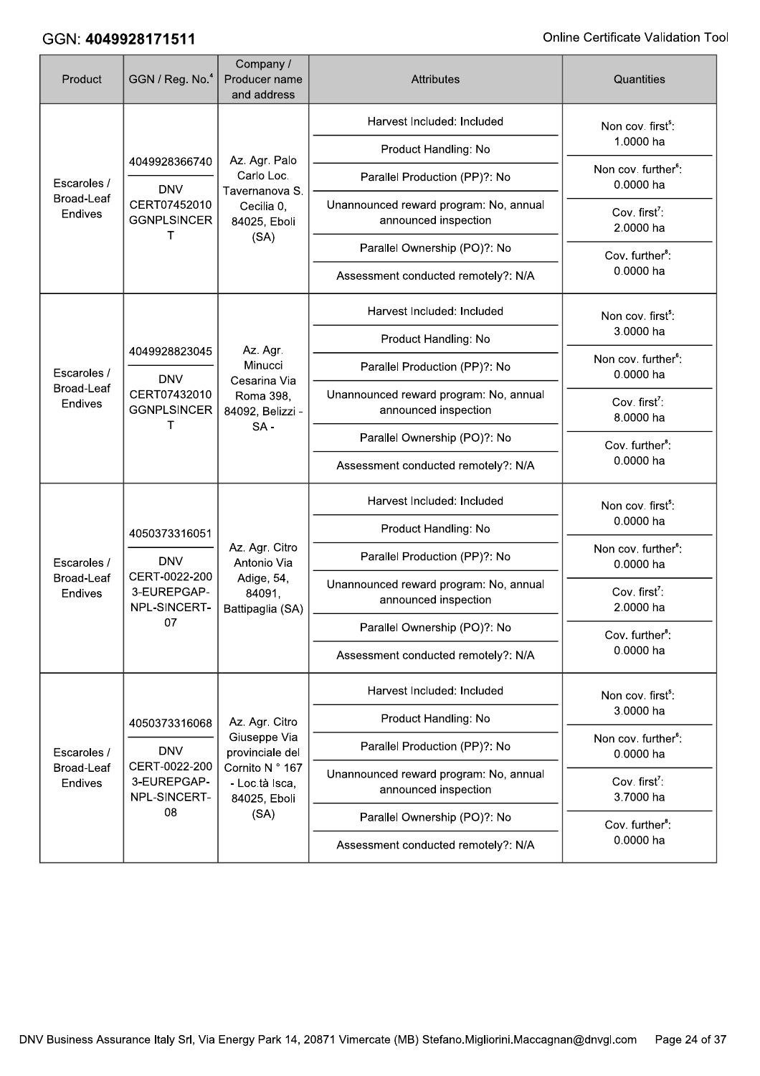| Product                              | GGN / Reg. No. <sup>4</sup>                                                 | Company /<br>Producer name<br>and address                                 | <b>Attributes</b>                                              | Quantities                                   |
|--------------------------------------|-----------------------------------------------------------------------------|---------------------------------------------------------------------------|----------------------------------------------------------------|----------------------------------------------|
| Escaroles /<br>Broad-Leaf<br>Endives | 4049928366740                                                               |                                                                           | Harvest Included: Included                                     | Non cov. first <sup>5</sup> :                |
|                                      |                                                                             | Az. Agr. Palo                                                             | Product Handling: No                                           | 1.0000 ha                                    |
|                                      | <b>DNV</b>                                                                  | Carlo Loc.<br>Tavernanova S.                                              | Parallel Production (PP)?: No                                  | Non cov. further <sup>6</sup> :<br>0.0000 ha |
|                                      | CERT07452010<br><b>GGNPLSINCER</b><br>т                                     | Cecilia 0,<br>84025, Eboli                                                | Unannounced reward program: No, annual<br>announced inspection | Cov. first <sup>7</sup> :<br>2.0000 ha       |
|                                      |                                                                             | (SA)                                                                      | Parallel Ownership (PO)?: No                                   | Cov. further <sup>8</sup> :                  |
|                                      |                                                                             |                                                                           | Assessment conducted remotely?: N/A                            | 0.0000 ha                                    |
|                                      |                                                                             |                                                                           | Harvest Included: Included                                     | Non cov. first <sup>5</sup> :                |
|                                      | 4049928823045                                                               | Az. Agr.                                                                  | Product Handling: No                                           | 3.0000 ha                                    |
| Escaroles /                          | <b>DNV</b>                                                                  | Minucci                                                                   | Parallel Production (PP)?: No                                  | Non cov. further <sup>6</sup> :<br>0.0000 ha |
| Broad-Leaf<br>Endives                | CERT07432010<br><b>GGNPLSINCER</b><br>т                                     | Cesarina Via<br>Roma 398,<br>84092, Belizzi -<br>$SA -$                   | Unannounced reward program: No, annual<br>announced inspection | Cov. first <sup>7</sup> :<br>8.0000 ha       |
|                                      |                                                                             |                                                                           | Parallel Ownership (PO)?: No                                   | Cov. further <sup>8</sup> :                  |
|                                      |                                                                             |                                                                           | Assessment conducted remotely?: N/A                            | 0.0000 ha                                    |
|                                      | 4050373316051<br><b>DNV</b><br>CERT-0022-200<br>3-EUREPGAP-<br>NPL-SINCERT- |                                                                           | Harvest Included: Included                                     | Non cov. first <sup>5</sup> :                |
|                                      |                                                                             |                                                                           | Product Handling: No                                           | 0.0000 ha                                    |
| Escaroles /                          |                                                                             | Az. Agr. Citro<br>Antonio Via<br>Adige, 54,<br>84091,<br>Battipaglia (SA) | Parallel Production (PP)?: No                                  | Non cov. further <sup>6</sup> :<br>0.0000 ha |
| <b>Broad-Leaf</b><br>Endives         |                                                                             |                                                                           | Unannounced reward program: No, annual<br>announced inspection | Cov. first <sup>7</sup> :<br>2.0000 ha       |
|                                      | 07                                                                          |                                                                           | Parallel Ownership (PO)?: No                                   | Cov. further <sup>8</sup> :                  |
|                                      |                                                                             |                                                                           | Assessment conducted remotely?: N/A                            | 0.0000 ha                                    |
|                                      |                                                                             |                                                                           | Harvest Included: Included                                     | Non cov. first <sup>5</sup> :                |
|                                      | 4050373316068                                                               | Az. Agr. Citro                                                            | Product Handling: No                                           | 3.0000 ha                                    |
| Escaroles /                          | <b>DNV</b>                                                                  | Giuseppe Via<br>provinciale del                                           | Parallel Production (PP)?: No                                  | Non cov. further <sup>6</sup> :<br>0.0000 ha |
| <b>Broad-Leaf</b><br>Endives         | CERT-0022-200<br>3-EUREPGAP-<br>NPL-SINCERT-                                | Cornito N ° 167<br>- Loc.tà Isca,<br>84025, Eboli                         | Unannounced reward program: No, annual<br>announced inspection | Cov. first <sup>7</sup> :<br>3.7000 ha       |
|                                      | 08                                                                          | (SA)                                                                      | Parallel Ownership (PO)?: No                                   | Cov. further <sup>8</sup> :                  |
|                                      |                                                                             |                                                                           | Assessment conducted remotely?: N/A                            | 0.0000 ha                                    |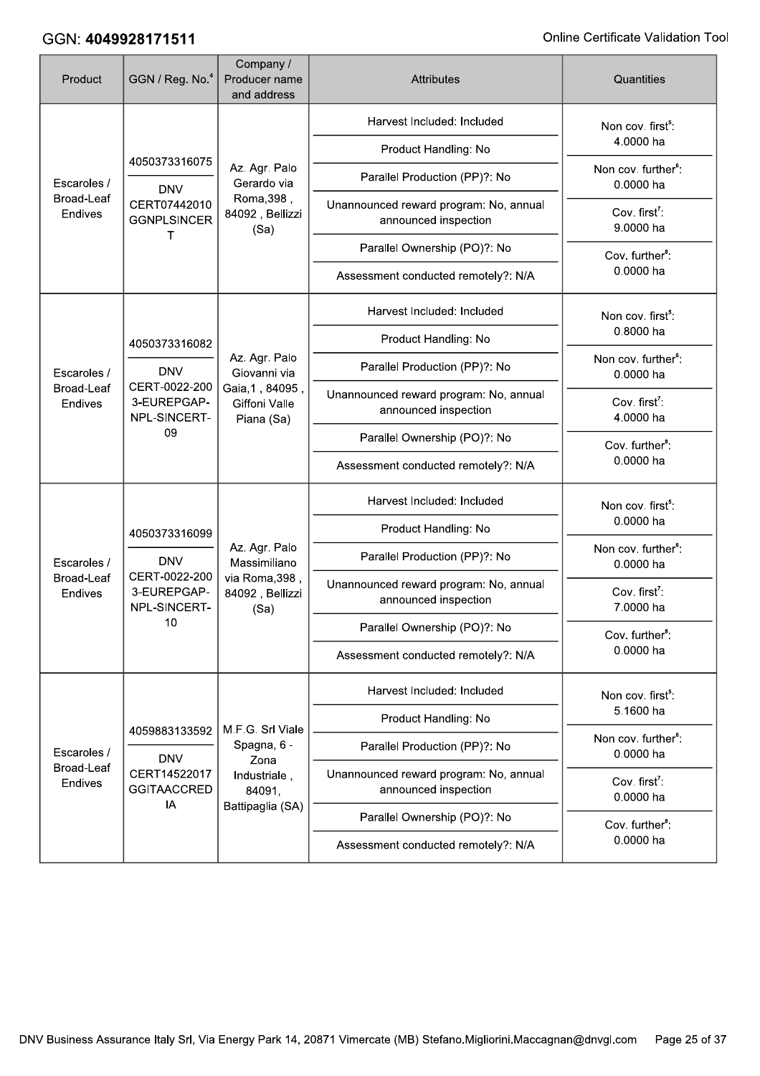| Product                                     | GGN / Reg. No. <sup>4</sup>                                                 | Company /<br>Producer name<br>and address                                  | <b>Attributes</b>                                              | Quantities                                   |
|---------------------------------------------|-----------------------------------------------------------------------------|----------------------------------------------------------------------------|----------------------------------------------------------------|----------------------------------------------|
| Escaroles /<br><b>Broad-Leaf</b><br>Endives | 4050373316075                                                               |                                                                            | Harvest Included: Included                                     | Non cov. first <sup>5</sup> :                |
|                                             |                                                                             |                                                                            | Product Handling: No                                           | 4.0000 ha                                    |
|                                             | <b>DNV</b>                                                                  | Az. Agr. Palo<br>Gerardo via                                               | Parallel Production (PP)?: No                                  | Non cov. further <sup>6</sup> :<br>0.0000 ha |
|                                             | CERT07442010<br><b>GGNPLSINCER</b>                                          | Roma, 398,<br>84092, Bellizzi<br>(Sa)                                      | Unannounced reward program: No, annual<br>announced inspection | Cov. first <sup>7</sup> :<br>9.0000 ha       |
|                                             | т                                                                           |                                                                            | Parallel Ownership (PO)?: No                                   | Cov. further <sup>8</sup> :                  |
|                                             |                                                                             |                                                                            | Assessment conducted remotely?: N/A                            | 0.0000 ha                                    |
|                                             |                                                                             |                                                                            | Harvest Included: Included                                     | Non cov. first <sup>5</sup> :                |
|                                             | 4050373316082                                                               |                                                                            | Product Handling: No                                           | 0.8000 ha                                    |
| Escaroles /<br><b>Broad-Leaf</b><br>Endives | <b>DNV</b>                                                                  | Az. Agr. Palo<br>Giovanni via                                              | Parallel Production (PP)?: No                                  | Non cov. further <sup>6</sup> :<br>0.0000 ha |
|                                             | CERT-0022-200<br>3-EUREPGAP-<br>NPL-SINCERT-<br>09                          | Gaia, 1, 84095,<br>Giffoni Valle<br>Piana (Sa)                             | Unannounced reward program: No, annual<br>announced inspection | Cov. first <sup>7</sup> :<br>4.0000 ha       |
|                                             |                                                                             |                                                                            | Parallel Ownership (PO)?: No                                   | Cov. further <sup>8</sup> :                  |
|                                             |                                                                             |                                                                            | Assessment conducted remotely?: N/A                            | 0.0000 ha                                    |
|                                             |                                                                             |                                                                            | Harvest Included: Included                                     | Non cov. first <sup>5</sup> :                |
|                                             | 4050373316099<br><b>DNV</b><br>CERT-0022-200<br>3-EUREPGAP-<br>NPL-SINCERT- |                                                                            | Product Handling: No                                           | 0.0000 ha                                    |
| Escaroles /                                 |                                                                             | Az. Agr. Palo<br>Massimiliano<br>via Roma, 398,<br>84092, Bellizzi<br>(Sa) | Parallel Production (PP)?: No                                  | Non cov. further <sup>6</sup> :<br>0.0000 ha |
| <b>Broad-Leaf</b><br>Endives                |                                                                             |                                                                            | Unannounced reward program: No, annual<br>announced inspection | Cov. first <sup>7</sup> :<br>7.0000 ha       |
|                                             | 10                                                                          |                                                                            | Parallel Ownership (PO)?: No                                   | Cov. further <sup>8</sup> :                  |
|                                             |                                                                             |                                                                            | Assessment conducted remotely?: N/A                            | 0.0000 ha                                    |
|                                             |                                                                             |                                                                            | Harvest Included: Included                                     | Non cov. first <sup>5</sup> :                |
|                                             | 4059883133592                                                               | M.F.G. Srl Viale                                                           | Product Handling: No                                           | 5.1600 ha                                    |
| Escaroles /                                 | <b>DNV</b>                                                                  | Spagna, 6 -<br>Zona                                                        | Parallel Production (PP)?: No                                  | Non cov. further <sup>6</sup> :<br>0.0000 ha |
| Broad-Leaf<br>Endives                       | CERT14522017<br><b>GGITAACCRED</b>                                          | Industriale,<br>84091,                                                     | Unannounced reward program: No, annual<br>announced inspection | Cov. first <sup>7</sup> :<br>0.0000 ha       |
|                                             | IA                                                                          | Battipaglia (SA)                                                           | Parallel Ownership (PO)?: No                                   | Cov. further <sup>8</sup> :                  |
|                                             |                                                                             |                                                                            | Assessment conducted remotely?: N/A                            | 0.0000 ha                                    |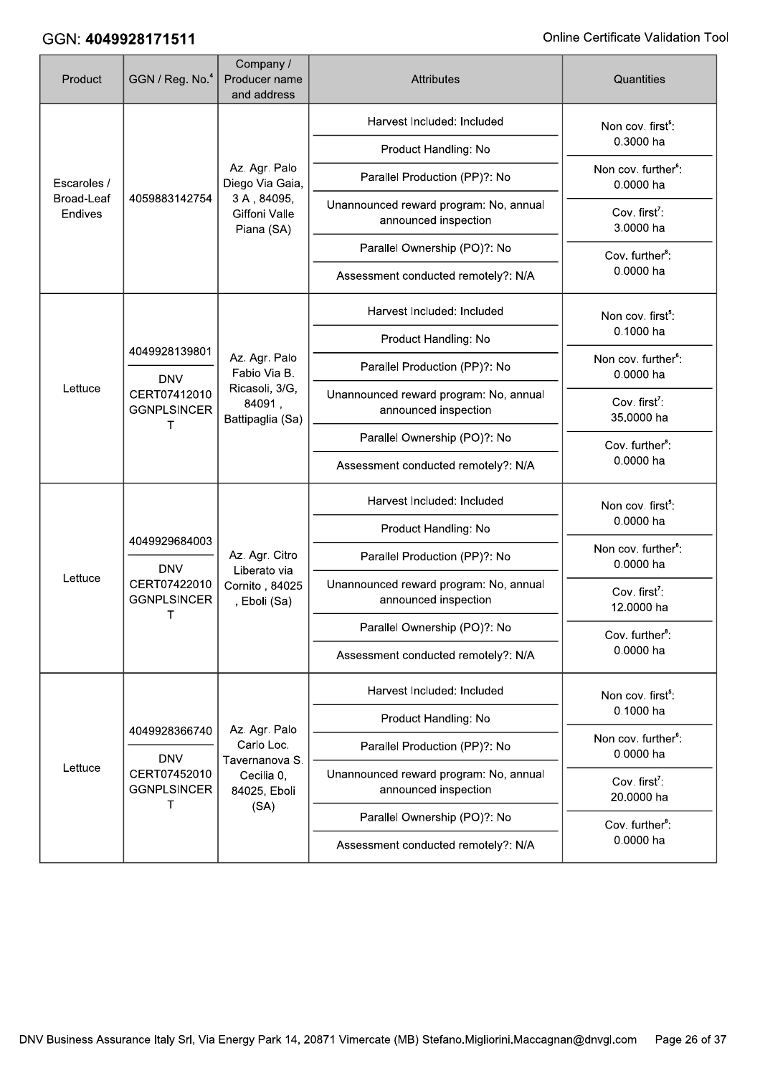| Product                                     | GGN / Reg. No. <sup>4</sup>                                                       | Company /<br>Producer name<br>and address                        | Attributes                                                     | Quantities                                   |
|---------------------------------------------|-----------------------------------------------------------------------------------|------------------------------------------------------------------|----------------------------------------------------------------|----------------------------------------------|
| Escaroles /<br><b>Broad-Leaf</b><br>Endives |                                                                                   |                                                                  | Harvest Included: Included                                     | Non cov. first <sup>5</sup> :                |
|                                             |                                                                                   |                                                                  | Product Handling: No                                           | 0.3000 ha                                    |
|                                             |                                                                                   | Az. Agr. Palo<br>Diego Via Gaia,                                 | Parallel Production (PP)?: No                                  | Non cov. further <sup>6</sup> :<br>0.0000 ha |
|                                             | 4059883142754                                                                     | 3A, 84095,<br>Giffoni Valle<br>Piana (SA)                        | Unannounced reward program: No, annual<br>announced inspection | Cov. first <sup>7</sup> :<br>3.0000 ha       |
|                                             |                                                                                   |                                                                  | Parallel Ownership (PO)?: No                                   | Cov. further <sup>8</sup> :                  |
|                                             |                                                                                   |                                                                  | Assessment conducted remotely?: N/A                            | 0.0000 ha                                    |
|                                             |                                                                                   |                                                                  | Harvest Included: Included                                     | Non cov. first <sup>5</sup> :                |
|                                             | 4049928139801<br><b>DNV</b><br>Lettuce<br>CERT07412010<br><b>GGNPLSINCER</b><br>т |                                                                  | Product Handling: No                                           | 0.1000 ha                                    |
|                                             |                                                                                   | Az. Agr. Palo<br>Fabio Via B.                                    | Parallel Production (PP)?: No                                  | Non cov. further <sup>6</sup> :<br>0.0000 ha |
|                                             |                                                                                   | Ricasoli, 3/G,<br>84091,<br>Battipaglia (Sa)                     | Unannounced reward program: No, annual<br>announced inspection | Cov. first <sup>7</sup> :<br>35.0000 ha      |
|                                             |                                                                                   |                                                                  | Parallel Ownership (PO)?: No                                   | Cov. further <sup>8</sup> :                  |
|                                             |                                                                                   |                                                                  | Assessment conducted remotely?: N/A                            | 0.0000 ha                                    |
|                                             |                                                                                   |                                                                  | Harvest Included: Included                                     | Non cov. first <sup>5</sup> :                |
|                                             | 4049929684003<br><b>DNV</b><br>CERT07422010<br><b>GGNPLSINCER</b>                 |                                                                  | Product Handling: No                                           | 0.0000 ha                                    |
|                                             |                                                                                   | Az. Agr. Citro<br>Liberato via<br>Cornito, 84025<br>, Eboli (Sa) | Parallel Production (PP)?: No                                  | Non cov. further <sup>6</sup> :<br>0.0000 ha |
| Lettuce                                     |                                                                                   |                                                                  | Unannounced reward program: No, annual<br>announced inspection | Cov. first <sup>7</sup> :<br>12.0000 ha      |
|                                             | т                                                                                 |                                                                  | Parallel Ownership (PO)?: No                                   | Cov. further <sup>8</sup> :                  |
|                                             |                                                                                   |                                                                  | Assessment conducted remotely?: N/A                            | 0.0000 ha                                    |
|                                             |                                                                                   |                                                                  | Harvest Included: Included                                     | Non cov. first <sup>5</sup> :                |
|                                             | 4049928366740                                                                     | Az. Agr. Palo                                                    | Product Handling: No                                           | 0.1000 ha                                    |
|                                             | <b>DNV</b>                                                                        | Carlo Loc.<br>Tavernanova S.                                     | Parallel Production (PP)?: No                                  | Non cov. further <sup>6</sup> :<br>0.0000 ha |
| Lettuce                                     | CERT07452010<br><b>GGNPLSINCER</b><br>T                                           | Cecilia 0,<br>84025, Eboli                                       | Unannounced reward program: No, annual<br>announced inspection | Cov. first <sup>7</sup> :<br>20.0000 ha      |
|                                             |                                                                                   | (SA)                                                             | Parallel Ownership (PO)?: No                                   | Cov. further <sup>8</sup> :                  |
|                                             |                                                                                   |                                                                  | Assessment conducted remotely?: N/A                            | 0.0000 ha                                    |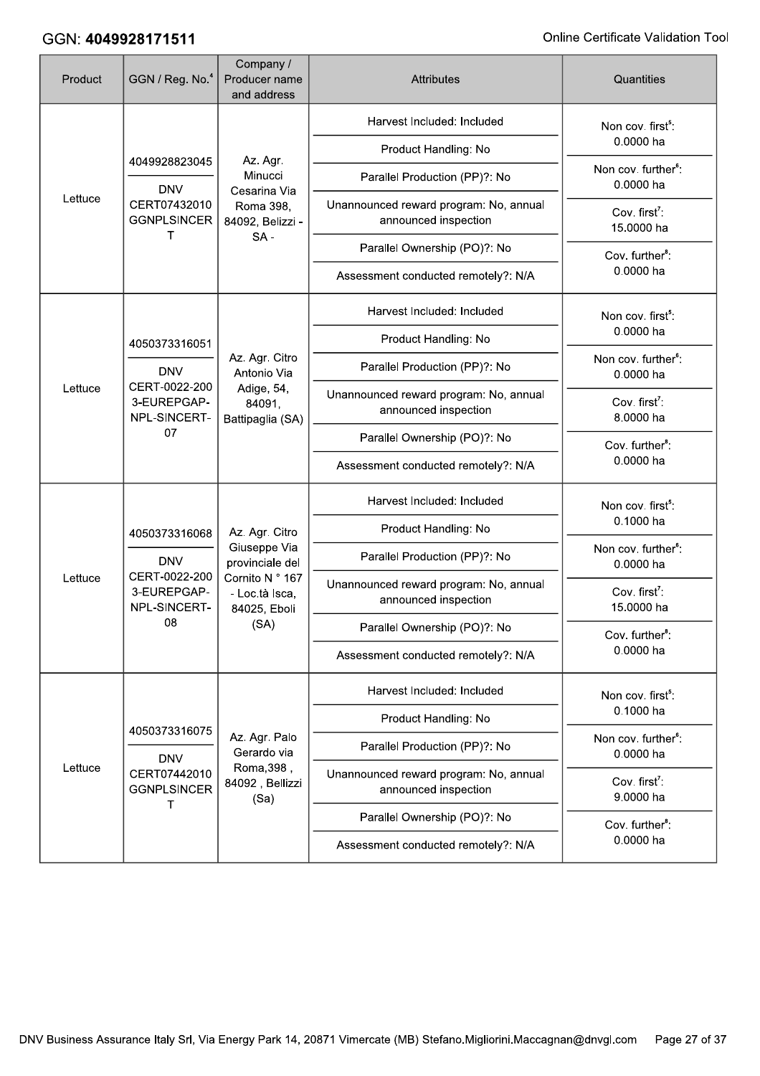| Product | GGN / Reg. No. <sup>4</sup>                                                 | Company /<br>Producer name<br>and address                                            | <b>Attributes</b>                                              | Quantities                                   |
|---------|-----------------------------------------------------------------------------|--------------------------------------------------------------------------------------|----------------------------------------------------------------|----------------------------------------------|
|         |                                                                             |                                                                                      | Harvest Included: Included                                     | Non cov. first <sup>5</sup> :                |
| Lettuce | 4049928823045                                                               | Az. Agr.                                                                             | Product Handling: No                                           | 0.0000 ha                                    |
|         | <b>DNV</b>                                                                  | Minucci<br>Cesarina Via                                                              | Parallel Production (PP)?: No                                  | Non cov. further <sup>6</sup> :<br>0.0000 ha |
|         | CERT07432010<br><b>GGNPLSINCER</b><br>т                                     | Roma 398,<br>84092, Belizzi -                                                        | Unannounced reward program: No, annual<br>announced inspection | Cov. first <sup>7</sup> :<br>15.0000 ha      |
|         |                                                                             | $SA -$                                                                               | Parallel Ownership (PO)?: No                                   | Cov. further <sup>8</sup> :                  |
|         |                                                                             |                                                                                      | Assessment conducted remotely?: N/A                            | 0.0000 ha                                    |
|         |                                                                             |                                                                                      | Harvest Included: Included                                     | Non cov. first <sup>5</sup> :                |
|         | 4050373316051                                                               |                                                                                      | Product Handling: No                                           | 0.0000 ha                                    |
|         | <b>DNV</b><br>CERT-0022-200<br>Lettuce<br>3-EUREPGAP-<br>NPL-SINCERT-<br>07 | Az. Agr. Citro<br>Antonio Via                                                        | Parallel Production (PP)?: No                                  | Non cov. further <sup>6</sup> :<br>0.0000 ha |
|         |                                                                             | Adige, 54,<br>84091,<br>Battipaglia (SA)                                             | Unannounced reward program: No, annual<br>announced inspection | Cov. first <sup>7</sup> :<br>8.0000 ha       |
|         |                                                                             |                                                                                      | Parallel Ownership (PO)?: No                                   | Cov. further <sup>8</sup> :                  |
|         |                                                                             |                                                                                      | Assessment conducted remotely?: N/A                            | 0.0000 ha                                    |
|         | 4050373316068<br><b>DNV</b><br>CERT-0022-200<br>3-EUREPGAP-<br>NPL-SINCERT- |                                                                                      | Harvest Included: Included                                     | Non cov. first <sup>5</sup> :                |
|         |                                                                             | Az. Agr. Citro                                                                       | Product Handling: No                                           | 0.1000 ha                                    |
|         |                                                                             | Giuseppe Via<br>provinciale del<br>Cornito N ° 167<br>- Loc.tà Isca,<br>84025, Eboli | Parallel Production (PP)?: No                                  | Non cov. further <sup>6</sup> :<br>0.0000 ha |
| Lettuce |                                                                             |                                                                                      | Unannounced reward program: No, annual<br>announced inspection | Cov. first <sup>7</sup> :<br>15.0000 ha      |
|         | 08                                                                          | (SA)                                                                                 | Parallel Ownership (PO)?: No                                   | Cov. further <sup>8</sup> :                  |
|         |                                                                             |                                                                                      | Assessment conducted remotely?: N/A                            | 0.0000 ha                                    |
|         |                                                                             |                                                                                      | Harvest Included: Included                                     | Non cov. first <sup>5</sup> :                |
|         | 4050373316075                                                               |                                                                                      | Product Handling: No                                           | 0.1000 ha                                    |
|         | <b>DNV</b>                                                                  | Az. Agr. Palo<br>Gerardo via                                                         | Parallel Production (PP)?: No                                  | Non cov. further <sup>6</sup> :<br>0.0000 ha |
| Lettuce | CERT07442010<br><b>GGNPLSINCER</b><br>т                                     | Roma, 398,<br>84092, Bellizzi<br>(Sa)                                                | Unannounced reward program: No, annual<br>announced inspection | Cov. first <sup>7</sup> :<br>9.0000 ha       |
|         |                                                                             |                                                                                      | Parallel Ownership (PO)?: No                                   | Cov. further <sup>8</sup> :                  |
|         |                                                                             |                                                                                      | Assessment conducted remotely?: N/A                            | 0.0000 ha                                    |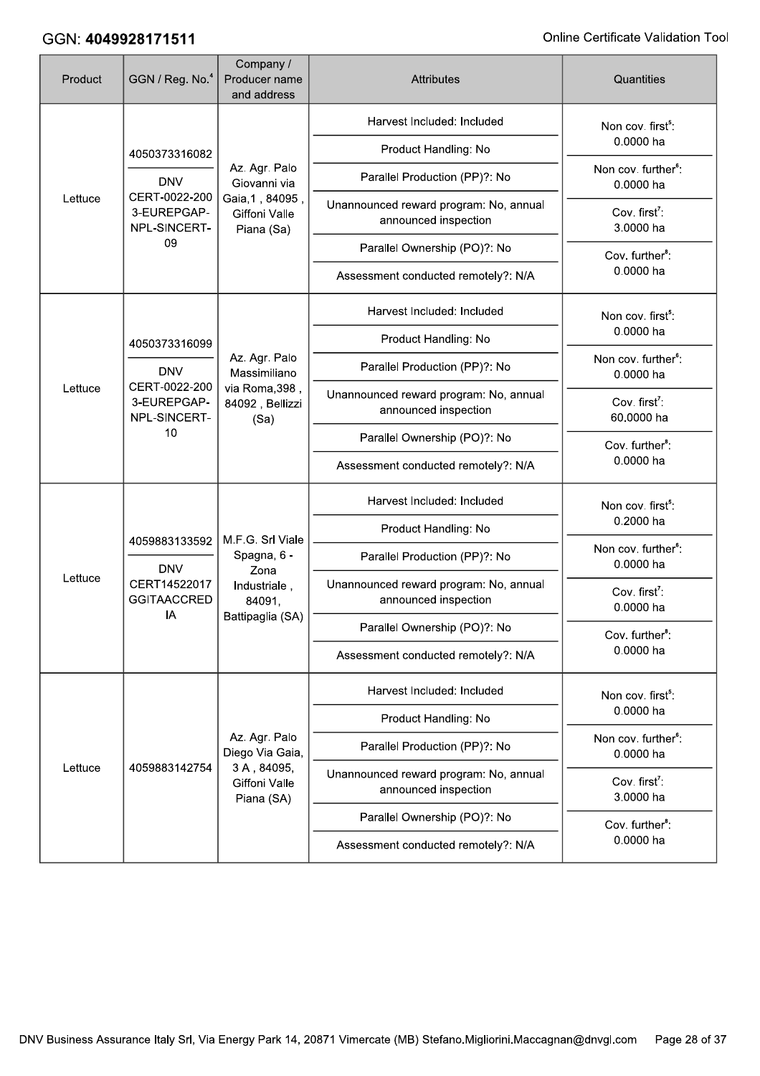| Product | GGN / Reg. No. <sup>4</sup>                                                 | Company /<br>Producer name<br>and address      | <b>Attributes</b>                                              | Quantities                                   |
|---------|-----------------------------------------------------------------------------|------------------------------------------------|----------------------------------------------------------------|----------------------------------------------|
|         |                                                                             |                                                | Harvest Included: Included                                     | Non cov. first <sup>5</sup> :                |
| Lettuce | 4050373316082                                                               |                                                | Product Handling: No                                           | 0.0000 ha                                    |
|         | <b>DNV</b>                                                                  | Az. Agr. Palo<br>Giovanni via                  | Parallel Production (PP)?: No                                  | Non cov. further <sup>6</sup> :<br>0.0000 ha |
|         | CERT-0022-200<br>3-EUREPGAP-<br>NPL-SINCERT-                                | Gaia, 1, 84095,<br>Giffoni Valle<br>Piana (Sa) | Unannounced reward program: No, annual<br>announced inspection | Cov. first <sup>7</sup> :<br>3.0000 ha       |
|         | 09                                                                          |                                                | Parallel Ownership (PO)?: No                                   | Cov. further <sup>8</sup> :                  |
|         |                                                                             |                                                | Assessment conducted remotely?: N/A                            | 0.0000 ha                                    |
|         |                                                                             |                                                | Harvest Included: Included                                     | Non cov. first <sup>5</sup> :                |
|         | 4050373316099                                                               |                                                | Product Handling: No                                           | 0.0000 ha                                    |
|         | <b>DNV</b><br>CERT-0022-200<br>Lettuce<br>3-EUREPGAP-<br>NPL-SINCERT-<br>10 | Az. Agr. Palo<br>Massimiliano                  | Parallel Production (PP)?: No                                  | Non cov. further <sup>6</sup> :<br>0.0000 ha |
|         |                                                                             | via Roma, 398,<br>84092, Bellizzi<br>(Sa)      | Unannounced reward program: No, annual<br>announced inspection | Cov. first <sup>7</sup> :<br>60.0000 ha      |
|         |                                                                             |                                                | Parallel Ownership (PO)?: No                                   | Cov. further <sup>8</sup> :                  |
|         |                                                                             |                                                | Assessment conducted remotely?: N/A                            | 0.0000 ha                                    |
|         |                                                                             | M.F.G. Srl Viale                               | Harvest Included: Included                                     | Non cov. first <sup>5</sup> :                |
|         | 4059883133592<br><b>DNV</b><br>CERT14522017<br><b>GGITAACCRED</b>           |                                                | Product Handling: No                                           | 0.2000 ha                                    |
|         |                                                                             | Spagna, 6 -<br>Zona                            | Parallel Production (PP)?: No                                  | Non cov. further <sup>6</sup> :<br>0.0000 ha |
| Lettuce |                                                                             | Industriale,<br>84091,                         | Unannounced reward program: No, annual<br>announced inspection | Cov. first <sup>7</sup> :<br>0.0000 ha       |
|         | IA                                                                          | Battipaglia (SA)                               | Parallel Ownership (PO)?: No                                   | Cov. further <sup>8</sup> :                  |
|         |                                                                             |                                                | Assessment conducted remotely?: N/A                            | 0.0000 ha                                    |
|         |                                                                             |                                                | Harvest Included: Included                                     | Non cov. first <sup>5</sup> :                |
|         |                                                                             |                                                | Product Handling: No                                           | 0.0000 ha                                    |
|         |                                                                             | Az. Agr. Palo<br>Diego Via Gaia,               | Parallel Production (PP)?: No                                  | Non cov. further <sup>6</sup> :<br>0.0000 ha |
| Lettuce | 4059883142754                                                               | 3A, 84095,<br>Giffoni Valle<br>Piana (SA)      | Unannounced reward program: No, annual<br>announced inspection | Cov. first <sup>7</sup> :<br>3.0000 ha       |
|         |                                                                             |                                                | Parallel Ownership (PO)?: No                                   | Cov. further <sup>8</sup> :                  |
|         |                                                                             |                                                | Assessment conducted remotely?: N/A                            | 0.0000 ha                                    |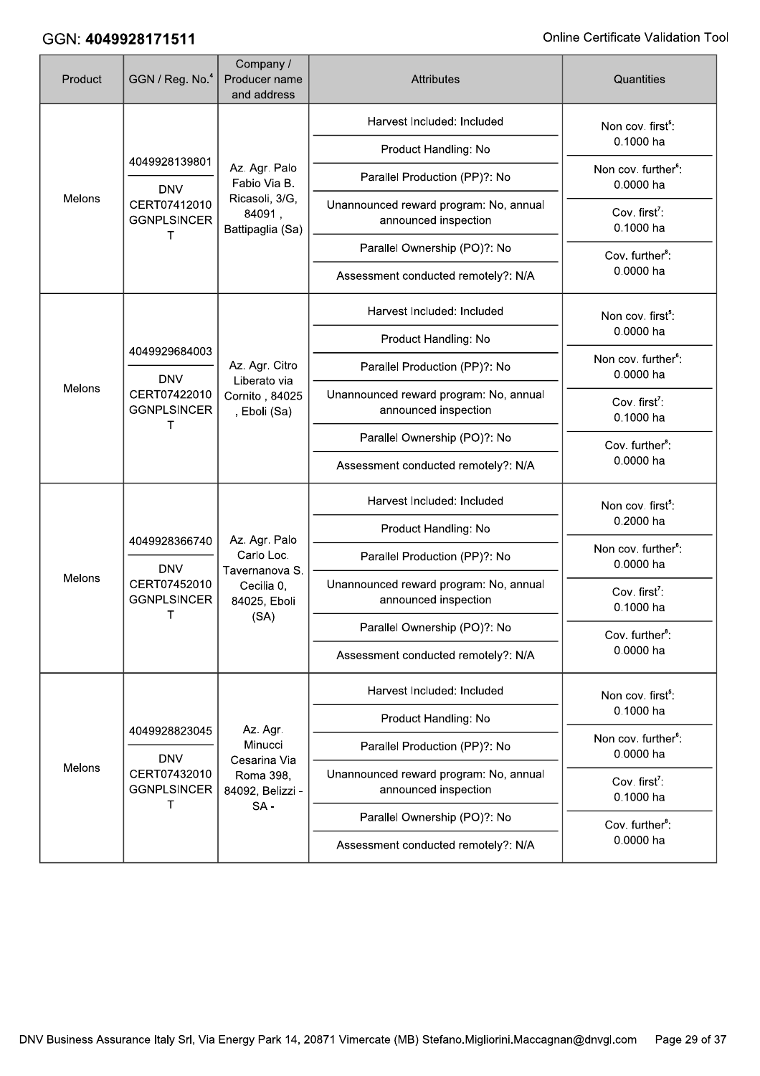| Product | GGN / Reg. No. <sup>4</sup>                                                      | Company /<br>Producer name<br>and address                                           | <b>Attributes</b>                                              | Quantities                                   |
|---------|----------------------------------------------------------------------------------|-------------------------------------------------------------------------------------|----------------------------------------------------------------|----------------------------------------------|
|         |                                                                                  |                                                                                     | Harvest Included: Included                                     | Non cov. first <sup>5</sup> :                |
| Melons  | 4049928139801                                                                    |                                                                                     | Product Handling: No                                           | 0.1000 ha                                    |
|         | <b>DNV</b>                                                                       | Az. Agr. Palo<br>Fabio Via B.                                                       | Parallel Production (PP)?: No                                  | Non cov. further <sup>6</sup> :<br>0.0000 ha |
|         | CERT07412010<br><b>GGNPLSINCER</b>                                               | Ricasoli, 3/G,<br>84091,<br>Battipaglia (Sa)                                        | Unannounced reward program: No, annual<br>announced inspection | Cov. first <sup>7</sup> :<br>0.1000 ha       |
|         | т                                                                                |                                                                                     | Parallel Ownership (PO)?: No                                   | Cov. further <sup>8</sup> :                  |
|         |                                                                                  |                                                                                     | Assessment conducted remotely?: N/A                            | 0.0000 ha                                    |
|         |                                                                                  |                                                                                     | Harvest Included: Included                                     | Non cov. first <sup>5</sup> :                |
|         |                                                                                  |                                                                                     | Product Handling: No                                           | 0.0000 ha                                    |
|         | 4049929684003<br><b>DNV</b><br>Melons<br>CERT07422010<br><b>GGNPLSINCER</b><br>т | Az. Agr. Citro<br>Liberato via                                                      | Parallel Production (PP)?: No                                  | Non cov. further <sup>6</sup> :<br>0.0000 ha |
|         |                                                                                  | Cornito, 84025<br>, Eboli (Sa)                                                      | Unannounced reward program: No, annual<br>announced inspection | Cov. first <sup>7</sup> :<br>0.1000 ha       |
|         |                                                                                  |                                                                                     | Parallel Ownership (PO)?: No                                   | Cov. further <sup>8</sup> :                  |
|         |                                                                                  |                                                                                     | Assessment conducted remotely?: N/A                            | 0.0000 ha                                    |
|         |                                                                                  |                                                                                     | Harvest Included: Included                                     | Non cov. first <sup>5</sup> :                |
|         | 4049928366740<br><b>DNV</b><br>CERT07452010<br><b>GGNPLSINCER</b><br>т           |                                                                                     | Product Handling: No                                           | 0.2000 ha                                    |
|         |                                                                                  | Az. Agr. Palo<br>Carlo Loc.<br>Tavernanova S.<br>Cecilia 0,<br>84025, Eboli<br>(SA) | Parallel Production (PP)?: No                                  | Non cov. further <sup>6</sup> :<br>0.0000 ha |
| Melons  |                                                                                  |                                                                                     | Unannounced reward program: No, annual<br>announced inspection | Cov. first <sup>7</sup> :<br>0.1000 ha       |
|         |                                                                                  |                                                                                     | Parallel Ownership (PO)?: No                                   | Cov. further <sup>8</sup> :                  |
|         |                                                                                  |                                                                                     | Assessment conducted remotely?: N/A                            | 0.0000 ha                                    |
|         |                                                                                  |                                                                                     | Harvest Included: Included                                     | Non cov. first <sup>5</sup> :                |
|         | 4049928823045                                                                    | Az. Agr.                                                                            | Product Handling: No                                           | 0.1000 ha                                    |
|         | <b>DNV</b>                                                                       | Minucci<br>Cesarina Via                                                             | Parallel Production (PP)?: No                                  | Non cov. further <sup>6</sup> :<br>0.0000 ha |
| Melons  | CERT07432010<br><b>GGNPLSINCER</b><br>т                                          | Roma 398,<br>84092, Belizzi -                                                       | Unannounced reward program: No, annual<br>announced inspection | Cov. first <sup>7</sup> :<br>0.1000 ha       |
|         |                                                                                  | $SA -$                                                                              | Parallel Ownership (PO)?: No                                   | Cov. further <sup>8</sup> :                  |
|         |                                                                                  |                                                                                     | Assessment conducted remotely?: N/A                            | 0.0000 ha                                    |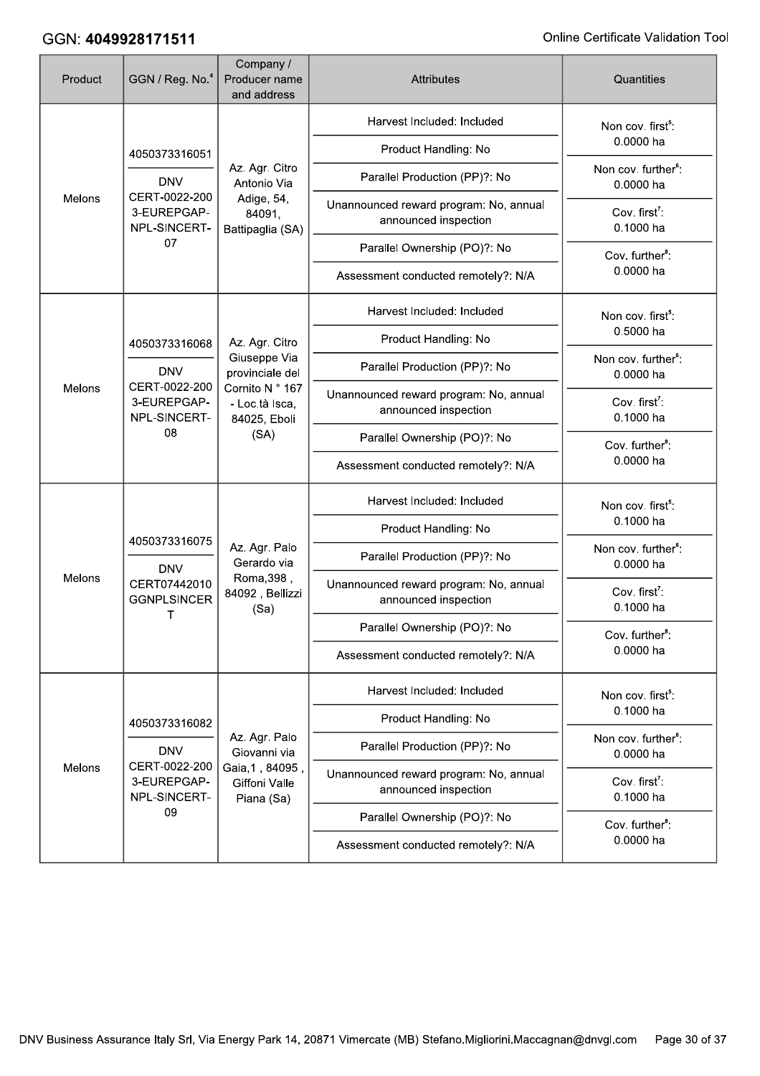| Product | GGN / Reg. No. <sup>4</sup>                                                       | Company /<br>Producer name<br>and address                 | <b>Attributes</b>                                              | Quantities                                   |
|---------|-----------------------------------------------------------------------------------|-----------------------------------------------------------|----------------------------------------------------------------|----------------------------------------------|
| Melons  |                                                                                   |                                                           | Harvest Included: Included                                     | Non cov. first <sup>5</sup> :                |
|         | 4050373316051                                                                     |                                                           | Product Handling: No                                           | 0.0000 ha                                    |
|         | <b>DNV</b>                                                                        | Az. Agr. Citro<br>Antonio Via                             | Parallel Production (PP)?: No                                  | Non cov. further <sup>6</sup> :<br>0.0000 ha |
|         | CERT-0022-200<br>3-EUREPGAP-<br>NPL-SINCERT-                                      | Adige, 54,<br>84091,<br>Battipaglia (SA)                  | Unannounced reward program: No, annual<br>announced inspection | Cov. first <sup>7</sup> :<br>0.1000 ha       |
|         | 07                                                                                |                                                           | Parallel Ownership (PO)?: No                                   | Cov. further <sup>8</sup> :                  |
|         |                                                                                   |                                                           | Assessment conducted remotely?: N/A                            | 0.0000 ha                                    |
|         |                                                                                   |                                                           | Harvest Included: Included                                     | Non cov. first <sup>5</sup> :                |
|         | 4050373316068<br><b>DNV</b><br>CERT-0022-200<br>3-EUREPGAP-<br>NPL-SINCERT-<br>08 | Az. Agr. Citro                                            | Product Handling: No                                           | 0.5000 ha                                    |
|         |                                                                                   | Giuseppe Via<br>provinciale del                           | Parallel Production (PP)?: No                                  | Non cov. further <sup>6</sup> :<br>0.0000 ha |
| Melons  |                                                                                   | Cornito N ° 167<br>- Loc.tà Isca,<br>84025, Eboli<br>(SA) | Unannounced reward program: No, annual<br>announced inspection | Cov. first <sup>7</sup> :<br>0.1000 ha       |
|         |                                                                                   |                                                           | Parallel Ownership (PO)?: No                                   | Cov. further <sup>8</sup> :                  |
|         |                                                                                   |                                                           | Assessment conducted remotely?: N/A                            | 0.0000 ha                                    |
|         | 4050373316075<br><b>DNV</b>                                                       |                                                           | Harvest Included: Included                                     | Non cov. first <sup>5</sup> :                |
|         |                                                                                   |                                                           | Product Handling: No                                           | 0.1000 ha                                    |
|         |                                                                                   | Az. Agr. Palo<br>Gerardo via                              | Parallel Production (PP)?: No                                  | Non cov. further <sup>6</sup> :<br>0.0000 ha |
| Melons  | CERT07442010<br><b>GGNPLSINCER</b><br>Τ                                           | Roma, 398,<br>84092, Bellizzi<br>(Sa)                     | Unannounced reward program: No, annual<br>announced inspection | Cov. first <sup>7</sup> :<br>0.1000 ha       |
|         |                                                                                   |                                                           | Parallel Ownership (PO)?: No                                   | Cov. further <sup>8</sup> :                  |
|         |                                                                                   |                                                           | Assessment conducted remotely?: N/A                            | 0.0000 ha                                    |
|         |                                                                                   |                                                           | Harvest Included: Included                                     | Non cov. first <sup>5</sup> :                |
|         | 4050373316082                                                                     |                                                           | Product Handling: No                                           | 0.1000 ha                                    |
|         | <b>DNV</b>                                                                        | Az. Agr. Palo<br>Giovanni via                             | Parallel Production (PP)?: No                                  | Non cov. further <sup>6</sup> :<br>0.0000 ha |
| Melons  | CERT-0022-200<br>3-EUREPGAP-<br>NPL-SINCERT-                                      | Gaia, 1, 84095,<br>Giffoni Valle<br>Piana (Sa)            | Unannounced reward program: No, annual<br>announced inspection | Cov. first <sup>7</sup> :<br>0.1000 ha       |
|         | 09                                                                                |                                                           | Parallel Ownership (PO)?: No                                   | Cov. further <sup>8</sup> :                  |
|         |                                                                                   |                                                           | Assessment conducted remotely?: N/A                            | 0.0000 ha                                    |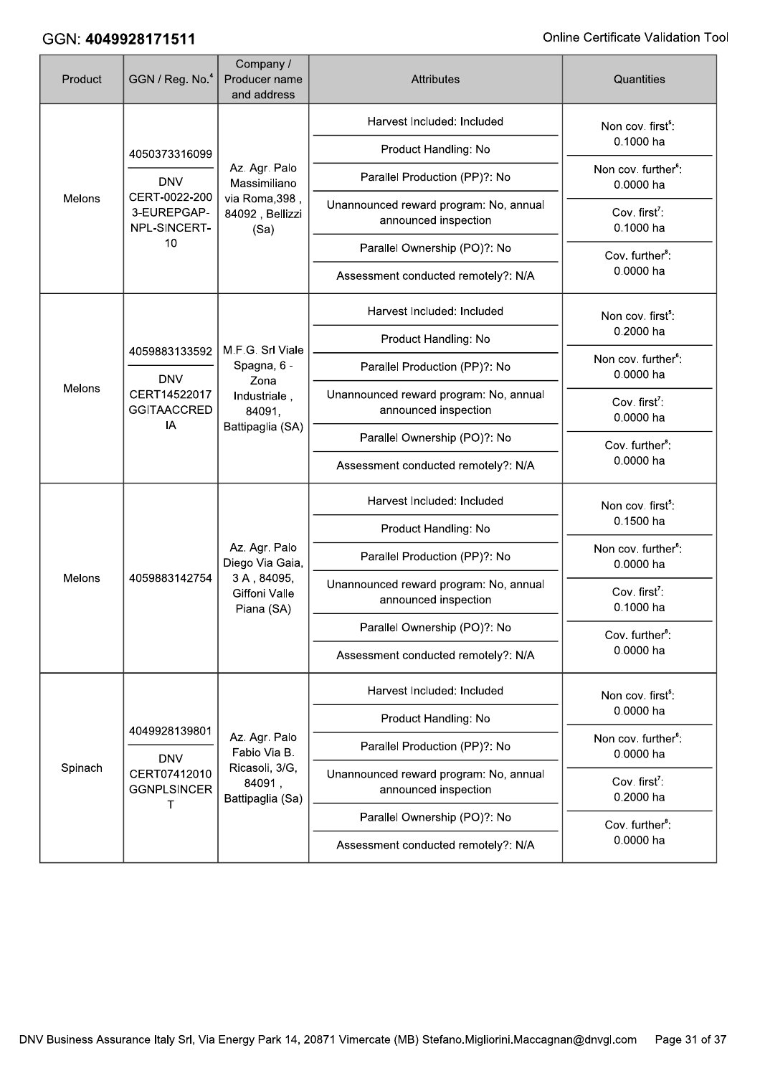| Product | GGN / Reg. No. <sup>4</sup>                                                       | Company /<br>Producer name<br>and address          | <b>Attributes</b>                                              | Quantities                                   |
|---------|-----------------------------------------------------------------------------------|----------------------------------------------------|----------------------------------------------------------------|----------------------------------------------|
|         |                                                                                   |                                                    | Harvest Included: Included                                     | Non cov. first <sup>5</sup> :                |
| Melons  | 4050373316099                                                                     |                                                    | Product Handling: No                                           | 0.1000 ha                                    |
|         | <b>DNV</b>                                                                        | Az. Agr. Palo<br>Massimiliano                      | Parallel Production (PP)?: No                                  | Non cov. further <sup>6</sup> :<br>0.0000 ha |
|         | CERT-0022-200<br>3-EUREPGAP-<br>NPL-SINCERT-                                      | via Roma, 398,<br>84092, Bellizzi<br>(Sa)          | Unannounced reward program: No, annual<br>announced inspection | Cov. first <sup>7</sup> :<br>0.1000 ha       |
|         | 10                                                                                |                                                    | Parallel Ownership (PO)?: No                                   | Cov. further <sup>8</sup> :                  |
|         |                                                                                   |                                                    | Assessment conducted remotely?: N/A                            | 0.0000 ha                                    |
|         |                                                                                   |                                                    | Harvest Included: Included                                     | Non cov. first <sup>5</sup> :                |
|         | 4059883133592<br><b>DNV</b><br>Melons<br>CERT14522017<br><b>GGITAACCRED</b><br>IA | M.F.G. Srl Viale                                   | Product Handling: No                                           | 0.2000 ha                                    |
|         |                                                                                   | Spagna, 6 -                                        | Parallel Production (PP)?: No                                  | Non cov. further <sup>6</sup> :<br>0.0000 ha |
|         |                                                                                   | Zona<br>Industriale,<br>84091,<br>Battipaglia (SA) | Unannounced reward program: No, annual<br>announced inspection | Cov. first <sup>7</sup> :<br>0.0000 ha       |
|         |                                                                                   |                                                    | Parallel Ownership (PO)?: No                                   | Cov. further <sup>8</sup> :<br>0.0000 ha     |
|         |                                                                                   |                                                    | Assessment conducted remotely?: N/A                            |                                              |
|         | 4059883142754                                                                     |                                                    | Harvest Included: Included                                     | Non cov. first <sup>5</sup> :                |
|         |                                                                                   |                                                    | Product Handling: No                                           | 0.1500 ha                                    |
|         |                                                                                   | Az. Agr. Palo<br>Diego Via Gaia,                   | Parallel Production (PP)?: No                                  | Non cov. further <sup>6</sup> :<br>0.0000 ha |
| Melons  |                                                                                   | 3A, 84095,<br><b>Giffoni Valle</b><br>Piana (SA)   | Unannounced reward program: No, annual<br>announced inspection | Cov. first <sup>7</sup> :<br>0.1000 ha       |
|         |                                                                                   |                                                    | Parallel Ownership (PO)?: No                                   | Cov. further <sup>8</sup> :                  |
|         |                                                                                   |                                                    | Assessment conducted remotely?: N/A                            | 0.0000 ha                                    |
|         |                                                                                   |                                                    | Harvest Included: Included                                     | Non cov. first <sup>5</sup> :                |
|         | 4049928139801                                                                     |                                                    | Product Handling: No                                           | 0.0000 ha                                    |
|         | <b>DNV</b>                                                                        | Az. Agr. Palo<br>Fabio Via B.                      | Parallel Production (PP)?: No                                  | Non cov. further <sup>6</sup> :<br>0.0000 ha |
| Spinach | CERT07412010<br><b>GGNPLSINCER</b><br>т                                           | Ricasoli, 3/G,<br>84091,<br>Battipaglia (Sa)       | Unannounced reward program: No, annual<br>announced inspection | Cov. first <sup>7</sup> :<br>0.2000 ha       |
|         |                                                                                   |                                                    | Parallel Ownership (PO)?: No                                   | Cov. further <sup>8</sup> :                  |
|         |                                                                                   |                                                    | Assessment conducted remotely?: N/A                            | 0.0000 ha                                    |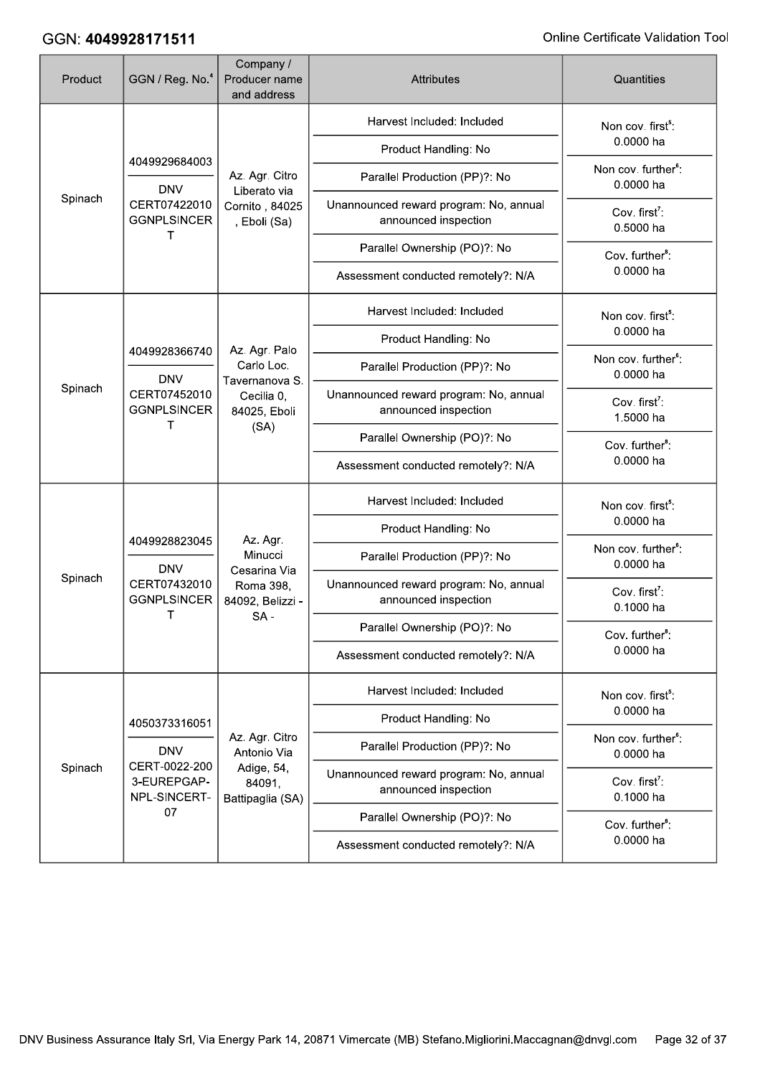| Product | GGN / Reg. No. <sup>4</sup>                                                       | Company /<br>Producer name<br>and address                            | <b>Attributes</b>                                              | Quantities                                   |
|---------|-----------------------------------------------------------------------------------|----------------------------------------------------------------------|----------------------------------------------------------------|----------------------------------------------|
| Spinach | 4049929684003                                                                     |                                                                      | Harvest Included: Included                                     | Non cov. first <sup>5</sup> :                |
|         |                                                                                   |                                                                      | Product Handling: No                                           | 0.0000 ha                                    |
|         | <b>DNV</b>                                                                        | Az. Agr. Citro<br>Liberato via                                       | Parallel Production (PP)?: No                                  | Non cov. further <sup>6</sup> :<br>0.0000 ha |
|         | CERT07422010<br><b>GGNPLSINCER</b>                                                | Cornito, 84025<br>, Eboli (Sa)                                       | Unannounced reward program: No, annual<br>announced inspection | Cov. first <sup>7</sup> :<br>0.5000 ha       |
|         | т                                                                                 |                                                                      | Parallel Ownership (PO)?: No                                   | Cov. further <sup>8</sup> :                  |
|         |                                                                                   |                                                                      | Assessment conducted remotely?: N/A                            | 0.0000 ha                                    |
|         |                                                                                   |                                                                      | Harvest Included: Included                                     | Non cov. first <sup>5</sup> :                |
|         | 4049928366740<br><b>DNV</b><br>Spinach<br>CERT07452010<br><b>GGNPLSINCER</b><br>т | Az. Agr. Palo                                                        | Product Handling: No                                           | 0.0000 ha                                    |
|         |                                                                                   | Carlo Loc.                                                           | Parallel Production (PP)?: No                                  | Non cov. further <sup>6</sup> :<br>0.0000 ha |
|         |                                                                                   | Tavernanova S.<br>Cecilia 0,<br>84025, Eboli<br>(SA)                 | Unannounced reward program: No, annual<br>announced inspection | Cov. first <sup>7</sup> :<br>1.5000 ha       |
|         |                                                                                   |                                                                      | Parallel Ownership (PO)?: No                                   | Cov. further <sup>8</sup> :                  |
|         |                                                                                   |                                                                      | Assessment conducted remotely?: N/A                            | 0.0000 ha                                    |
|         |                                                                                   |                                                                      | Harvest Included: Included                                     | Non cov. first <sup>5</sup> :                |
|         | 4049928823045<br><b>DNV</b><br>CERT07432010<br><b>GGNPLSINCER</b>                 | Az. Agr.<br>Minucci<br>Cesarina Via<br>Roma 398,<br>84092, Belizzi - | Product Handling: No                                           | 0.0000 ha                                    |
|         |                                                                                   |                                                                      | Parallel Production (PP)?: No                                  | Non cov. further <sup>6</sup> :<br>0.0000 ha |
| Spinach |                                                                                   |                                                                      | Unannounced reward program: No, annual<br>announced inspection | Cov. first <sup>7</sup> :<br>0.1000 ha       |
|         | т                                                                                 | $SA -$                                                               | Parallel Ownership (PO)?: No                                   | Cov. further <sup>8</sup> :                  |
|         |                                                                                   |                                                                      | Assessment conducted remotely?: N/A                            | 0.0000 ha                                    |
|         |                                                                                   |                                                                      | Harvest Included: Included                                     | Non cov. first <sup>5</sup> :                |
|         | 4050373316051                                                                     |                                                                      | Product Handling: No                                           | 0.0000 ha                                    |
|         | <b>DNV</b>                                                                        | Az. Agr. Citro<br>Antonio Via                                        | Parallel Production (PP)?: No                                  | Non cov. further <sup>6</sup> :<br>0.0000 ha |
| Spinach | CERT-0022-200<br>3-EUREPGAP-<br>NPL-SINCERT-                                      | Adige, 54,<br>84091,<br>Battipaglia (SA)                             | Unannounced reward program: No, annual<br>announced inspection | Cov. first <sup>7</sup> :<br>0.1000 ha       |
|         | 07                                                                                |                                                                      | Parallel Ownership (PO)?: No                                   | Cov. further <sup>8</sup> :                  |
|         |                                                                                   |                                                                      | Assessment conducted remotely?: N/A                            | 0.0000 ha                                    |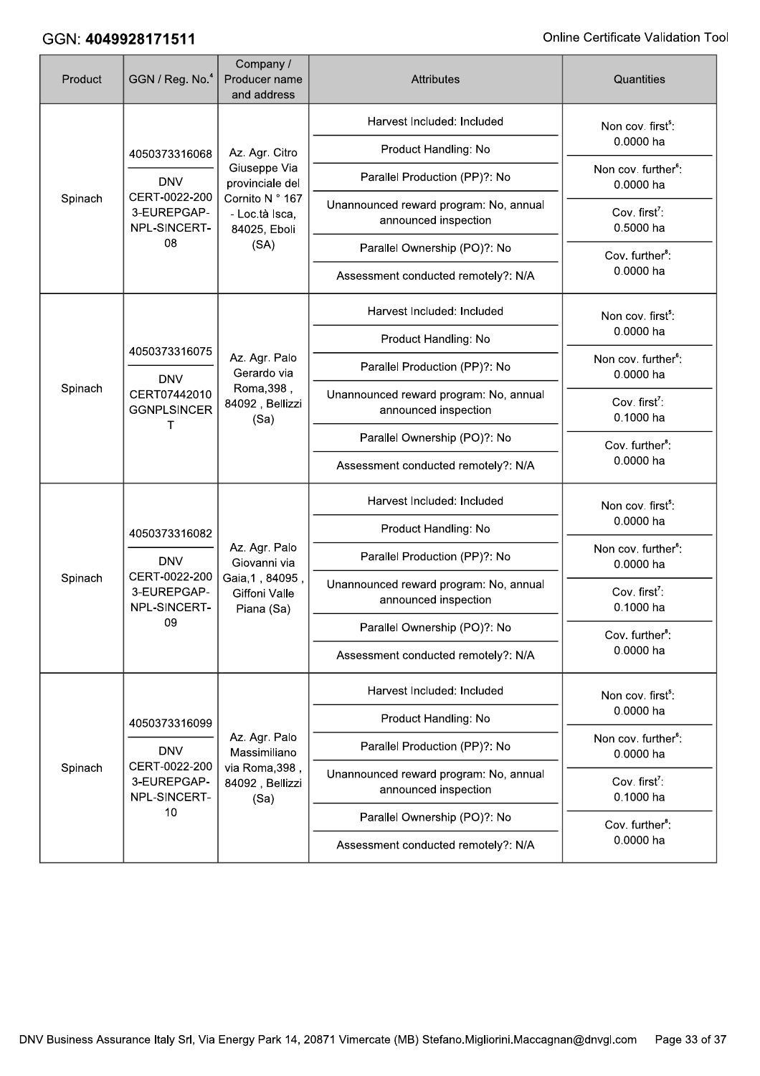| Product | GGN / Reg. No. <sup>4</sup>                                                       | Company /<br>Producer name<br>and address                                       | <b>Attributes</b>                                              | Quantities                                   |
|---------|-----------------------------------------------------------------------------------|---------------------------------------------------------------------------------|----------------------------------------------------------------|----------------------------------------------|
|         |                                                                                   |                                                                                 | Harvest Included: Included                                     | Non cov. first <sup>5</sup> :                |
| Spinach | 4050373316068                                                                     | Az. Agr. Citro                                                                  | Product Handling: No                                           | 0.0000 ha                                    |
|         | <b>DNV</b>                                                                        | Giuseppe Via<br>provinciale del                                                 | Parallel Production (PP)?: No                                  | Non cov. further <sup>6</sup> :<br>0.0000 ha |
|         | CERT-0022-200<br>3-EUREPGAP-<br>NPL-SINCERT-                                      | Cornito N ° 167<br>- Loc.tà Isca,<br>84025, Eboli                               | Unannounced reward program: No, annual<br>announced inspection | Cov. first <sup>7</sup> :<br>0.5000 ha       |
|         | 08                                                                                | (SA)                                                                            | Parallel Ownership (PO)?: No                                   | Cov. further <sup>8</sup> :                  |
|         |                                                                                   |                                                                                 | Assessment conducted remotely?: N/A                            | 0.0000 ha                                    |
|         |                                                                                   |                                                                                 | Harvest Included: Included                                     | Non cov. first <sup>5</sup> :                |
|         |                                                                                   |                                                                                 | Product Handling: No                                           | 0.0000 ha                                    |
|         | 4050373316075<br><b>DNV</b><br>Spinach<br>CERT07442010<br><b>GGNPLSINCER</b><br>т | Az. Agr. Palo<br>Gerardo via                                                    | Parallel Production (PP)?: No                                  | Non cov. further <sup>6</sup> :<br>0.0000 ha |
|         |                                                                                   | Roma, 398,<br>84092, Bellizzi<br>(Sa)                                           | Unannounced reward program: No, annual<br>announced inspection | Cov. first <sup>7</sup> :<br>0.1000 ha       |
|         |                                                                                   |                                                                                 | Parallel Ownership (PO)?: No                                   | Cov. further <sup>8</sup> :                  |
|         |                                                                                   |                                                                                 | Assessment conducted remotely?: N/A                            | 0.0000 ha                                    |
|         |                                                                                   |                                                                                 | Harvest Included: Included                                     | Non cov. first <sup>5</sup> :                |
|         | 4050373316082<br><b>DNV</b><br>CERT-0022-200<br>3-EUREPGAP-<br>NPL-SINCERT-       |                                                                                 | Product Handling: No                                           | 0.0000 ha                                    |
|         |                                                                                   | Az. Agr. Palo<br>Giovanni via<br>Gaia, 1, 84095,<br>Giffoni Valle<br>Piana (Sa) | Parallel Production (PP)?: No                                  | Non cov. further <sup>6</sup> :<br>0.0000 ha |
| Spinach |                                                                                   |                                                                                 | Unannounced reward program: No, annual<br>announced inspection | Cov. first <sup>7</sup> :<br>0.1000 ha       |
|         | 09                                                                                |                                                                                 | Parallel Ownership (PO)?: No                                   | Cov. further <sup>8</sup> :                  |
|         |                                                                                   |                                                                                 | Assessment conducted remotely?: N/A                            | 0.0000 ha                                    |
|         |                                                                                   |                                                                                 | Harvest Included: Included                                     | Non cov. first <sup>5</sup> :                |
|         | 4050373316099                                                                     |                                                                                 | Product Handling: No                                           | 0.0000 ha                                    |
|         | <b>DNV</b>                                                                        | Az. Agr. Palo<br>Massimiliano                                                   | Parallel Production (PP)?: No                                  | Non cov. further <sup>6</sup> :<br>0.0000 ha |
| Spinach | CERT-0022-200<br>3-EUREPGAP-<br>NPL-SINCERT-                                      | via Roma, 398,<br>84092, Bellizzi<br>(Sa)                                       | Unannounced reward program: No, annual<br>announced inspection | Cov. first <sup>7</sup> :<br>0.1000 ha       |
|         | 10                                                                                |                                                                                 | Parallel Ownership (PO)?: No                                   | Cov. further <sup>8</sup> :                  |
|         |                                                                                   |                                                                                 | Assessment conducted remotely?: N/A                            | 0.0000 ha                                    |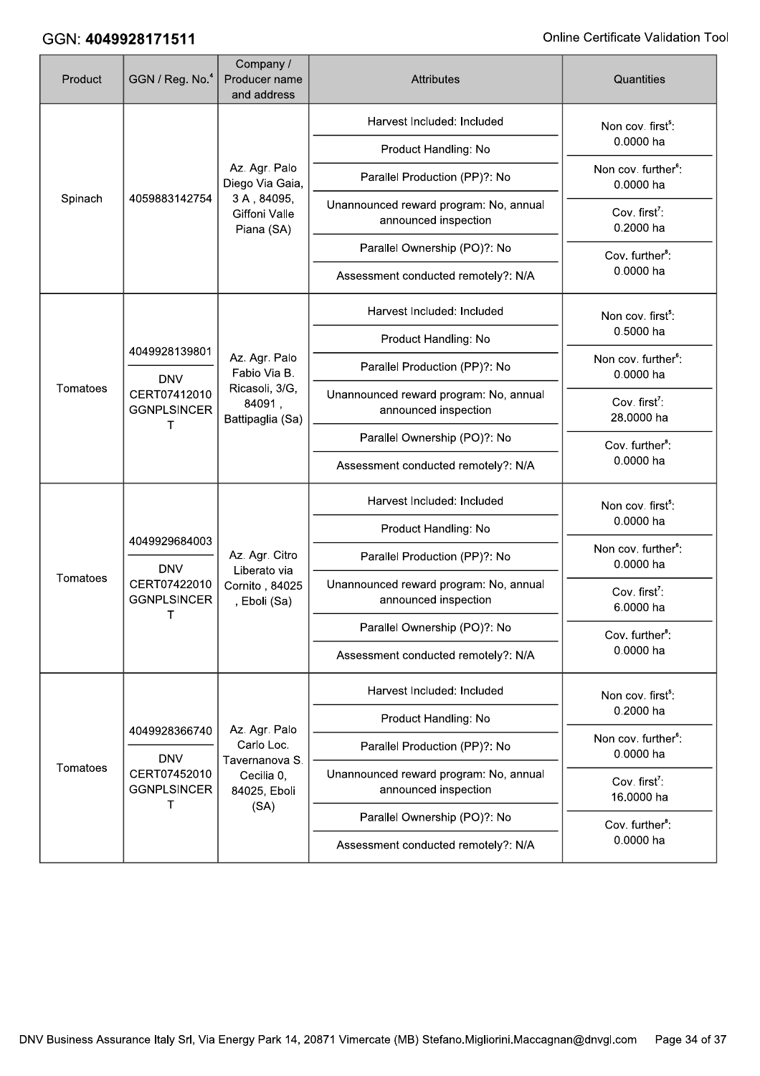| Product  | GGN / Reg. No. <sup>4</sup>                                            | Company /<br>Producer name<br>and address                        | <b>Attributes</b>                                              | Quantities                                   |
|----------|------------------------------------------------------------------------|------------------------------------------------------------------|----------------------------------------------------------------|----------------------------------------------|
| Spinach  |                                                                        |                                                                  | Harvest Included: Included                                     | Non cov. first <sup>5</sup> :                |
|          |                                                                        |                                                                  | Product Handling: No                                           | 0.0000 ha                                    |
|          |                                                                        | Az. Agr. Palo<br>Diego Via Gaia,                                 | Parallel Production (PP)?: No                                  | Non cov. further <sup>6</sup> :<br>0.0000 ha |
|          | 4059883142754                                                          | 3A, 84095,<br>Giffoni Valle<br>Piana (SA)                        | Unannounced reward program: No, annual<br>announced inspection | Cov. first <sup>7</sup> :<br>0.2000 ha       |
|          |                                                                        |                                                                  | Parallel Ownership (PO)?: No                                   | Cov. further <sup>8</sup> :                  |
|          |                                                                        |                                                                  | Assessment conducted remotely?: N/A                            | 0.0000 ha                                    |
|          |                                                                        |                                                                  | Harvest Included: Included                                     | Non cov. first <sup>5</sup> :                |
|          | 4049928139801                                                          |                                                                  | Product Handling: No                                           | 0.5000 ha                                    |
|          | <b>DNV</b><br>Tomatoes<br>CERT07412010<br><b>GGNPLSINCER</b><br>Т      | Az. Agr. Palo<br>Fabio Via B.                                    | Parallel Production (PP)?: No                                  | Non cov. further <sup>6</sup> :<br>0.0000 ha |
|          |                                                                        | Ricasoli, 3/G,<br>84091,<br>Battipaglia (Sa)                     | Unannounced reward program: No, annual<br>announced inspection | Cov. first <sup>7</sup> :<br>28.0000 ha      |
|          |                                                                        |                                                                  | Parallel Ownership (PO)?: No                                   | Cov. further <sup>8</sup> :                  |
|          |                                                                        |                                                                  | Assessment conducted remotely?: N/A                            | 0.0000 ha                                    |
|          |                                                                        |                                                                  | Harvest Included: Included                                     | Non cov. first <sup>5</sup> :                |
|          | 4049929684003<br><b>DNV</b><br>CERT07422010<br><b>GGNPLSINCER</b><br>т |                                                                  | Product Handling: No                                           | 0.0000 ha                                    |
|          |                                                                        | Az. Agr. Citro<br>Liberato via<br>Cornito, 84025<br>, Eboli (Sa) | Parallel Production (PP)?: No                                  | Non cov. further <sup>6</sup> :<br>0.0000 ha |
| Tomatoes |                                                                        |                                                                  | Unannounced reward program: No, annual<br>announced inspection | Cov. first <sup>7</sup> :<br>6.0000 ha       |
|          |                                                                        |                                                                  | Parallel Ownership (PO)?: No                                   | Cov. further <sup>8</sup> :                  |
|          |                                                                        |                                                                  | Assessment conducted remotely?: N/A                            | 0.0000 ha                                    |
|          |                                                                        |                                                                  | Harvest Included: Included                                     | Non cov. first <sup>5</sup> :                |
|          | 4049928366740                                                          | Az. Agr. Palo                                                    | Product Handling: No                                           | 0.2000 ha                                    |
|          | <b>DNV</b>                                                             | Carlo Loc.<br>Tavernanova S.                                     | Parallel Production (PP)?: No                                  | Non cov. further <sup>6</sup> :<br>0.0000 ha |
| Tomatoes | CERT07452010<br><b>GGNPLSINCER</b><br>T                                | Cecilia 0,<br>84025, Eboli                                       | Unannounced reward program: No, annual<br>announced inspection | Cov. first <sup>7</sup> :<br>16.0000 ha      |
|          |                                                                        | (SA)                                                             | Parallel Ownership (PO)?: No                                   | Cov. further <sup>8</sup> :                  |
|          |                                                                        |                                                                  | Assessment conducted remotely?: N/A                            | 0.0000 ha                                    |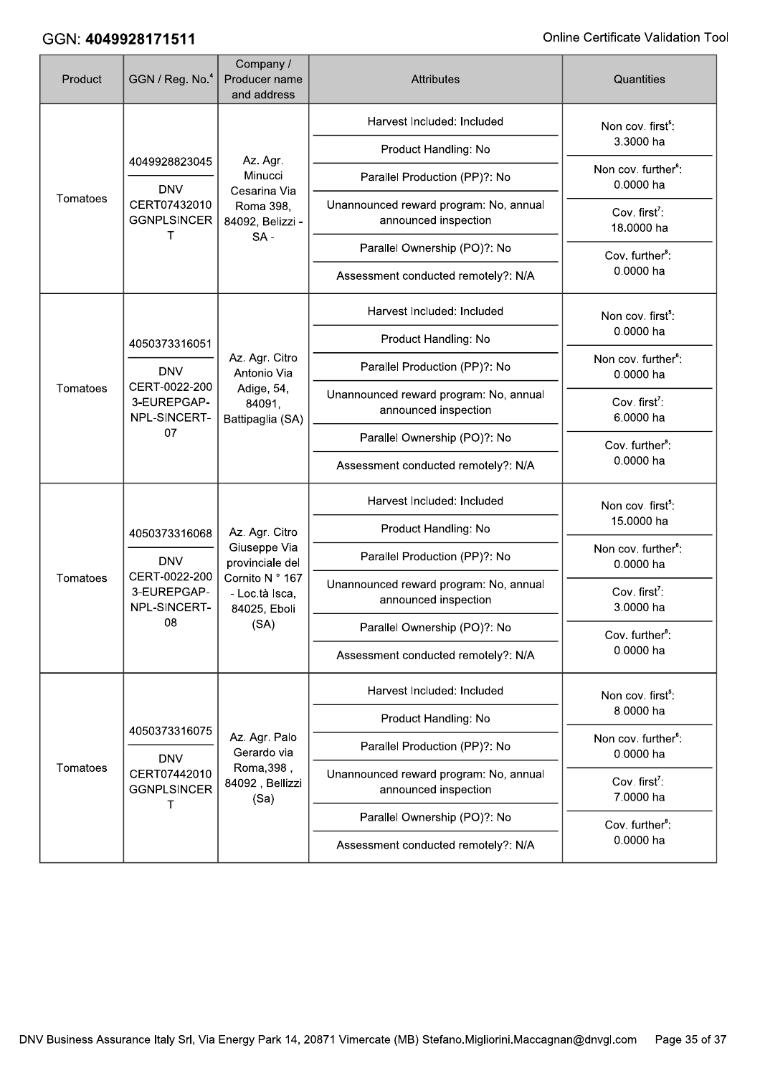| Product  | GGN / Reg. No. <sup>4</sup>                                                       | Company /<br>Producer name<br>and address                                                                      | <b>Attributes</b>                                              | Quantities                                                                                  |
|----------|-----------------------------------------------------------------------------------|----------------------------------------------------------------------------------------------------------------|----------------------------------------------------------------|---------------------------------------------------------------------------------------------|
| Tomatoes | 4049928823045<br><b>DNV</b><br>CERT07432010<br><b>GGNPLSINCER</b><br>т            | Az. Agr.<br>Minucci<br>Cesarina Via<br>Roma 398,<br>84092, Belizzi -<br>$SA -$                                 | Harvest Included: Included                                     | Non cov. first <sup>5</sup> :<br>3.3000 ha                                                  |
|          |                                                                                   |                                                                                                                | Product Handling: No                                           |                                                                                             |
|          |                                                                                   |                                                                                                                | Parallel Production (PP)?: No                                  | Non cov. further <sup>6</sup> :<br>0.0000 ha                                                |
|          |                                                                                   |                                                                                                                | Unannounced reward program: No, annual<br>announced inspection | Cov. first <sup>7</sup> :<br>18.0000 ha<br>Cov. further <sup>8</sup> :<br>0.0000 ha         |
|          |                                                                                   |                                                                                                                | Parallel Ownership (PO)?: No                                   |                                                                                             |
|          |                                                                                   |                                                                                                                | Assessment conducted remotely?: N/A                            |                                                                                             |
| Tomatoes | 4050373316051<br><b>DNV</b><br>CERT-0022-200<br>3-EUREPGAP-<br>NPL-SINCERT-<br>07 | Az. Agr. Citro<br>Antonio Via<br>Adige, 54,<br>84091,<br>Battipaglia (SA)                                      | Harvest Included: Included                                     | Non cov. first <sup>5</sup> :<br>0.0000 ha<br>Non cov. further <sup>6</sup> :<br>0.0000 ha  |
|          |                                                                                   |                                                                                                                | Product Handling: No                                           |                                                                                             |
|          |                                                                                   |                                                                                                                | Parallel Production (PP)?: No                                  |                                                                                             |
|          |                                                                                   |                                                                                                                | Unannounced reward program: No, annual<br>announced inspection | Cov. first <sup>7</sup> :<br>6.0000 ha                                                      |
|          |                                                                                   |                                                                                                                | Parallel Ownership (PO)?: No                                   | Cov. further <sup>8</sup> :<br>0.0000 ha                                                    |
|          |                                                                                   |                                                                                                                | Assessment conducted remotely?: N/A                            |                                                                                             |
| Tomatoes | 4050373316068<br><b>DNV</b><br>CERT-0022-200<br>3-EUREPGAP-<br>NPL-SINCERT-<br>08 | Az. Agr. Citro<br>Giuseppe Via<br>provinciale del<br>Cornito N ° 167<br>- Loc.tà Isca,<br>84025, Eboli<br>(SA) | Harvest Included: Included                                     | Non cov. first <sup>5</sup> :<br>15.0000 ha<br>Non cov. further <sup>6</sup> :<br>0.0000 ha |
|          |                                                                                   |                                                                                                                | Product Handling: No                                           |                                                                                             |
|          |                                                                                   |                                                                                                                | Parallel Production (PP)?: No                                  |                                                                                             |
|          |                                                                                   |                                                                                                                | Unannounced reward program: No, annual<br>announced inspection | Cov. first <sup>7</sup> :<br>3.0000 ha                                                      |
|          |                                                                                   |                                                                                                                | Parallel Ownership (PO)?: No                                   | Cov. further <sup>8</sup> :<br>0.0000 ha                                                    |
|          |                                                                                   |                                                                                                                | Assessment conducted remotely?: N/A                            |                                                                                             |
| Tomatoes | 4050373316075<br><b>DNV</b><br>CERT07442010<br><b>GGNPLSINCER</b><br>т            | Az. Agr. Palo<br>Gerardo via<br>Roma, 398,<br>84092, Bellizzi<br>(Sa)                                          | Harvest Included: Included                                     | Non cov. first <sup>5</sup> :<br>8.0000 ha<br>Non cov. further <sup>6</sup> :<br>0.0000 ha  |
|          |                                                                                   |                                                                                                                | Product Handling: No                                           |                                                                                             |
|          |                                                                                   |                                                                                                                | Parallel Production (PP)?: No                                  |                                                                                             |
|          |                                                                                   |                                                                                                                | Unannounced reward program: No, annual<br>announced inspection | Cov. first <sup>7</sup> :<br>7.0000 ha                                                      |
|          |                                                                                   |                                                                                                                | Parallel Ownership (PO)?: No                                   | Cov. further <sup>8</sup> :<br>0.0000 ha                                                    |
|          |                                                                                   |                                                                                                                | Assessment conducted remotely?: N/A                            |                                                                                             |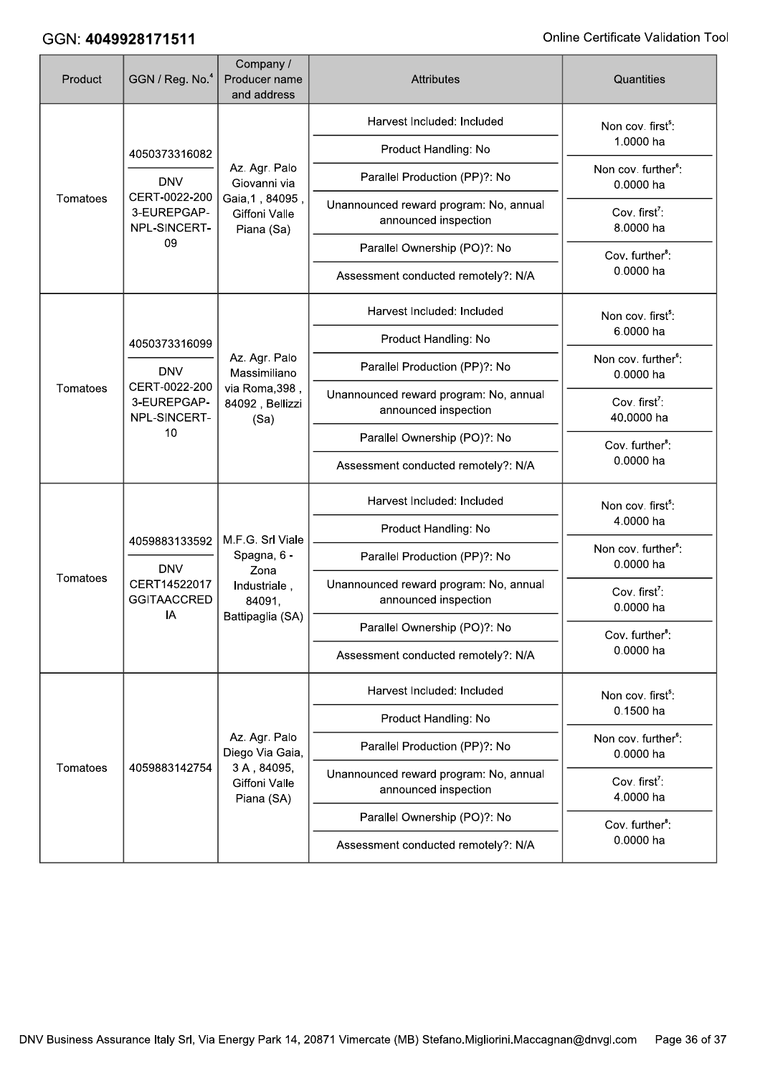| Product  | GGN / Reg. No. <sup>4</sup>                                                       | Company /<br>Producer name<br>and address                                             | <b>Attributes</b>                                              | Quantities                                                                                 |
|----------|-----------------------------------------------------------------------------------|---------------------------------------------------------------------------------------|----------------------------------------------------------------|--------------------------------------------------------------------------------------------|
| Tomatoes | 4050373316082                                                                     | Az. Agr. Palo<br>Giovanni via<br>Gaia, 1, 84095,<br>Giffoni Valle<br>Piana (Sa)       | Harvest Included: Included                                     | Non cov. first <sup>5</sup> :<br>1.0000 ha                                                 |
|          |                                                                                   |                                                                                       | Product Handling: No                                           |                                                                                            |
|          | <b>DNV</b><br>CERT-0022-200<br>3-EUREPGAP-<br>NPL-SINCERT-<br>09                  |                                                                                       | Parallel Production (PP)?: No                                  | Non cov. further <sup>6</sup> :<br>0.0000 ha                                               |
|          |                                                                                   |                                                                                       | Unannounced reward program: No, annual<br>announced inspection | Cov. first <sup>7</sup> :<br>8.0000 ha                                                     |
|          |                                                                                   |                                                                                       | Parallel Ownership (PO)?: No                                   | Cov. further <sup>8</sup> :<br>0.0000 ha                                                   |
|          |                                                                                   |                                                                                       | Assessment conducted remotely?: N/A                            |                                                                                            |
| Tomatoes | 4050373316099<br><b>DNV</b><br>CERT-0022-200<br>3-EUREPGAP-<br>NPL-SINCERT-<br>10 | Az. Agr. Palo<br>Massimiliano<br>via Roma, 398,<br>84092, Bellizzi<br>(Sa)            | Harvest Included: Included                                     | Non cov. first <sup>5</sup> :                                                              |
|          |                                                                                   |                                                                                       | Product Handling: No                                           | 6.0000 ha                                                                                  |
|          |                                                                                   |                                                                                       | Parallel Production (PP)?: No                                  | Non cov. further <sup>6</sup> :<br>0.0000 ha                                               |
|          |                                                                                   |                                                                                       | Unannounced reward program: No, annual<br>announced inspection | Cov. first <sup>7</sup> :<br>40.0000 ha                                                    |
|          |                                                                                   |                                                                                       | Parallel Ownership (PO)?: No                                   | Cov. further <sup>8</sup> :<br>0.0000 ha                                                   |
|          |                                                                                   |                                                                                       | Assessment conducted remotely?: N/A                            |                                                                                            |
|          | 4059883133592<br><b>DNV</b><br>CERT14522017<br><b>GGITAACCRED</b><br>IA           | M.F.G. Srl Viale<br>Spagna, 6 -<br>Zona<br>Industriale,<br>84091,<br>Battipaglia (SA) | Harvest Included: Included                                     | Non cov. first <sup>5</sup> :<br>4.0000 ha<br>Non cov. further <sup>6</sup> :<br>0.0000 ha |
|          |                                                                                   |                                                                                       | Product Handling: No                                           |                                                                                            |
| Tomatoes |                                                                                   |                                                                                       | Parallel Production (PP)?: No                                  |                                                                                            |
|          |                                                                                   |                                                                                       | Unannounced reward program: No, annual<br>announced inspection | Cov. first <sup>7</sup> :<br>0.0000 ha                                                     |
|          |                                                                                   |                                                                                       | Parallel Ownership (PO)?: No                                   | Cov. further <sup>8</sup> :<br>0.0000 ha                                                   |
|          |                                                                                   |                                                                                       | Assessment conducted remotely?: N/A                            |                                                                                            |
| Tomatoes | 4059883142754                                                                     | Az. Agr. Palo<br>Diego Via Gaia,<br>3A, 84095,<br>Giffoni Valle<br>Piana (SA)         | Harvest Included: Included                                     | Non cov. first <sup>5</sup> :<br>0.1500 ha<br>Non cov. further <sup>6</sup> :<br>0.0000 ha |
|          |                                                                                   |                                                                                       | Product Handling: No                                           |                                                                                            |
|          |                                                                                   |                                                                                       | Parallel Production (PP)?: No                                  |                                                                                            |
|          |                                                                                   |                                                                                       | Unannounced reward program: No, annual<br>announced inspection | Cov. first <sup>7</sup> :<br>4.0000 ha                                                     |
|          |                                                                                   |                                                                                       | Parallel Ownership (PO)?: No                                   | Cov. further <sup>8</sup> :<br>0.0000 ha                                                   |
|          |                                                                                   |                                                                                       | Assessment conducted remotely?: N/A                            |                                                                                            |